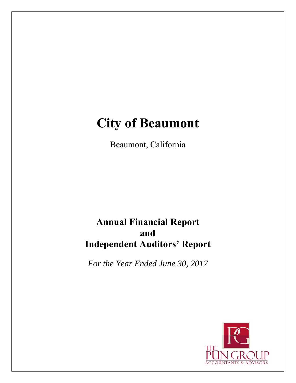# **City of Beaumont**

Beaumont, California

## **Annual Financial Report and Independent Auditors' Report**

*For the Year Ended June 30, 2017* 

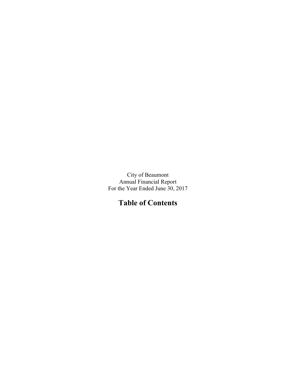## **Table of Contents**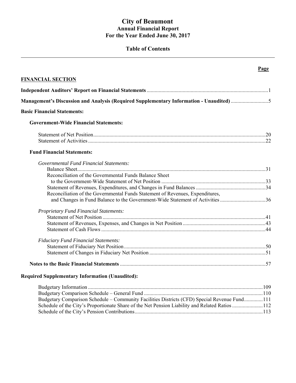## **Table of Contents**

|                                                                                       | Page |
|---------------------------------------------------------------------------------------|------|
| <b>FINANCIAL SECTION</b>                                                              |      |
|                                                                                       |      |
| Management's Discussion and Analysis (Required Supplementary Information - Unaudited) |      |
| <b>Basic Financial Statements:</b>                                                    |      |
| <b>Government-Wide Financial Statements:</b>                                          |      |
|                                                                                       |      |
|                                                                                       |      |
| <b>Fund Financial Statements:</b>                                                     |      |
| <b>Governmental Fund Financial Statements:</b>                                        |      |
| Reconciliation of the Governmental Funds Balance Sheet                                |      |
|                                                                                       |      |
|                                                                                       |      |
| Reconciliation of the Governmental Funds Statement of Revenues, Expenditures,         |      |
| and Changes in Fund Balance to the Government-Wide Statement of Activities 36         |      |
| <b>Proprietary Fund Financial Statements:</b>                                         |      |
|                                                                                       |      |
|                                                                                       |      |
|                                                                                       |      |
| <b>Fiduciary Fund Financial Statements:</b>                                           |      |
|                                                                                       |      |
|                                                                                       |      |
|                                                                                       |      |
| <b>Required Supplementary Information (Unaudited):</b>                                |      |

| Budgetary Comparison Schedule – Community Facilities Districts (CFD) Special Revenue Fund111 |  |
|----------------------------------------------------------------------------------------------|--|
|                                                                                              |  |
|                                                                                              |  |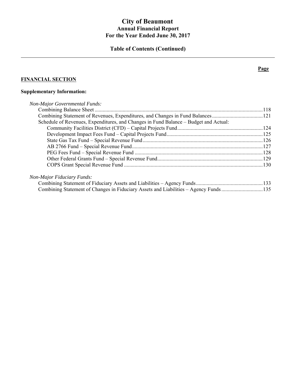## **Table of Contents (Continued)**

### **FINANCIAL SECTION**

### **Supplementary Information:**

| <b>Non-Major Governmental Funds:</b>                                                 |  |
|--------------------------------------------------------------------------------------|--|
|                                                                                      |  |
|                                                                                      |  |
| Schedule of Revenues, Expenditures, and Changes in Fund Balance – Budget and Actual: |  |
|                                                                                      |  |
|                                                                                      |  |
|                                                                                      |  |
|                                                                                      |  |
|                                                                                      |  |
|                                                                                      |  |
|                                                                                      |  |
| <b>Non-Major Fiduciary Funds:</b>                                                    |  |
|                                                                                      |  |
|                                                                                      |  |

### **Page**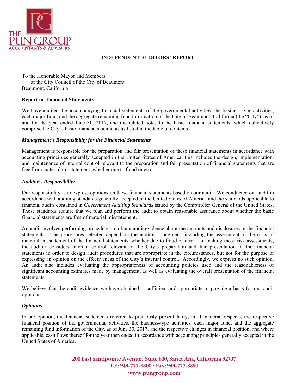

#### **INDEPENDENT AUDITORS' REPORT**

To the Honorable Mayor and Members of the City Council of the City of Beaumont Beaumont, California

#### **Report on Financial Statements**

We have audited the accompanying financial statements of the governmental activities, the business-type activities, each major fund, and the aggregate remaining fund information of the City of Beaumont, California (the "City"), as of and for the year ended June 30, 2017, and the related notes to the basic financial statements, which collectively comprise the City's basic financial statements as listed in the table of contents.

#### *Management's Responsibility for the Financial Statements*

Management is responsible for the preparation and fair presentation of these financial statements in accordance with accounting principles generally accepted in the United States of America; this includes the design, implementation, and maintenance of internal control relevant to the preparation and fair presentation of financial statements that are free from material misstatement, whether due to fraud or error.

#### *Auditor's Responsibility*

Our responsibility is to express opinions on these financial statements based on our audit. We conducted our audit in accordance with auditing standards generally accepted in the United States of America and the standards applicable to financial audits contained in *Government Auditing Standards* issued by the Comptroller General of the United States. Those standards require that we plan and perform the audit to obtain reasonable assurance about whether the basic financial statements are free of material misstatement.

An audit involves performing procedures to obtain audit evidence about the amounts and disclosures in the financial statements. The procedures selected depend on the auditor's judgment, including the assessment of the risks of material misstatement of the financial statements, whether due to fraud or error. In making those risk assessments, the auditor considers internal control relevant to the City's preparation and fair presentation of the financial statements in order to design audit procedures that are appropriate in the circumstances, but not for the purpose of expressing an opinion on the effectiveness of the City's internal control. Accordingly, we express no such opinion. An audit also includes evaluating the appropriateness of accounting policies used and the reasonableness of significant accounting estimates made by management, as well as evaluating the overall presentation of the financial statements.

We believe that the audit evidence we have obtained is sufficient and appropriate to provide a basis for our audit opinions.

#### *Opinions*

In our opinion, the financial statements referred to previously present fairly, in all material respects, the respective financial position of the governmental activities, the business-type activities, each major fund, and the aggregate remaining fund information of the City, as of June 30, 2017, and the respective changes in financial position, and where applicable, cash flows thereof for the year then ended in accordance with accounting principles generally accepted in the United States of America.

> **200 East Sandpointe Avenue, Suite 600, Santa Ana, California 92707 Tel: 949-777-8800 • Fax: 949-777-8850 www.pungroup.com**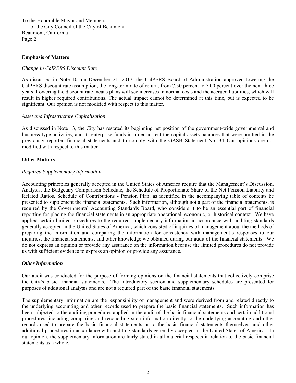To the Honorable Mayor and Members of the City Council of the City of Beaumont Beaumont, California Page 2

#### **Emphasis of Matters**

#### *Change in CalPERS Discount Rate*

As discussed in Note 10, on December 21, 2017, the CalPERS Board of Administration approved lowering the CalPERS discount rate assumption, the long-term rate of return, from 7.50 percent to 7.00 percent over the next three years. Lowering the discount rate means plans will see increases in normal costs and the accrued liabilities, which will result in higher required contributions. The actual impact cannot be determined at this time, but is expected to be significant. Our opinion is not modified with respect to this matter.

#### *Asset and Infrastructure Capitalization*

As discussed in Note 13, the City has restated its beginning net position of the government-wide governmental and business-type activities, and its enterprise funds in order correct the capital assets balances that were omitted in the previously reported financial statements and to comply with the GASB Statement No. 34. Our opinions are not modified with respect to this matter.

#### **Other Matters**

#### *Required Supplementary Information*

Accounting principles generally accepted in the United States of America require that the Management's Discussion, Analysis, the Budgetary Comparison Schedule, the Schedule of Proportionate Share of the Net Pension Liability and Related Ratios, Schedule of Contributions - Pension Plan, as identified in the accompanying table of contents be presented to supplement the financial statements. Such information, although not a part of the financial statements, is required by the Governmental Accounting Standards Board, who considers it to be an essential part of financial reporting for placing the financial statements in an appropriate operational, economic, or historical context. We have applied certain limited procedures to the required supplementary information in accordance with auditing standards generally accepted in the United States of America, which consisted of inquiries of management about the methods of preparing the information and comparing the information for consistency with management's responses to our inquiries, the financial statements, and other knowledge we obtained during our audit of the financial statements. We do not express an opinion or provide any assurance on the information because the limited procedures do not provide us with sufficient evidence to express an opinion or provide any assurance.

#### *Other Information*

Our audit was conducted for the purpose of forming opinions on the financial statements that collectively comprise the City's basic financial statements. The introductory section and supplementary schedules are presented for purposes of additional analysis and are not a required part of the basic financial statements.

The supplementary information are the responsibility of management and were derived from and related directly to the underlying accounting and other records used to prepare the basic financial statements. Such information has been subjected to the auditing procedures applied in the audit of the basic financial statements and certain additional procedures, including comparing and reconciling such information directly to the underlying accounting and other records used to prepare the basic financial statements or to the basic financial statements themselves, and other additional procedures in accordance with auditing standards generally accepted in the United States of America. In our opinion, the supplementary information are fairly stated in all material respects in relation to the basic financial statements as a whole.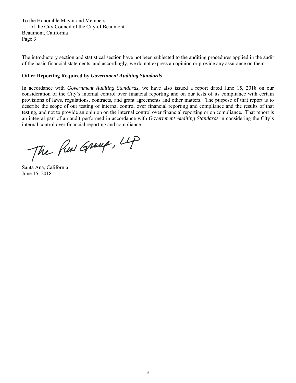To the Honorable Mayor and Members of the City Council of the City of Beaumont Beaumont, California Page 3

The introductory section and statistical section have not been subjected to the auditing procedures applied in the audit of the basic financial statements, and accordingly, we do not express an opinion or provide any assurance on them.

#### **Other Reporting Required by** *Government Auditing Standards*

In accordance with *Government Auditing Standards*, we have also issued a report dated June 15, 2018 on our consideration of the City's internal control over financial reporting and on our tests of its compliance with certain provisions of laws, regulations, contracts, and grant agreements and other matters. The purpose of that report is to describe the scope of our testing of internal control over financial reporting and compliance and the results of that testing, and not to provide an opinion on the internal control over financial reporting or on compliance. That report is an integral part of an audit performed in accordance with *Government Auditing Standards* in considering the City's internal control over financial reporting and compliance.

The Rue Group, LLP

Santa Ana, California June 15, 2018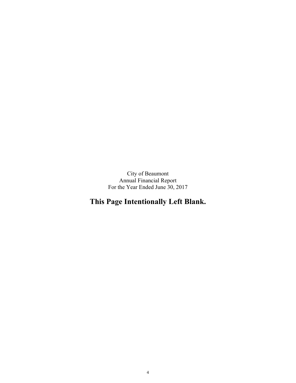## **This Page Intentionally Left Blank.**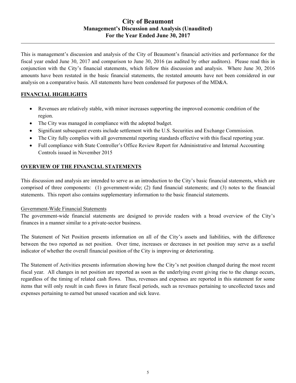This is management's discussion and analysis of the City of Beaumont's financial activities and performance for the fiscal year ended June 30, 2017 and comparison to June 30, 2016 (as audited by other auditors). Please read this in conjunction with the City's financial statements, which follow this discussion and analysis. Where June 30, 2016 amounts have been restated in the basic financial statements, the restated amounts have not been considered in our analysis on a comparative basis. All statements have been condensed for purposes of the MD&A.

### **FINANCIAL HIGHLIGHTS**

- Revenues are relatively stable, with minor increases supporting the improved economic condition of the region.
- The City was managed in compliance with the adopted budget.
- Significant subsequent events include settlement with the U.S. Securities and Exchange Commission.
- The City fully complies with all governmental reporting standards effective with this fiscal reporting year.
- Full compliance with State Controller's Office Review Report for Administrative and Internal Accounting Controls issued in November 2015

### **OVERVIEW OF THE FINANCIAL STATEMENTS**

This discussion and analysis are intended to serve as an introduction to the City's basic financial statements, which are comprised of three components: (1) government-wide; (2) fund financial statements; and (3) notes to the financial statements. This report also contains supplementary information to the basic financial statements.

#### Government-Wide Financial Statements

The government-wide financial statements are designed to provide readers with a broad overview of the City's finances in a manner similar to a private-sector business.

The Statement of Net Position presents information on all of the City's assets and liabilities, with the difference between the two reported as net position. Over time, increases or decreases in net position may serve as a useful indicator of whether the overall financial position of the City is improving or deteriorating.

The Statement of Activities presents information showing how the City's net position changed during the most recent fiscal year. All changes in net position are reported as soon as the underlying event giving rise to the change occurs, regardless of the timing of related cash flows. Thus, revenues and expenses are reported in this statement for some items that will only result in cash flows in future fiscal periods, such as revenues pertaining to uncollected taxes and expenses pertaining to earned but unused vacation and sick leave.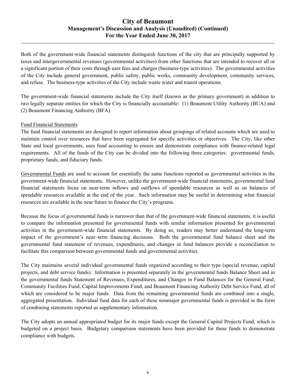Both of the government-wide financial statements distinguish functions of the city that are principally supported by taxes and intergovernmental revenues (governmental activities) from other functions that are intended to recover all or a significant portion of their costs through user fees and charges (business-type activities). The governmental activities of the City include general government, public safety, public works, community development, community services, and refuse. The business-type activities of the City include waste water and transit operations.

The government-wide financial statements include the City itself (known as the primary government) in addition to two legally separate entities for which the City is financially accountable: (1) Beaumont Utility Authority (BUA) and (2) Beaumont Financing Authority (BFA).

#### Fund Financial Statements

The fund financial statements are designed to report information about groupings of related accounts which are used to maintain control over resources that have been segregated for specific activities or objectives. The City, like other State and local governments, uses fund accounting to ensure and demonstrate compliance with finance-related legal requirements. All of the funds of the City can be divided into the following three categories: governmental funds, proprietary funds, and fiduciary funds.

Governmental Funds are used to account for essentially the same functions reported as governmental activities in the government-wide financial statements. However, unlike the government-wide financial statements, governmental fund financial statements focus on near-term inflows and outflows of spendable resources as well as on balances of spendable resources available at the end of the year. Such information may be useful in determining what financial resources are available in the near future to finance the City's programs.

Because the focus of governmental funds is narrower than that of the government-wide financial statements, it is useful to compare the information presented for governmental funds with similar information presented for governmental activities in the government-wide financial statements. By doing so, readers may better understand the long-term impact of the government's near–term financing decisions. Both the governmental fund balance sheet and the governmental fund statement of revenues, expenditures, and changes in fund balances provide a reconciliation to facilitate this comparison between governmental funds and governmental activities.

The City maintains several individual governmental funds organized according to their type (special revenue, capital projects, and debt service funds). Information is presented separately in the governmental funds Balance Sheet and in the governmental funds Statement of Revenues, Expenditures, and Changes in Fund Balances for the General Fund, Community Facilities Fund, Capital Improvements Fund, and Beaumont Financing Authority Debt Service Fund, all of which are considered to be major funds. Data from the remaining governmental funds are combined into a single, aggregated presentation. Individual fund data for each of these nonmajor governmental funds is provided in the form of combining statements reported as supplementary information.

The City adopts an annual appropriated budget for its major funds except the General Capital Projects Fund, which is budgeted on a project basis. Budgetary comparison statements have been provided for these funds to demonstrate compliance with budgets.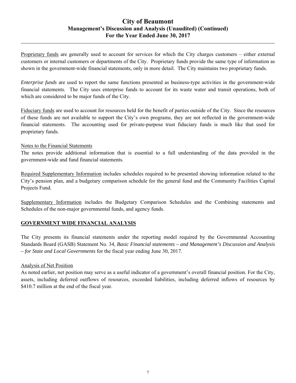Proprietary funds are generally used to account for services for which the City charges customers – either external customers or internal customers or departments of the City. Proprietary funds provide the same type of information as shown in the government-wide financial statements, only in more detail. The City maintains two proprietary funds.

*Enterprise funds* are used to report the same functions presented as business-type activities in the government-wide financial statements. The City uses enterprise funds to account for its waste water and transit operations, both of which are considered to be major funds of the City.

Fiduciary funds are used to account for resources held for the benefit of parties outside of the City. Since the resources of these funds are not available to support the City's own programs, they are not reflected in the government-wide financial statements. The accounting used for private-purpose trust fiduciary funds is much like that used for proprietary funds.

#### Notes to the Financial Statements

The notes provide additional information that is essential to a full understanding of the data provided in the government-wide and fund financial statements.

Required Supplementary Information includes schedules required to be presented showing information related to the City's pension plan, and a budgetary comparison schedule for the general fund and the Community Facilities Capital Projects Fund.

Supplementary Information includes the Budgetary Comparison Schedules and the Combining statements and Schedules of the non-major governmental funds, and agency funds.

#### **GOVERNMENT WIDE FINANCIAL ANALYSIS**

The City presents its financial statements under the reporting model required by the Governmental Accounting Standards Board (GASB) Statement No. 34, *Basic Financial statements – and Management's Discussion and Analysis – for State and Local Governments* for the fiscal year ending June 30, 2017.

#### Analysis of Net Position

As noted earlier, net position may serve as a useful indicator of a government's overall financial position. For the City, assets, including deferred outflows of resources, exceeded liabilities, including deferred inflows of resources by \$410.7 million at the end of the fiscal year.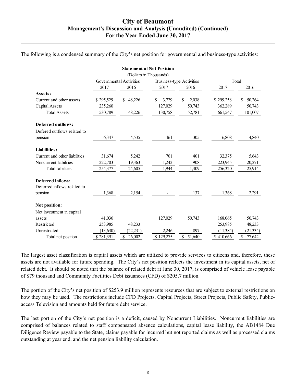The following is a condensed summary of the City's net position for governmental and business-type activities:

|                               |           |                                                   | <b>Statement of Net Position</b> |                                  |           |             |
|-------------------------------|-----------|---------------------------------------------------|----------------------------------|----------------------------------|-----------|-------------|
|                               |           | (Dollars in Thousands)<br>Governmental Activities |                                  | Total                            |           |             |
|                               | 2017      | 2016                                              | 2017                             | Business-type Activities<br>2016 | 2017      | 2016        |
| Assets:                       |           |                                                   |                                  |                                  |           |             |
| Current and other assets      | \$295,529 | \$<br>48,226                                      | \$<br>3,729                      | \$<br>2,038                      | \$299,258 | 50,264<br>S |
| Capital Assets                | 235,260   |                                                   | 127,029                          | 50,743                           | 362,289   | 50,743      |
| <b>Total Assets</b>           | 530,789   | 48,226                                            | 130,758                          | 52,781                           | 661,547   | 101,007     |
| Deferred outlfows:            |           |                                                   |                                  |                                  |           |             |
| Defered outflows related to   |           |                                                   |                                  |                                  |           |             |
| pension                       | 6,347     | 4,535                                             | 461                              | 305                              | 6,808     | 4,840       |
| <b>Liabilities:</b>           |           |                                                   |                                  |                                  |           |             |
| Current and other liabilities | 31,674    | 5,242                                             | 701                              | 401                              | 32,375    | 5,643       |
| Noncurrent liabilities        | 222,703   | 19,363                                            | 1,242                            | 908                              | 223,945   | 20,271      |
| <b>Total</b> liabilities      | 254,377   | 24,605                                            | 1,944                            | 1,309                            | 256,320   | 25,914      |
| Deferred inflows:             |           |                                                   |                                  |                                  |           |             |
| Deferred inflows related to   |           |                                                   |                                  |                                  |           |             |
| pension                       | 1,368     | 2,154                                             |                                  | 137                              | 1,368     | 2,291       |
| Net position:                 |           |                                                   |                                  |                                  |           |             |
| Net investment in capital     |           |                                                   |                                  |                                  |           |             |
| assets                        | 41,036    |                                                   | 127,029                          | 50,743                           | 168,065   | 50,743      |
| Restricted                    | 253,985   | 48,233                                            |                                  |                                  | 253,985   | 48,233      |
| Unrestricted                  | (13,630)  | (22, 231)                                         | 2,246                            | 897                              | (11, 384) | (21, 334)   |
| Total net position            | \$281,391 | \$<br>26,002                                      | \$129,275                        | \$51,640                         | \$410,666 | \$ 77,642   |

The largest asset classification is capital assets which are utilized to provide services to citizens and, therefore, these assets are not available for future spending. The City's net position reflects the investment in its capital assets, net of related debt. It should be noted that the balance of related debt at June 30, 2017, is comprised of vehicle lease payable of \$79 thousand and Community Facilities Debt issuances (CFD) of \$205.7 million.

The portion of the City's net position of \$253.9 million represents resources that are subject to external restrictions on how they may be used. The restrictions include CFD Projects, Capital Projects, Street Projects, Public Safety, Publicaccess Television and amounts held for future debt service.

The last portion of the City's net position is a deficit, caused by Noncurrent Liabilities. Noncurrent liabilities are comprised of balances related to staff compensated absence calculations, capital lease liability, the AB1484 Due Diligence Review payable to the State, claims payable for incurred but not reported claims as well as processed claims outstanding at year end, and the net pension liability calculation.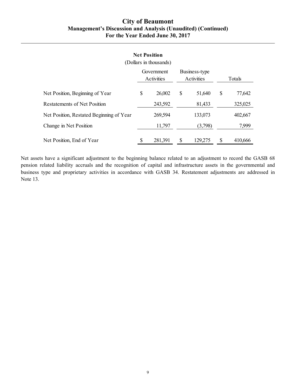#### **Net Position** (Dollars in thousands)

|                                          | Business-type<br>Government<br>Activities<br>Activities |    |         | Totals |         |
|------------------------------------------|---------------------------------------------------------|----|---------|--------|---------|
| Net Position, Beginning of Year          | \$<br>26,002                                            | \$ | 51,640  | \$     | 77,642  |
| <b>Restatements of Net Position</b>      | 243,592                                                 |    | 81,433  |        | 325,025 |
| Net Position, Restated Beginning of Year | 269,594                                                 |    | 133,073 |        | 402,667 |
| Change in Net Position                   | 11,797                                                  |    | (3,798) |        | 7,999   |
| Net Position, End of Year                | 281,391                                                 | \$ | 129,275 | S      | 410,666 |

Net assets have a significant adjustment to the beginning balance related to an adjustment to record the GASB 68 pension related liability accruals and the recognition of capital and infrastructure assets in the governmental and business type and proprietary activities in accordance with GASB 34. Restatement adjustments are addressed in Note 13.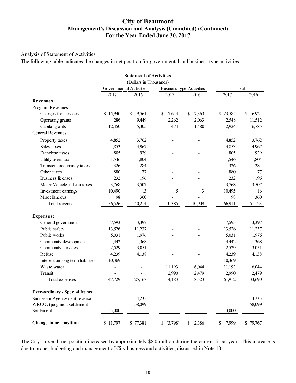## Analysis of Statement of Activities

The following table indicates the changes in net position for governmental and business-type activities:

|                                       |          | <b>Statement of Activities</b> |                                 |                       |                       |                |
|---------------------------------------|----------|--------------------------------|---------------------------------|-----------------------|-----------------------|----------------|
|                                       |          | (Dollars in Thousands)         |                                 |                       |                       |                |
|                                       |          | Governmental Activities        | <b>Business-type Activities</b> |                       |                       | Total          |
|                                       | 2017     | 2016                           | 2017                            | 2016                  | 2017                  | 2016           |
| Revenues:                             |          |                                |                                 |                       |                       |                |
| Program Revenues:                     |          |                                |                                 |                       |                       |                |
| Charges for services                  | \$15,940 | 9,561<br>\$                    | \$<br>7,644                     | 7,363<br>\$           | \$23,584              | \$16,924       |
| Operating grants                      | 286      | 9,449                          | 2,262                           | 2,063                 | 2,548                 | 11,512         |
| Capital grants                        | 12,450   | 5,305                          | 474                             | 1,480                 | 12,924                | 6,785          |
| General Revenues:                     |          |                                |                                 |                       |                       |                |
| Property taxes                        | 4,852    | 3,762                          |                                 |                       | 4,852                 | 3,762          |
| Sales taxes                           | 4,853    | 4,967                          |                                 |                       | 4,853                 | 4,967          |
| Franchise taxes                       | 805      | 929                            |                                 |                       | 805                   | 929            |
| Utility users tax                     | 1,546    | 1,804                          |                                 |                       | 1,546                 | 1,804          |
| Transient occupancy taxes             | 326      | 284                            |                                 |                       | 326                   | 284            |
| Other taxes                           | 880      | 77                             |                                 |                       | 880                   | 77             |
| <b>Business licenses</b>              | 232      | 196                            |                                 |                       | 232                   | 196            |
| Motor Vehicle in Lieu taxes           | 3,768    | 3,507                          |                                 |                       | 3,768                 | 3,507          |
| Investment earnings                   | 10,490   | 13                             | 5                               | 3                     | 10,495                | 16             |
| Miscellaneous                         | 98       | 360                            |                                 |                       | 98                    | 360            |
| Total revenues                        | 56,526   | 40,214                         | 10,385                          | 10,909                | 66,911                | 51,123         |
| Expenses:                             |          |                                |                                 |                       |                       |                |
| General government                    | 7,593    | 3,397                          |                                 |                       | 7,593                 | 3,397          |
| Public safety                         | 13,526   | 11,237                         |                                 |                       | 13,526                | 11,237         |
| Public works                          | 5,031    | 1,976                          |                                 |                       | 5,031                 | 1,976          |
| Community development                 | 4,442    | 1,368                          |                                 |                       | 4,442                 | 1,368          |
| Community services                    | 2,529    | 3,051                          |                                 |                       | 2,529                 | 3,051          |
| Refuse                                | 4,239    | 4,138                          |                                 |                       | 4,239                 | 4,138          |
| Interest on long term liabilities     | 10,369   | $\blacksquare$                 |                                 |                       | 10,369                |                |
| Waste water                           |          |                                | 11,193                          | 6,044                 | 11,193                | 6,044          |
| Transit                               |          |                                | 2,990                           | 2,479                 | 2,990                 | 2,479          |
| Total expenses                        | 47,729   | 25,167                         | 14,183                          | 8,523                 | 61,912                | 33,690         |
| <b>Extraordinary / Special Items:</b> |          |                                |                                 |                       |                       |                |
| Successor Agency debt reversal        |          | 4,235                          |                                 |                       |                       | 4,235          |
| WRCOG judgment settlement             |          | 58,099                         |                                 |                       |                       | 58,099         |
| Settlement                            | 3,000    | $\qquad \qquad \blacksquare$   |                                 |                       | 3,000                 | $\blacksquare$ |
| Change in net position                | \$11,797 | \$77,381                       | \$ (3,798)                      | $\mathbb{S}$<br>2,386 | $\mathbb{S}$<br>7,999 | \$79,767       |

The City's overall net position increased by approximately \$8.0 million during the current fiscal year. This increase is due to proper budgeting and management of City business and activities, discussed in Note 10.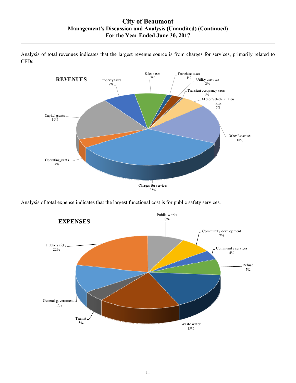Analysis of total revenues indicates that the largest revenue source is from charges for services, primarily related to CFDs.



Analysis of total expense indicates that the largest functional cost is for public safety services.

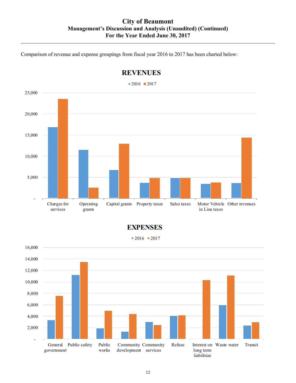Comparison of revenue and expense groupings from fiscal year 2016 to 2017 has been charted below:



## **REVENUES**

**EXPENSES**

 $2016 - 2017$ 

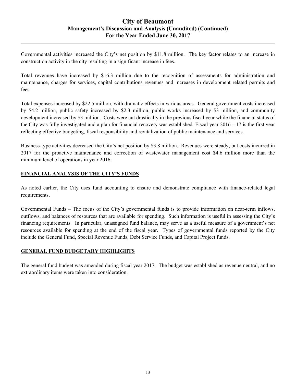Governmental activities increased the City's net position by \$11.8 million. The key factor relates to an increase in construction activity in the city resulting in a significant increase in fees.

Total revenues have increased by \$16.3 million due to the recognition of assessments for administration and maintenance, charges for services, capital contributions revenues and increases in development related permits and fees.

Total expenses increased by \$22.5 million, with dramatic effects in various areas. General government costs increased by \$4.2 million, public safety increased by \$2.3 million, public works increased by \$3 million, and community development increased by \$3 million. Costs were cut drastically in the previous fiscal year while the financial status of the City was fully investigated and a plan for financial recovery was established. Fiscal year  $2016 - 17$  is the first year reflecting effective budgeting, fiscal responsibility and revitalization of public maintenance and services.

Business-type activities decreased the City's net position by \$3.8 million. Revenues were steady, but costs incurred in 2017 for the proactive maintenance and correction of wastewater management cost \$4.6 million more than the minimum level of operations in year 2016.

### **FINANCIAL ANALYSIS OF THE CITY'S FUNDS**

As noted earlier, the City uses fund accounting to ensure and demonstrate compliance with finance-related legal requirements.

Governmental Funds – The focus of the City's governmental funds is to provide information on near-term inflows, outflows, and balances of resources that are available for spending. Such information is useful in assessing the City's financing requirements. In particular, unassigned fund balance, may serve as a useful measure of a government's net resources available for spending at the end of the fiscal year. Types of governmental funds reported by the City include the General Fund, Special Revenue Funds, Debt Service Funds, and Capital Project funds.

#### **GENERAL FUND BUDGETARY HIGHLIGHTS**

The general fund budget was amended during fiscal year 2017. The budget was established as revenue neutral, and no extraordinary items were taken into consideration.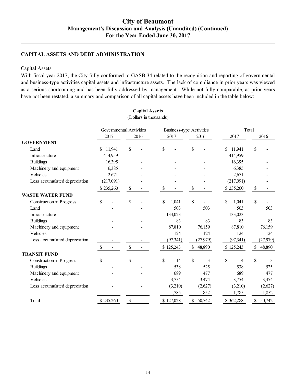#### **CAPITAL ASSETS AND DEBT ADMINISTRATION**

#### Capital Assets

With fiscal year 2017, the City fully conformed to GASB 34 related to the recognition and reporting of governmental and business-type activities capital assets and infrastructure assets. The lack of compliance in prior years was viewed as a serious shortcoming and has been fully addressed by management. While not fully comparable, as prior years have not been restated, a summary and comparison of all capital assets have been included in the table below:

|                               | <b>Governmental Activities</b> |             |      | <b>Business-type Activities</b> |               |           | Total        |               |           |
|-------------------------------|--------------------------------|-------------|------|---------------------------------|---------------|-----------|--------------|---------------|-----------|
|                               | 2017                           |             | 2016 | 2017                            |               | 2016      | 2017         |               | 2016      |
| <b>GOVERNMENT</b>             |                                |             |      |                                 |               |           |              |               |           |
| Land                          | \$<br>11,941                   | \$          |      | \$                              | \$            |           | \$<br>11,941 | \$            |           |
| Infrastructure                | 414,959                        |             |      |                                 |               |           | 414,959      |               |           |
| <b>Buildings</b>              | 16,395                         |             |      |                                 |               |           | 16,395       |               |           |
| Machinery and equipment       | 6,385                          |             |      |                                 |               |           | 6,385        |               |           |
| Vehicles                      | 2,671                          |             |      |                                 |               |           | 2,671        |               |           |
| Less accumulated depreciation | (217,091)                      |             |      |                                 |               |           | (217,091)    |               |           |
|                               | \$235,260                      | $\mathbb S$ |      | \$<br>$\blacksquare$            | $\mathsf{\$}$ |           | \$235,260    | $\mathbb{S}$  |           |
| <b>WASTE WATER FUND</b>       |                                |             |      |                                 |               |           |              |               |           |
| Construction in Progress      | \$                             | \$          |      | \$<br>1,041                     | \$            |           | \$<br>1,041  | \$            |           |
| Land                          |                                |             |      | 503                             |               | 503       | 503          |               | 503       |
| Infrastructure                |                                |             |      | 133,023                         |               |           | 133,023      |               |           |
| <b>Buildings</b>              |                                |             |      | 83                              |               | 83        | 83           |               | 83        |
| Machinery and equipment       |                                |             |      | 87,810                          |               | 76,159    | 87,810       |               | 76,159    |
| Vehicles                      |                                |             |      | 124                             |               | 124       | 124          |               | 124       |
| Less accumulated depreciation |                                |             |      | (97, 341)                       |               | (27, 979) | (97, 341)    |               | (27, 979) |
|                               | \$                             | \$          |      | \$125,243                       |               | \$48,890  | \$125,243    | $\mathbb S$   | 48,890    |
| <b>TRANSIT FUND</b>           |                                |             |      |                                 |               |           |              |               |           |
| Construction in Progress      | \$                             | \$          |      | \$<br>14                        | \$            | 3         | \$<br>14     | $\mathcal{S}$ | 3         |
| <b>Buildings</b>              |                                |             |      | 538                             |               | 525       | 538          |               | 525       |
| Machinery and equipment       |                                |             |      | 689                             |               | 477       | 689          |               | 477       |
| Vehicles                      |                                |             |      | 3,754                           |               | 3,474     | 3,754        |               | 3,474     |
| Less accumulated depreciation |                                |             |      | (3,210)                         |               | (2,627)   | (3,210)      |               | (2,627)   |
|                               | $\overline{\phantom{a}}$       |             | -    | 1,785                           |               | 1,852     | 1,785        |               | 1,852     |
| Total                         | \$235,260                      | \$          |      | \$127,028                       |               | \$50,742  | \$362,288    | \$            | 50,742    |

#### **Capital Assets** (Dollars in thousands)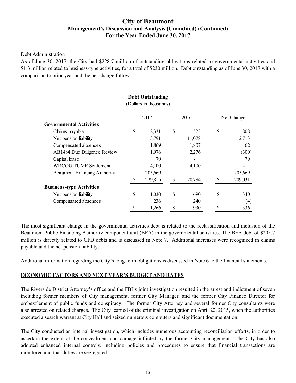Debt Administration

As of June 30, 2017, the City had \$228.7 million of outstanding obligations related to governmental activities and \$1.3 million related to business-type activities, for a total of \$230 million. Debt outstanding as of June 30, 2017 with a comparison to prior year and the net change follows:

|                                     |    | <b>Debt Outstanding</b><br>(Dollars in thousands) |              |            |
|-------------------------------------|----|---------------------------------------------------|--------------|------------|
|                                     |    | 2017                                              | 2016         | Net Change |
| <b>Governmental Activities</b>      |    |                                                   |              |            |
| Claims payable                      | \$ | 2,331                                             | \$<br>1,523  | \$<br>808  |
| Net pension liability               |    | 13,791                                            | 11,078       | 2,713      |
| Compensated absences                |    | 1,869                                             | 1,807        | 62         |
| AB1484 Due Diligence Review         |    | 1,976                                             | 2,276        | (300)      |
| Capital lease                       |    | 79                                                |              | 79         |
| <b>WRCOG TUMF Settlement</b>        |    | 4,100                                             | 4,100        |            |
| <b>Beaumont Financing Authority</b> |    | 205,669                                           |              | 205,669    |
|                                     | S  | 229,815                                           | \$<br>20,784 | 209,031    |
| <b>Business-type Activities</b>     |    |                                                   |              |            |
| Net pension liability               | \$ | 1,030                                             | \$<br>690    | \$<br>340  |
| Compensated absences                |    | 236                                               | 240          | (4)        |
|                                     | \$ | 1,266                                             | \$<br>930    | 336        |

The most significant change in the governmental activities debt is related to the reclassification and inclusion of the Beaumont Public Financing Authority component unit (BFA) in the governmental activities. The BFA debt of \$205.7 million is directly related to CFD debts and is discussed in Note 7. Additional increases were recognized in claims payable and the net pension liability.

Additional information regarding the City's long-term obligations is discussed in Note 6 to the financial statements.

#### **ECONOMIC FACTORS AND NEXT YEAR'S BUDGET AND RATES**

The Riverside District Attorney's office and the FBI's joint investigation resulted in the arrest and indictment of seven including former members of City management, former City Manager, and the former City Finance Director for embezzlement of public funds and conspiracy. The former City Attorney and several former City consultants were also arrested on related charges. The City learned of the criminal investigation on April 22, 2015, when the authorities executed a search warrant at City Hall and seized numerous computers and significant documentation.

The City conducted an internal investigation, which includes numerous accounting reconciliation efforts, in order to ascertain the extent of the concealment and damage inflicted by the former City management. The City has also adopted enhanced internal controls, including policies and procedures to ensure that financial transactions are monitored and that duties are segregated.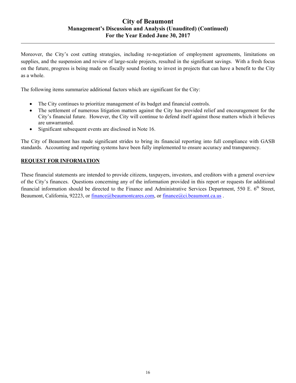Moreover, the City's cost cutting strategies, including re-negotiation of employment agreements, limitations on supplies, and the suspension and review of large-scale projects, resulted in the significant savings. With a fresh focus on the future, progress is being made on fiscally sound footing to invest in projects that can have a benefit to the City as a whole.

The following items summarize additional factors which are significant for the City:

- The City continues to prioritize management of its budget and financial controls.
- The settlement of numerous litigation matters against the City has provided relief and encouragement for the City's financial future. However, the City will continue to defend itself against those matters which it believes are unwarranted.
- Significant subsequent events are disclosed in Note 16.

The City of Beaumont has made significant strides to bring its financial reporting into full compliance with GASB standards. Accounting and reporting systems have been fully implemented to ensure accuracy and transparency.

### **REQUEST FOR INFORMATION**

These financial statements are intended to provide citizens, taxpayers, investors, and creditors with a general overview of the City's finances. Questions concerning any of the information provided in this report or requests for additional financial information should be directed to the Finance and Administrative Services Department, 550 E.  $6<sup>th</sup>$  Street, Beaumont, California, 92223, or finance@beaumontcares.com, or finance@ci.beaumont.ca.us .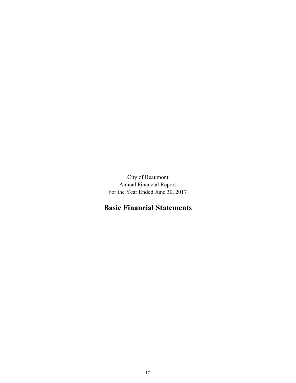## **Basic Financial Statements**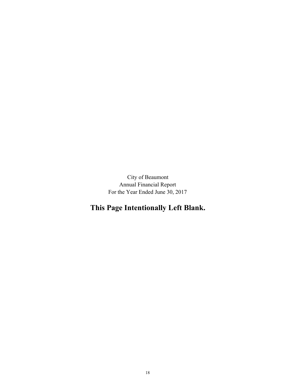## **This Page Intentionally Left Blank.**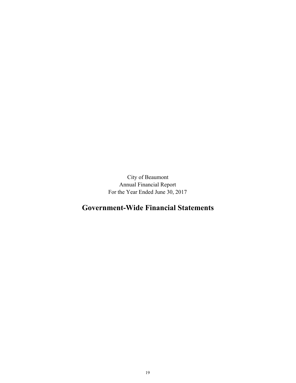## **Government-Wide Financial Statements**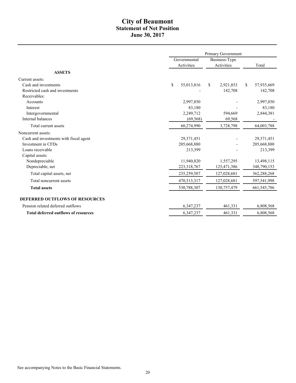### **City of Beaumont Statement of Net Position June 30, 2017**

|                                             | Governmental | Business-Type |                 |    |               |
|---------------------------------------------|--------------|---------------|-----------------|----|---------------|
|                                             |              | Activities    | Activities      |    | Total         |
| <b>ASSETS</b>                               |              |               |                 |    |               |
| Current assets:                             |              |               |                 |    |               |
| Cash and investments                        | \$           | 55,013,816    | \$<br>2,921,853 | \$ | 57,935,669    |
| Restricted cash and investments             |              |               | 142,708         |    | 142,708       |
| Receivables:                                |              |               |                 |    |               |
| Accounts                                    |              | 2,997,850     |                 |    | 2,997,850     |
| Interest                                    |              | 83,180        |                 |    | 83,180        |
| Intergovernmental                           |              | 2,249,712     | 594,669         |    | 2,844,381     |
| Internal balances                           |              | (69, 568)     | 69,568          |    |               |
| Total current assets                        |              | 60,274,990    | 3,728,798       |    | 64,003,788    |
| Noncurrent assets:                          |              |               |                 |    |               |
| Cash and investments with fiscal agent      |              | 29,371,451    |                 |    | 29,371,451    |
| Investment in CFDs                          |              | 205,668,880   |                 |    | 205,668,880   |
| Loans receivable                            |              | 213,399       |                 |    | 213,399       |
| Capital assets:                             |              |               |                 |    |               |
| Nondepreciable                              |              | 11,940,820    | 1,557,295       |    | 13,498,115    |
| Depreciable, net                            |              | 223,318,767   | 125,471,386     |    | 348,790,153   |
| Total capital assets, net                   |              | 235,259,587   | 127,028,681     |    | 362,288,268   |
| Total noncurrent assets                     |              | 470,513,317   | 127,028,681     |    | 597,541,998   |
| <b>Total assets</b>                         |              | 530,788,307   | 130,757,479     |    | 661, 545, 786 |
| DEFERRED OUTFLOWS OF RESOURCES              |              |               |                 |    |               |
| Pension related deferred outflows           |              | 6,347,237     | 461,331         |    | 6,808,568     |
| <b>Total deferred outflows of resources</b> |              | 6,347,237     | 461,331         |    | 6,808,568     |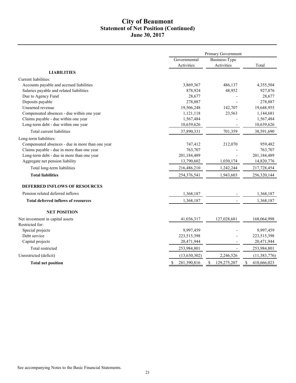### **City of Beaumont Statement of Net Position (Continued) June 30, 2017**

|                                                  | Primary Government         |                             |                   |  |  |  |
|--------------------------------------------------|----------------------------|-----------------------------|-------------------|--|--|--|
|                                                  | Governmental<br>Activities | Business-Type<br>Activities | Total             |  |  |  |
| <b>LIABILITIES</b>                               |                            |                             |                   |  |  |  |
| Current liabilities:                             |                            |                             |                   |  |  |  |
| Accounts payable and accrued liabilities         | 3,869,367                  | 486,137                     | 4,355,504         |  |  |  |
| Salaries payable and related liabilities         | 878,924                    | 48,952                      | 927,876           |  |  |  |
| Due to Agency Fund                               | 28,677                     |                             | 28,677            |  |  |  |
| Deposits payable                                 | 278,887                    |                             | 278,887           |  |  |  |
| Unearned revenue                                 | 19,506,248                 | 142,707                     | 19,648,955        |  |  |  |
| Compensated absences - due within one year       | 1,121,118                  | 23,563                      | 1,144,681         |  |  |  |
| Claims payable - due within one year             | 1,567,484                  |                             | 1,567,484         |  |  |  |
| Long-term debt - due within one year             | 10,639,626                 |                             | 10,639,626        |  |  |  |
| Total current liabilities                        | 37,890,331                 | 701,359                     | 38,591,690        |  |  |  |
| Long-term liabilities:                           |                            |                             |                   |  |  |  |
| Compensated absences - due in more than one year | 747,412                    | 212,070                     | 959,482           |  |  |  |
| Claims payable - due in more than one year       | 763,707                    |                             | 763,707           |  |  |  |
| Long-term debt - due in more than one year       | 201,184,489                |                             | 201,184,489       |  |  |  |
| Aggregate net pension liability                  | 13,790,602                 | 1,030,174                   | 14,820,776        |  |  |  |
| Total long-term liabilities                      | 216,486,210                | 1,242,244                   | 217,728,454       |  |  |  |
| <b>Total liabilities</b>                         | 254,376,541                | 1,943,603                   | 256,320,144       |  |  |  |
| <b>DEFERRED INFLOWS OF RESOURCES</b>             |                            |                             |                   |  |  |  |
| Pension related deferred inflows                 | 1,368,187                  |                             | 1,368,187         |  |  |  |
| <b>Total deferred inflows of resources</b>       | 1,368,187                  |                             | 1,368,187         |  |  |  |
| <b>NET POSITION</b>                              |                            |                             |                   |  |  |  |
| Net investment in capital assets                 | 41,036,317                 | 127,028,681                 | 168,064,998       |  |  |  |
| Restricted for:                                  |                            |                             |                   |  |  |  |
| Special projects                                 | 9,997,459                  |                             | 9,997,459         |  |  |  |
| Debt service                                     | 223,515,398                |                             | 223,515,398       |  |  |  |
| Capital projects                                 | 20,471,944                 |                             | 20,471,944        |  |  |  |
| Total restricted                                 | 253,984,801                |                             | 253,984,801       |  |  |  |
| Unrestricted (deficit)                           | (13,630,302)               | 2,246,526                   | (11, 383, 776)    |  |  |  |
| <b>Total net position</b>                        | 281,390,816<br>\$          | 129,275,207<br>\$           | \$<br>410,666,023 |  |  |  |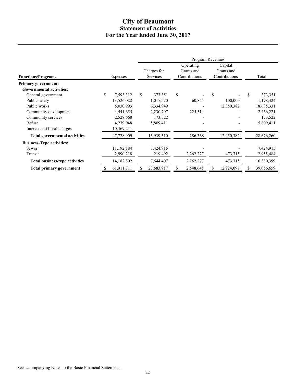### **City of Beaumont Statement of Activities For the Year Ended June 30, 2017**

|                                       |    |            | Program Revenues |                                |               |                                          |   |                                        |    |            |
|---------------------------------------|----|------------|------------------|--------------------------------|---------------|------------------------------------------|---|----------------------------------------|----|------------|
| <b>Functions/Programs</b>             |    | Expenses   |                  | Charges for<br><b>Services</b> |               | Operating<br>Grants and<br>Contributions |   | Capital<br>Grants and<br>Contributions |    | Total      |
| <b>Primary government:</b>            |    |            |                  |                                |               |                                          |   |                                        |    |            |
| <b>Governmental activities:</b>       |    |            |                  |                                |               |                                          |   |                                        |    |            |
| General government                    | \$ | 7,593,312  | \$.              | 373,351                        | <sup>\$</sup> |                                          | S |                                        | \$ | 373,351    |
| Public safety                         |    | 13,526,022 |                  | 1,017,570                      |               | 60,854                                   |   | 100,000                                |    | 1,178,424  |
| Public works                          |    | 5,030,993  |                  | 6,334,949                      |               |                                          |   | 12,350,382                             |    | 18,685,331 |
| Community development                 |    | 4,441,655  |                  | 2,230,707                      |               | 225,514                                  |   |                                        |    | 2,456,221  |
| Community services                    |    | 2,528,668  |                  | 173,522                        |               |                                          |   |                                        |    | 173,522    |
| Refuse                                |    | 4,239,048  |                  | 5,809,411                      |               |                                          |   |                                        |    | 5,809,411  |
| Interest and fiscal charges           |    | 10,369,211 |                  |                                |               |                                          |   |                                        |    |            |
| <b>Total governmental activities</b>  |    | 47,728,909 |                  | 15,939,510                     |               | 286,368                                  |   | 12,450,382                             |    | 28,676,260 |
| <b>Business-Type activities:</b>      |    |            |                  |                                |               |                                          |   |                                        |    |            |
| Sewer                                 |    | 11,192,584 |                  | 7,424,915                      |               |                                          |   |                                        |    | 7,424,915  |
| Transit                               |    | 2,990,218  |                  | 219,492                        |               | 2,262,277                                |   | 473,715                                |    | 2,955,484  |
| <b>Total business-type activities</b> |    | 14,182,802 |                  | 7,644,407                      |               | 2,262,277                                |   | 473,715                                |    | 10,380,399 |
| Total primary government              |    | 61,911,711 |                  | 23,583,917                     |               | 2,548,645                                |   | 12,924,097                             |    | 39,056,659 |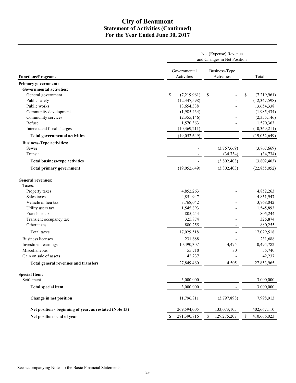### **City of Beaumont Statement of Activities (Continued) For the Year Ended June 30, 2017**

|                                                         | Net (Expense) Revenue<br>and Changes in Net Position |                             |                        |  |  |  |  |
|---------------------------------------------------------|------------------------------------------------------|-----------------------------|------------------------|--|--|--|--|
| <b>Functions/Programs</b>                               | Governmental<br>Activities                           | Business-Type<br>Activities | Total                  |  |  |  |  |
| <b>Primary government:</b>                              |                                                      |                             |                        |  |  |  |  |
| <b>Governmental activities:</b>                         |                                                      |                             |                        |  |  |  |  |
| General government                                      | \$<br>(7,219,961)                                    | \$                          | \$<br>(7,219,961)      |  |  |  |  |
| Public safety                                           | (12, 347, 598)                                       |                             | (12, 347, 598)         |  |  |  |  |
| Public works                                            | 13,654,338                                           |                             | 13,654,338             |  |  |  |  |
| Community development                                   | (1,985,434)                                          |                             | (1,985,434)            |  |  |  |  |
| Community services                                      | (2,355,146)                                          |                             | (2,355,146)            |  |  |  |  |
| Refuse                                                  | 1,570,363                                            |                             | 1,570,363              |  |  |  |  |
| Interest and fiscal charges                             | (10, 369, 211)                                       |                             | (10, 369, 211)         |  |  |  |  |
| <b>Total governmental activities</b>                    | (19,052,649)                                         |                             | (19,052,649)           |  |  |  |  |
| <b>Business-Type activities:</b>                        |                                                      |                             |                        |  |  |  |  |
| Sewer                                                   |                                                      | (3,767,669)                 | (3,767,669)            |  |  |  |  |
| Transit                                                 |                                                      | (34, 734)                   | (34, 734)              |  |  |  |  |
| <b>Total business-type activities</b>                   |                                                      | (3,802,403)                 | (3,802,403)            |  |  |  |  |
| <b>Total primary government</b>                         | (19,052,649)                                         | (3,802,403)                 | (22, 855, 052)         |  |  |  |  |
| <b>General revenues:</b>                                |                                                      |                             |                        |  |  |  |  |
| Taxes:                                                  |                                                      |                             |                        |  |  |  |  |
| Property taxes                                          | 4,852,263                                            |                             | 4,852,263              |  |  |  |  |
| Sales taxes<br>Vehicle in lieu tax                      | 4,851,947                                            |                             | 4,851,947              |  |  |  |  |
| Utility users tax                                       | 3,768,042<br>1,545,893                               |                             | 3,768,042<br>1,545,893 |  |  |  |  |
| Franchise tax                                           | 805,244                                              |                             | 805,244                |  |  |  |  |
| Transient occupancy tax                                 | 325,874                                              |                             | 325,874                |  |  |  |  |
| Other taxes                                             | 880,255                                              |                             | 880,255                |  |  |  |  |
| Total taxes                                             | 17,029,518                                           |                             | 17,029,518             |  |  |  |  |
| <b>Business licenses</b>                                | 231,688                                              |                             | 231,688                |  |  |  |  |
| Investment earnings                                     | 10,490,307                                           | 4,475                       | 10,494,782             |  |  |  |  |
| Miscellaneous                                           | 55,710                                               | 30                          | 55,740                 |  |  |  |  |
| Gain on sale of assets                                  | 42,237                                               |                             | 42,237                 |  |  |  |  |
| Total general revenues and transfers                    | 27,849,460                                           | 4,505                       | 27,853,965             |  |  |  |  |
| <b>Special Item:</b>                                    |                                                      |                             |                        |  |  |  |  |
| Settlement                                              | 3,000,000                                            |                             | 3,000,000              |  |  |  |  |
| <b>Total special item</b>                               | 3,000,000                                            |                             | 3,000,000              |  |  |  |  |
| Change in net position                                  | 11,796,811                                           | (3,797,898)                 | 7,998,913              |  |  |  |  |
| Net position - beginning of year, as restated (Note 13) | 269,594,005                                          | 133,073,105                 | 402,667,110            |  |  |  |  |
| Net position - end of year                              | 281,390,816                                          | 129,275,207                 | 410,666,023<br>\$      |  |  |  |  |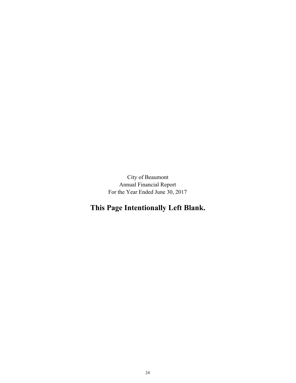## **This Page Intentionally Left Blank.**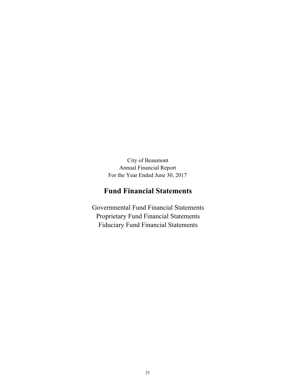## **Fund Financial Statements**

Fiduciary Fund Financial Statements Governmental Fund Financial Statements Proprietary Fund Financial Statements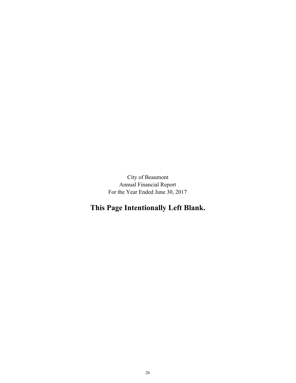## **This Page Intentionally Left Blank.**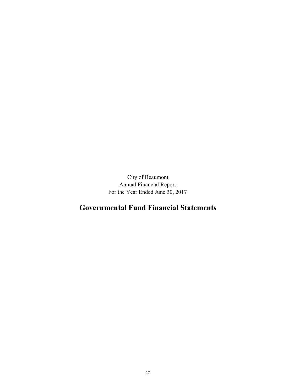## **Governmental Fund Financial Statements**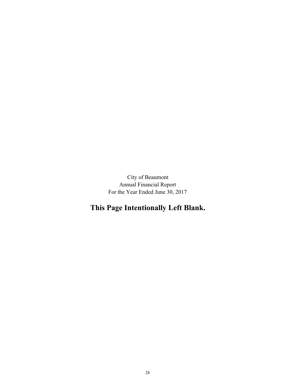## **This Page Intentionally Left Blank.**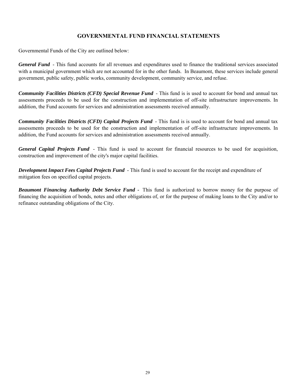### **GOVERNMENTAL FUND FINANCIAL STATEMENTS**

Governmental Funds of the City are outlined below:

*General Fund* - This fund accounts for all revenues and expenditures used to finance the traditional services associated with a municipal government which are not accounted for in the other funds. In Beaumont, these services include general government, public safety, public works, community development, community service, and refuse.

*Community Facilities Districts (CFD) Special Revenue Fund* - This fund is is used to account for bond and annual tax assessments proceeds to be used for the construction and implementation of off-site infrastructure improvements. In addition, the Fund accounts for services and administration assessments received annually.

*Community Facilities Districts (CFD) Capital Projects Fund* - This fund is is used to account for bond and annual tax assessments proceeds to be used for the construction and implementation of off-site infrastructure improvements. In addition, the Fund accounts for services and administration assessments received annually.

*General Capital Projects Fund* - This fund is used to account for financial resources to be used for acquisition, construction and improvement of the city's major capital facilities.

*Development Impact Fees Capital Projects Fund* - This fund is used to account for the receipt and expenditure of mitigation fees on specified capital projects.

*Beaumont Financing Authority Debt Service Fund -* This fund is authorized to borrow money for the purpose of financing the acquisition of bonds, notes and other obligations of, or for the purpose of making loans to the City and/or to refinance outstanding obligations of the City.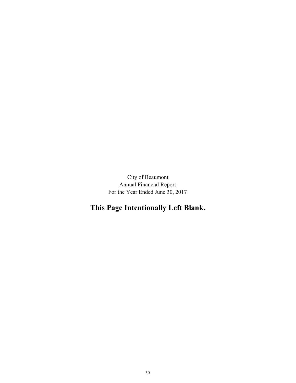## **This Page Intentionally Left Blank.**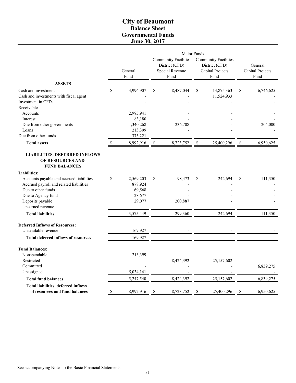## **June 30, 2017 Governmental Funds Balance Sheet City of Beaumont**

|                                                                                                         |    |                 |    |                                                                          | Major Funds |                                                                    |              |                                     |
|---------------------------------------------------------------------------------------------------------|----|-----------------|----|--------------------------------------------------------------------------|-------------|--------------------------------------------------------------------|--------------|-------------------------------------|
|                                                                                                         |    | General<br>Fund |    | <b>Community Facilities</b><br>District (CFD)<br>Special Revenue<br>Fund |             | Community Facilities<br>District (CFD)<br>Capital Projects<br>Fund |              | General<br>Capital Projects<br>Fund |
| <b>ASSETS</b>                                                                                           |    |                 |    |                                                                          |             |                                                                    |              |                                     |
| Cash and investments<br>Cash and investments with fiscal agent<br>Investment in CFDs                    | \$ | 3,996,907       | \$ | 8,487,044                                                                | \$          | 13,875,363<br>11,524,933                                           | \$           | 6,746,625                           |
| Receivables:                                                                                            |    |                 |    |                                                                          |             |                                                                    |              |                                     |
| Accounts                                                                                                |    | 2,985,941       |    |                                                                          |             |                                                                    |              |                                     |
| Interest                                                                                                |    | 83,180          |    |                                                                          |             |                                                                    |              |                                     |
| Due from other governments                                                                              |    | 1,340,268       |    | 236,708                                                                  |             |                                                                    |              | 204,000                             |
| Loans                                                                                                   |    | 213,399         |    |                                                                          |             |                                                                    |              |                                     |
| Due from other funds                                                                                    |    | 373,221         |    |                                                                          |             |                                                                    |              |                                     |
| <b>Total assets</b>                                                                                     | \$ | 8,992,916       | \$ | 8,723,752                                                                | \$          | 25,400,296                                                         | $\mathbb{S}$ | 6,950,625                           |
| <b>LIABILITIES, DEFERRED INFLOWS</b><br>OF RESOURCES AND<br><b>FUND BALANCES</b><br><b>Liabilities:</b> |    |                 |    |                                                                          |             |                                                                    |              |                                     |
| Accounts payable and accrued liabilities                                                                | \$ | 2,569,203       | \$ | 98,473                                                                   | \$          | 242,694                                                            | \$           | 111,350                             |
| Accrued payroll and related liabilities                                                                 |    | 878,924         |    |                                                                          |             |                                                                    |              |                                     |
| Due to other funds                                                                                      |    | 69,568          |    |                                                                          |             |                                                                    |              |                                     |
| Due to Agency fund                                                                                      |    | 28,677          |    |                                                                          |             |                                                                    |              |                                     |
| Deposits payable                                                                                        |    | 29,077          |    | 200,887                                                                  |             |                                                                    |              |                                     |
| Unearned revenue                                                                                        |    |                 |    |                                                                          |             |                                                                    |              |                                     |
| <b>Total liabilities</b>                                                                                |    | 3,575,449       |    | 299,360                                                                  |             | 242,694                                                            |              | 111,350                             |
| <b>Deferred Inflows of Resources:</b>                                                                   |    |                 |    |                                                                          |             |                                                                    |              |                                     |
| Unavailable revenue                                                                                     |    | 169,927         |    |                                                                          |             |                                                                    |              |                                     |
| <b>Total deferred inflows of resources</b>                                                              |    | 169,927         |    |                                                                          |             |                                                                    |              |                                     |
| <b>Fund Balances:</b>                                                                                   |    |                 |    |                                                                          |             |                                                                    |              |                                     |
| Nonspendable                                                                                            |    | 213,399         |    |                                                                          |             |                                                                    |              |                                     |
| Restricted                                                                                              |    |                 |    | 8,424,392                                                                |             | 25,157,602                                                         |              |                                     |
| Committed                                                                                               |    |                 |    |                                                                          |             |                                                                    |              | 6,839,275                           |
| Unassigned                                                                                              |    | 5,034,141       |    |                                                                          |             |                                                                    |              |                                     |
| <b>Total fund balances</b>                                                                              |    | 5,247,540       |    | 8,424,392                                                                |             | 25,157,602                                                         |              | 6,839,275                           |
| Total liabilities, deferred inflows<br>of resources and fund balances                                   | S  | 8,992,916       | S  | 8,723,752                                                                | S           | 25,400,296                                                         | \$           | 6,950,625                           |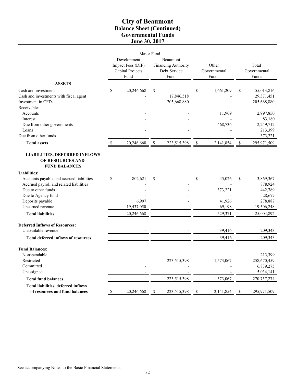## **June 30, 2017 Governmental Funds Balance Sheet (Continued) City of Beaumont**

|                                                                                                         |                                                              | Major Fund |                                                         |    |                                |    |                                         |
|---------------------------------------------------------------------------------------------------------|--------------------------------------------------------------|------------|---------------------------------------------------------|----|--------------------------------|----|-----------------------------------------|
|                                                                                                         | Development<br>Impact Fees (DIF)<br>Capital Projects<br>Fund |            | Beaumont<br>Financing Authority<br>Debt Service<br>Fund |    | Other<br>Governmental<br>Funds |    | Total<br>Governmental<br>Funds          |
| <b>ASSETS</b>                                                                                           |                                                              |            |                                                         |    |                                |    |                                         |
| Cash and investments<br>Cash and investments with fiscal agent<br>Investment in CFDs<br>Receivables:    | \$<br>20,246,668                                             | \$         | 17,846,518<br>205,668,880                               | \$ | 1,661,209                      | \$ | 55,013,816<br>29,371,451<br>205,668,880 |
| Accounts<br>Interest                                                                                    |                                                              |            |                                                         |    | 11,909                         |    | 2,997,850<br>83,180                     |
| Due from other governments<br>Loans                                                                     |                                                              |            |                                                         |    | 468,736                        |    | 2,249,712<br>213,399                    |
| Due from other funds                                                                                    |                                                              |            |                                                         |    |                                |    | 373,221                                 |
| <b>Total assets</b>                                                                                     | \$<br>20,246,668                                             | \$         | 223,515,398                                             | \$ | 2,141,854                      | \$ | 295,971,509                             |
| <b>LIABILITIES, DEFERRED INFLOWS</b><br>OF RESOURCES AND<br><b>FUND BALANCES</b><br><b>Liabilities:</b> |                                                              |            |                                                         |    |                                |    |                                         |
| Accounts payable and accrued liabilities<br>Accrued payroll and related liabilities                     | \$<br>802,621                                                | \$         |                                                         | \$ | 45,026                         | \$ | 3,869,367<br>878,924                    |
| Due to other funds                                                                                      |                                                              |            |                                                         |    | 373,221                        |    | 442,789                                 |
| Due to Agency fund                                                                                      |                                                              |            |                                                         |    |                                |    | 28,677                                  |
| Deposits payable                                                                                        | 6,997                                                        |            |                                                         |    | 41,926                         |    | 278,887                                 |
| Unearned revenue                                                                                        | 19,437,050                                                   |            |                                                         |    | 69,198                         |    | 19,506,248                              |
| <b>Total liabilities</b>                                                                                | 20,246,668                                                   |            |                                                         |    | 529,371                        |    | 25,004,892                              |
| <b>Deferred Inflows of Resources:</b><br>Unavailable revenue                                            |                                                              |            |                                                         |    | 39,416                         |    | 209,343                                 |
| <b>Total deferred inflows of resources</b>                                                              |                                                              |            |                                                         |    | 39,416                         |    | 209,343                                 |
|                                                                                                         |                                                              |            |                                                         |    |                                |    |                                         |
| <b>Fund Balances:</b><br>Nonspendable                                                                   |                                                              |            |                                                         |    |                                |    | 213,399                                 |
| Restricted                                                                                              |                                                              |            | 223,515,398                                             |    | 1,573,067                      |    | 258,670,459                             |
| Committed                                                                                               |                                                              |            |                                                         |    |                                |    | 6,839,275                               |
| Unassigned                                                                                              |                                                              |            |                                                         |    |                                |    | 5,034,141                               |
| <b>Total fund balances</b>                                                                              |                                                              |            | 223,515,398                                             |    | 1,573,067                      |    | 270,757,274                             |
| Total liabilities, deferred inflows<br>of resources and fund balances                                   | \$<br>20,246,668                                             | S          | 223,515,398                                             | S  | 2,141,854                      | S  | 295,971,509                             |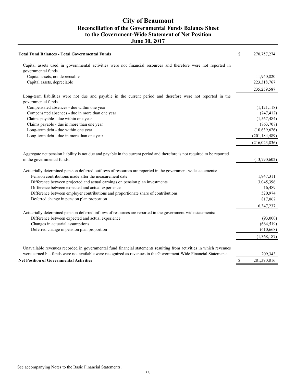## **City of Beaumont Reconciliation of the Governmental Funds Balance Sheet to the Government-Wide Statement of Net Position June 30, 2017**

| <b>Total Fund Balances - Total Governmental Funds</b>                                                                                                                                                                                    | S  | 270,757,274     |
|------------------------------------------------------------------------------------------------------------------------------------------------------------------------------------------------------------------------------------------|----|-----------------|
| Capital assets used in governmental activities were not financial resources and therefore were not reported in<br>governmental funds.                                                                                                    |    |                 |
| Capital assets, nondepreciable                                                                                                                                                                                                           |    | 11,940,820      |
| Capital assets, depreciable                                                                                                                                                                                                              |    | 223,318,767     |
|                                                                                                                                                                                                                                          |    | 235,259,587     |
| Long-term liabilities were not due and payable in the current period and therefore were not reported in the<br>governmental funds.                                                                                                       |    |                 |
| Compensated absences - due within one year                                                                                                                                                                                               |    | (1,121,118)     |
| Compensated absences - due in more than one year                                                                                                                                                                                         |    | (747, 412)      |
| Claims payable - due within one year                                                                                                                                                                                                     |    | (1, 567, 484)   |
| Claims payable - due in more than one year                                                                                                                                                                                               |    | (763, 707)      |
| Long-term debt - due within one year                                                                                                                                                                                                     |    | (10,639,626)    |
| Long-term debt - due in more than one year                                                                                                                                                                                               |    | (201, 184, 489) |
|                                                                                                                                                                                                                                          |    | (216, 023, 836) |
| Aggregate net pension liability is not due and payable in the current period and therefore is not required to be reported                                                                                                                |    |                 |
| in the governmental funds.                                                                                                                                                                                                               |    | (13,790,602)    |
| Actuarially determined pension deferred outflows of resources are reported in the government-wide statements:                                                                                                                            |    |                 |
| Pension contributions made after the measurement date                                                                                                                                                                                    |    | 1,947,311       |
| Difference between projected and actual earnings on pension plan investments                                                                                                                                                             |    | 3,045,396       |
| Difference between expected and actual experience                                                                                                                                                                                        |    | 16,489          |
| Difference between employer contributions and proportionate share of contributions                                                                                                                                                       |    | 520,974         |
| Deferred change in pension plan proportion                                                                                                                                                                                               |    | 817,067         |
|                                                                                                                                                                                                                                          |    | 6,347,237       |
| Actuarially determined pension deferred inflows of resources are reported in the government-wide statements:                                                                                                                             |    |                 |
| Difference between expected and actual experience                                                                                                                                                                                        |    | (93,000)        |
| Changes in actuarial assumptions                                                                                                                                                                                                         |    | (664, 519)      |
| Deferred change in pension plan proportion                                                                                                                                                                                               |    | (610, 668)      |
|                                                                                                                                                                                                                                          |    | (1,368,187)     |
|                                                                                                                                                                                                                                          |    |                 |
| Unavailable revenues recorded in governmental fund financial statements resulting from activities in which revenues<br>were earned but funds were not available were recognized as revenues in the Government-Wide Financial Statements. |    | 209,343         |
| <b>Net Position of Governmental Activities</b>                                                                                                                                                                                           | \$ | 281,390,816     |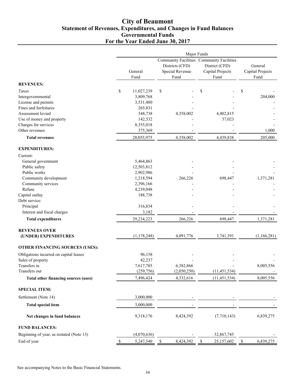## **City of Beaumont Statement of Revenues, Expenditures, and Changes in Fund Balances Governmental Funds For the Year Ended June 30, 2017**

|                                          |    |               |    | Major Funds                               |                  |     |                  |
|------------------------------------------|----|---------------|----|-------------------------------------------|------------------|-----|------------------|
|                                          |    |               |    | Community Facilities Community Facilities |                  |     |                  |
|                                          |    |               |    | Districts (CFD)                           | District (CFD)   |     | General          |
|                                          |    | General       |    | Special Revenue                           | Capital Projects |     | Capital Projects |
|                                          |    | Fund          |    | Fund                                      | Fund             |     | Fund             |
| <b>REVENUES:</b>                         |    |               |    |                                           |                  |     |                  |
| Taxes                                    | \$ | 11,027,239    | \$ |                                           | \$               | \$  |                  |
| Intergovernmental                        |    | 3,809,768     |    |                                           |                  |     | 204,000          |
| License and permits                      |    | 3,531,480     |    |                                           |                  |     |                  |
| Fines and forfeitures                    |    | 265,831       |    |                                           |                  |     |                  |
| Assessment levied                        |    | 548,738       |    | 4,358,002                                 | 4,402,815        |     |                  |
| Use of money and property                |    | 142,532       |    |                                           | 37,023           |     |                  |
| Charges for services                     |    | 8,355,018     |    |                                           |                  |     |                  |
| Other revenues                           |    | 375,369       |    |                                           |                  |     | 1,000            |
| <b>Total revenues</b>                    |    | 28,055,975    |    | 4,358,002                                 | 4,439,838        |     | 205,000          |
| <b>EXPENDITURES:</b>                     |    |               |    |                                           |                  |     |                  |
| Current:                                 |    |               |    |                                           |                  |     |                  |
| General government                       |    | 5,464,863     |    |                                           |                  |     |                  |
| Public safety                            |    | 12,503,812    |    |                                           |                  |     |                  |
| Public works                             |    | 2,902,986     |    |                                           |                  |     |                  |
| Community development                    |    | 1,218,594     |    | 266,226                                   | 698,447          |     | 1,371,281        |
| Community services                       |    | 2,396,166     |    |                                           |                  |     |                  |
| Refuse                                   |    | 4,239,048     |    |                                           |                  |     |                  |
| Capital outlay                           |    | 188,738       |    |                                           |                  |     |                  |
| Debt service:                            |    |               |    |                                           |                  |     |                  |
| Principal                                |    | 316,834       |    |                                           |                  |     |                  |
| Interest and fiscal charges              |    | 3,182         |    |                                           |                  |     |                  |
| <b>Total expenditures</b>                |    | 29,234,223    |    | 266,226                                   | 698,447          |     | 1,371,281        |
| <b>REVENUES OVER</b>                     |    |               |    |                                           |                  |     |                  |
| (UNDER) EXPENDITURES                     |    | (1, 178, 248) |    | 4,091,776                                 | 3,741,391        |     | (1,166,281)      |
| OTHER FINANCING SOURCES (USES):          |    |               |    |                                           |                  |     |                  |
| Obligations incurred on capital leases   |    | 96,158        |    |                                           |                  |     |                  |
| Sales of property                        |    | 42,237        |    |                                           |                  |     |                  |
| Transfers in                             |    | 7,617,785     |    | 6,382,866                                 |                  |     | 8,005,556        |
| Transfers out                            |    | (259, 756)    |    | (2,050,250)                               | (11, 451, 534)   |     |                  |
| Total other financing sources (uses)     |    | 7,496,424     |    | 4,332,616                                 | (11, 451, 534)   |     | 8,005,556        |
| <b>SPECIAL ITEM:</b>                     |    |               |    |                                           |                  |     |                  |
| Settlement (Note 14)                     |    | 3,000,000     |    |                                           |                  |     |                  |
| <b>Total special item</b>                |    | 3,000,000     |    |                                           |                  |     |                  |
| Net changes in fund balances             |    | 9,318,176     |    | 8,424,392                                 | (7,710,143)      |     | 6,839,275        |
| <b>FUND BALANCES:</b>                    |    |               |    |                                           |                  |     |                  |
| Beginning of year, as restated (Note 13) |    | (4,070,636)   |    |                                           | 32,867,745       |     |                  |
| End of year                              | S. | 5,247,540     | S  | 8,424,392                                 | \$<br>25,157,602 | \$. | 6,839,275        |
|                                          |    |               |    |                                           |                  |     |                  |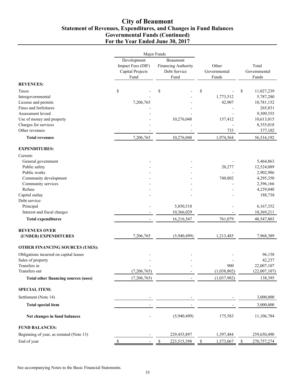## **City of Beaumont For the Year Ended June 30, 2017 Governmental Funds (Continued) Statement of Revenues, Expenditures, and Changes in Fund Balances**

|                                          |                                                              | Major Funds                                             |                 |                                         |
|------------------------------------------|--------------------------------------------------------------|---------------------------------------------------------|-----------------|-----------------------------------------|
|                                          | Development<br>Impact Fees (DIF)<br>Capital Projects<br>Fund | Beaumont<br>Financing Authority<br>Debt Service<br>Fund |                 | Total<br>Governmental<br>Funds          |
| <b>REVENUES:</b>                         |                                                              |                                                         |                 |                                         |
| Taxes                                    | \$                                                           | \$                                                      | \$              | \$<br>11,027,239                        |
| Intergovernmental                        |                                                              |                                                         | 1,773,512       | 5,787,280                               |
| License and permits                      | 7,206,765                                                    |                                                         | 42,907          | 10,781,152                              |
| Fines and forfeitures                    |                                                              |                                                         |                 | 265,831                                 |
| Assessment levied                        |                                                              |                                                         |                 | 9,309,555                               |
| Use of money and property                |                                                              | 10,276,048                                              | 157,412         | 10,613,015                              |
| Charges for services                     |                                                              |                                                         |                 | 8,355,018                               |
| Other revenues                           |                                                              |                                                         | 733             | 377,102                                 |
| <b>Total revenues</b>                    | 7,206,765                                                    | 10,276,048                                              | 1,974,564       | 56,516,192                              |
| <b>EXPENDITURES:</b>                     |                                                              |                                                         |                 |                                         |
| Current:                                 |                                                              |                                                         |                 |                                         |
| General government                       |                                                              |                                                         |                 | 5,464,863                               |
| Public safety                            |                                                              |                                                         | 20,277          | 12,524,089                              |
| Public works                             |                                                              |                                                         |                 | 2,902,986                               |
| Community development                    |                                                              |                                                         | 740,802         | 4,295,350                               |
| Community services                       |                                                              |                                                         |                 | 2,396,166                               |
| Refuse                                   |                                                              |                                                         |                 | 4,239,048                               |
| Capital outlay                           |                                                              |                                                         |                 | 188,738                                 |
| Debt service:                            |                                                              |                                                         |                 |                                         |
| Principal                                |                                                              | 5,850,518                                               |                 | 6,167,352                               |
| Interest and fiscal charges              |                                                              | 10,366,029                                              |                 | 10,369,211                              |
| <b>Total expenditures</b>                |                                                              | 16,216,547                                              | 761,079         | 48,547,803                              |
| <b>REVENUES OVER</b>                     |                                                              |                                                         |                 |                                         |
| (UNDER) EXPENDITURES                     | 7,206,765                                                    | (5,940,499)                                             | 1,213,485       | 7,968,389                               |
| OTHER FINANCING SOURCES (USES):          |                                                              |                                                         |                 |                                         |
| Obligations incurred on capital leases   |                                                              |                                                         |                 | 96,158                                  |
| Sales of property                        |                                                              |                                                         |                 | 42,237                                  |
| Transfers in                             |                                                              |                                                         | 900             | 22,007,107                              |
| Transfers out                            | (7,206,765)                                                  |                                                         | (1,038,802)     | (22,007,107)                            |
| Total other financing sources (uses)     | (7,206,765)                                                  |                                                         | (1,037,902)     | 138,395                                 |
| <b>SPECIAL ITEM:</b>                     |                                                              |                                                         |                 |                                         |
| Settlement (Note 14)                     |                                                              |                                                         |                 | 3,000,000                               |
| <b>Total special item</b>                |                                                              |                                                         |                 | 3,000,000                               |
| Net changes in fund balances             |                                                              | (5,940,499)                                             | 175,583         | 11,106,784                              |
| <b>FUND BALANCES:</b>                    |                                                              |                                                         |                 |                                         |
| Beginning of year, as restated (Note 13) |                                                              | 229,455,897                                             | 1,397,484       | 259,650,490                             |
| End of year                              | -S                                                           | \$<br>223,515,398                                       | 1,573,067<br>\$ | 270, 757, 274<br>$\mathbf{\mathcal{S}}$ |

See accompanying Notes to the Basic Financial Statements.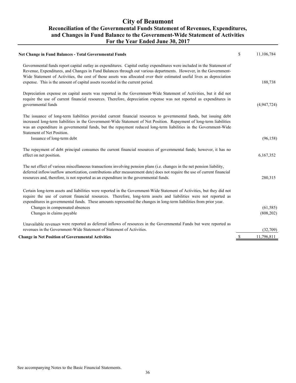## **City of Beaumont Reconciliation of the Governmental Funds Statement of Revenues, Expenditures, and Changes in Fund Balance to the Government-Wide Statement of Activities For the Year Ended June 30, 2017**

| <b>Net Change in Fund Balances - Total Governmental Funds</b>                                                                                                                                                                                                                                                                                                                                                                                          | \$<br>11,106,784        |
|--------------------------------------------------------------------------------------------------------------------------------------------------------------------------------------------------------------------------------------------------------------------------------------------------------------------------------------------------------------------------------------------------------------------------------------------------------|-------------------------|
| Governmental funds report capital outlay as expenditures. Capital outlay expenditures were included in the Statement of<br>Revenue, Expenditures, and Changes in Fund Balances through out various departments. However, in the Government-<br>Wide Statement of Activities, the cost of those assets was allocated over their estimated useful lives as depreciation<br>expense. This is the amount of capital assets recorded in the current period. | 188,738                 |
| Depreciation expense on capital assets was reported in the Government-Wide Statement of Activities, but it did not<br>require the use of current financial resources. Therefore, depreciation expense was not reported as expenditures in<br>governmental funds                                                                                                                                                                                        | (4,947,724)             |
| The issuance of long-term liabilities provided current financial resources to governmental funds, but issuing debt<br>increased long-term liabilities in the Government-Wide Statement of Net Position. Repayment of long-term liabilities<br>was an expenditure in governmental funds, but the repayment reduced long-term liabilities in the Government-Wide<br>Statement of Net Position.                                                           |                         |
| Issuance of long-term debt                                                                                                                                                                                                                                                                                                                                                                                                                             | (96, 158)               |
| The repayment of debt principal consumes the current financial resources of governmental funds; however, it has no<br>effect on net position.                                                                                                                                                                                                                                                                                                          | 6,167,352               |
| The net effect of various miscellaneous transactions involving pension plans (i.e. changes in the net pension liability,<br>deferred inflow/outflow amortization, contributions after measurement date) does not require the use of current financial<br>resources and, therefore, is not reported as an expenditure in the governmental funds.                                                                                                        | 280,315                 |
| Certain long-term assets and liabilities were reported in the Government-Wide Statement of Activities, but they did not<br>require the use of current financial resources. Therefore, long-term assets and liabilities were not reported as<br>expenditures in governmental funds. These amounts represented the changes in long-term liabilities from prior year.                                                                                     |                         |
| Changes in compensated absences<br>Changes in claims payable                                                                                                                                                                                                                                                                                                                                                                                           | (61, 585)<br>(808, 202) |
| Unavailable revenues were reported as deferred inflows of resources in the Governmental Funds but were reported as<br>revenues in the Government-Wide Statement of Statement of Activities.                                                                                                                                                                                                                                                            | (32,709)                |
| <b>Change in Net Position of Governmental Activities</b>                                                                                                                                                                                                                                                                                                                                                                                               | \$<br>11,796,811        |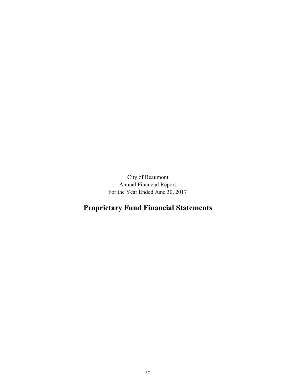# **Proprietary Fund Financial Statements**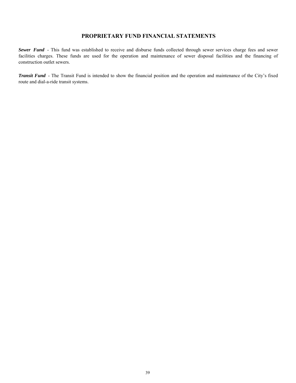#### **PROPRIETARY FUND FINANCIAL STATEMENTS**

*Sewer Fund* - This fund was established to receive and disburse funds collected through sewer services charge fees and sewer facilities charges. These funds are used for the operation and maintenance of sewer disposal facilities and the financing of construction outlet sewers.

*Transit Fund* - The Transit Fund is intended to show the financial position and the operation and maintenance of the City's fixed route and dial-a-ride transit systems.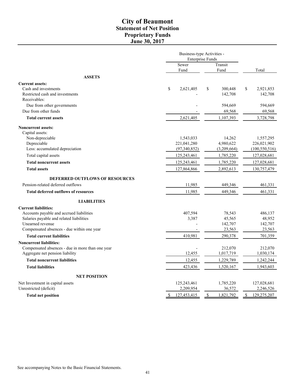## **City of Beaumont Statement of Net Position Proprietary Funds June 30, 2017**

|                                                                                                                                                                                       | Business-type Activities -<br><b>Enterprise Funds</b> |                                       |                                        |
|---------------------------------------------------------------------------------------------------------------------------------------------------------------------------------------|-------------------------------------------------------|---------------------------------------|----------------------------------------|
|                                                                                                                                                                                       | Sewer<br>Fund                                         | Transit<br>Fund                       | Total                                  |
| <b>ASSETS</b>                                                                                                                                                                         |                                                       |                                       |                                        |
| <b>Current assets:</b>                                                                                                                                                                |                                                       |                                       |                                        |
| Cash and investments<br>Restricted cash and investments<br>Receivables:                                                                                                               | \$<br>2,621,405                                       | \$<br>300,448<br>142,708              | \$<br>2,921,853<br>142,708             |
| Due from other governments<br>Due from other funds                                                                                                                                    |                                                       | 594,669<br>69,568                     | 594,669<br>69,568                      |
| <b>Total current assets</b>                                                                                                                                                           | 2,621,405                                             | 1,107,393                             | 3,728,798                              |
| <b>Noncurrent assets:</b><br>Capital assets:<br>Non-depreciable                                                                                                                       | 1,543,033                                             | 14,262                                | 1,557,295                              |
| Depreciable<br>Less: accumulated depreciation                                                                                                                                         | 221,041,280<br>(97, 340, 852)                         | 4,980,622<br>(3,209,664)              | 226,021,902<br>(100, 550, 516)         |
| Total capital assets                                                                                                                                                                  | 125,243,461                                           | 1,785,220                             | 127,028,681                            |
| <b>Total noncurrent assets</b>                                                                                                                                                        | 125,243,461                                           | 1,785,220                             | 127,028,681                            |
| <b>Total assets</b>                                                                                                                                                                   | 127,864,866                                           | 2,892,613                             | 130,757,479                            |
| <b>DEFERRED OUTFLOWS OF RESOURCES</b>                                                                                                                                                 |                                                       |                                       |                                        |
| Pension-related deferred outflows                                                                                                                                                     | 11,985                                                | 449,346                               | 461,331                                |
| <b>Total deferred outflows of resources</b>                                                                                                                                           | 11,985                                                | 449,346                               | 461,331                                |
| <b>LIABILITIES</b>                                                                                                                                                                    |                                                       |                                       |                                        |
| <b>Current liabilities:</b><br>Accounts payable and accrued liabilities<br>Salaries payable and related liabilities<br>Unearned revenue<br>Compensated absences - due within one year | 407,594<br>3,387                                      | 78,543<br>45,565<br>142,707<br>23,563 | 486,137<br>48,952<br>142,707<br>23,563 |
| <b>Total current liabilities</b>                                                                                                                                                      | 410,981                                               | 290,378                               | 701,359                                |
| <b>Noncurrent liabilities:</b><br>Compensated absences - due in more than one year<br>Aggregate net pension liability                                                                 | 12,455                                                | 212,070<br>1,017,719                  | 212,070<br>1,030,174                   |
| <b>Total noncurrent liabilities</b>                                                                                                                                                   | 12,455                                                | 1,229,789                             | 1,242,244                              |
| <b>Total liabilities</b>                                                                                                                                                              | 423,436                                               | 1,520,167                             | 1,943,603                              |
| <b>NET POSITION</b>                                                                                                                                                                   |                                                       |                                       |                                        |
| Net Investment in capital assets<br>Unrestricted (deficit)                                                                                                                            | 125,243,461<br>2,209,954                              | 1,785,220<br>36,572                   | 127,028,681<br>2,246,526               |
| <b>Total net position</b>                                                                                                                                                             | 127,453,415<br>\$                                     | 1,821,792<br>\$                       | \$<br>129,275,207                      |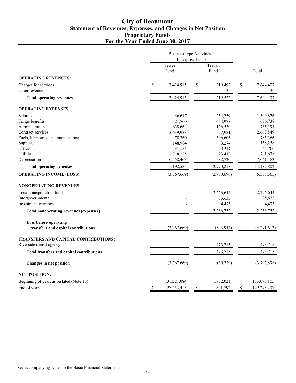## **City of Beaumont Statement of Revenues, Expenses, and Changes in Net Position Proprietary Funds For the Year Ended June 30, 2017**

|                                               |             | Business-type Activities -<br><b>Enterprise Funds</b> |    |                 |                       |
|-----------------------------------------------|-------------|-------------------------------------------------------|----|-----------------|-----------------------|
|                                               |             | Sewer<br>Fund                                         |    | Transit<br>Fund | Total                 |
|                                               |             |                                                       |    |                 |                       |
| <b>OPERATING REVENUES:</b>                    |             |                                                       |    |                 |                       |
| Charges for services<br>Other revenue         | \$          | 7,424,915                                             | \$ | 219,492<br>30   | \$<br>7,644,407<br>30 |
| <b>Total operating revenues</b>               |             | 7,424,915                                             |    | 219,522         | 7,644,437             |
|                                               |             |                                                       |    |                 |                       |
| <b>OPERATING EXPENSES:</b>                    |             |                                                       |    |                 |                       |
| <b>Salaries</b>                               |             | 46,617                                                |    | 1,254,259       | 1,300,876             |
| Fringe benefits                               |             | 21,760                                                |    | 654,978         | 676,738               |
| Administration                                |             | 638,664                                               |    | 126,530         | 765,194               |
| Contract services                             |             | 2,639,928                                             |    | 27,921          | 2,667,849             |
| Fuels, lubricants, and maintenance            |             | 478,760                                               |    | 306,606         | 785,366               |
| Supplies                                      |             | 148,984                                               |    | 9,274           | 158,258               |
| Office                                        |             | 41,183                                                |    | 4,517           | 45,700                |
| Utilities                                     |             | 718,225                                               |    | 23,413          | 741,638               |
| Depreciation                                  |             | 6,458,463                                             |    | 582,720         | 7,041,183             |
| <b>Total operating expenses</b>               |             | 11,192,584                                            |    | 2,990,218       | 14,182,802            |
| <b>OPERATING INCOME (LOSS)</b>                |             | (3,767,669)                                           |    | (2,770,696)     | (6, 538, 365)         |
| NONOPERATING REVENUES:                        |             |                                                       |    |                 |                       |
| Local transportation funds                    |             |                                                       |    | 2,226,644       | 2,226,644             |
| Intergovernmental                             |             |                                                       |    | 35,633          | 35,633                |
| Investment earnings                           |             |                                                       |    | 4,475           | 4,475                 |
| <b>Total nonoperating revenues (expenses)</b> |             |                                                       |    | 2,266,752       | 2,266,752             |
| Loss before operating                         |             |                                                       |    |                 |                       |
| transfers and capital contributions           |             | (3,767,669)                                           |    | (503, 944)      | (4,271,613)           |
| <b>TRANSFERS AND CAPITAL CONTRIBUTIONS:</b>   |             |                                                       |    |                 |                       |
| Riverside transit agency                      |             |                                                       |    | 473,715         | 473,715               |
| Total transfers and capital contributions     |             |                                                       |    | 473,715         | 473,715               |
| <b>Changes in net position</b>                |             | (3,767,669)                                           |    | (30, 229)       | (3,797,898)           |
| <b>NET POSITION:</b>                          |             |                                                       |    |                 |                       |
| Beginning of year, as restated (Note 13)      |             | 131,221,084                                           |    | 1,852,021       | 133,073,105           |
| End of year                                   | $\mathbf S$ | 127,453,415                                           | \$ | 1,821,792       | \$<br>129,275,207     |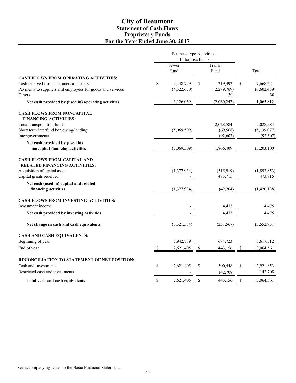## **City of Beaumont Statement of Cash Flows Proprietary Funds For the Year Ended June 30, 2017**

|                                                            | Business-type Activities - |             |    |               |    |               |
|------------------------------------------------------------|----------------------------|-------------|----|---------------|----|---------------|
|                                                            | <b>Enterprise Funds</b>    |             |    |               |    |               |
|                                                            |                            | Sewer       |    | Transit       |    |               |
|                                                            |                            | Fund        |    | Fund          |    | Total         |
| <b>CASH FLOWS FROM OPERATING ACTIVITIES:</b>               |                            |             |    |               |    |               |
| Cash received from customers and users                     | \$                         | 7,448,729   | \$ | 219,492       | \$ | 7,668,221     |
| Payments to suppliers and employees for goods and services |                            | (4,322,670) |    | (2, 279, 769) |    | (6,602,439)   |
| Others                                                     |                            |             |    | 30            |    | 30            |
| Net cash provided by (used in) operating activities        |                            | 3,126,059   |    | (2,060,247)   |    | 1,065,812     |
| <b>CASH FLOWS FROM NONCAPITAL</b>                          |                            |             |    |               |    |               |
| <b>FINANCING ACTIVITIES:</b>                               |                            |             |    |               |    |               |
| Local transportation funds                                 |                            |             |    | 2,028,584     |    | 2,028,584     |
| Short term interfund borrowing/lending                     |                            | (5,069,509) |    | (69, 568)     |    | (5, 139, 077) |
| Intergovernmental                                          |                            |             |    | (92, 607)     |    | (92, 607)     |
| Net cash provided by (used in)                             |                            |             |    |               |    |               |
| noncapital financing activities                            |                            | (5,069,509) |    | 1,866,409     |    | (3,203,100)   |
| <b>CASH FLOWS FROM CAPITAL AND</b>                         |                            |             |    |               |    |               |
| <b>RELATED FINANCING ACTIVITIES:</b>                       |                            |             |    |               |    |               |
| Acquisition of capital assets                              |                            | (1,377,934) |    | (515,919)     |    | (1,893,853)   |
| Capital grants received                                    |                            |             |    | 473,715       |    | 473,715       |
| Net cash (used in) capital and related                     |                            |             |    |               |    |               |
| financing activities                                       |                            | (1,377,934) |    | (42, 204)     |    | (1,420,138)   |
| <b>CASH FLOWS FROM INVESTING ACTIVITIES:</b>               |                            |             |    |               |    |               |
| Investment income                                          |                            |             |    | 4,475         |    | 4,475         |
| Net cash provided by investing activities                  |                            |             |    | 4,475         |    | 4,475         |
| Net change in cash and cash equivalents                    |                            | (3,321,384) |    | (231, 567)    |    | (3,552,951)   |
| <b>CASH AND CASH EQUIVALENTS:</b>                          |                            |             |    |               |    |               |
| Beginning of year                                          |                            | 5,942,789   |    | 674,723       |    | 6,617,512     |
| End of year                                                |                            | 2,621,405   | S  | 443,156       | S  | 3,064,561     |
| <b>RECONCILIATION TO STATEMENT OF NET POSITION:</b>        |                            |             |    |               |    |               |
| Cash and investments                                       | \$                         | 2,621,405   | \$ | 300,448       | S  | 2,921,853     |
| Restricted cash and investments                            |                            |             |    | 142,708       |    | 142,708       |
| Total cash and cash equivalents                            | \$                         | 2,621,405   | \$ | 443,156       | \$ | 3,064,561     |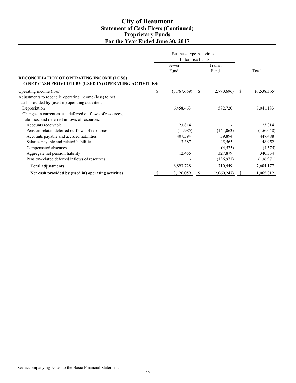## **City of Beaumont Statement of Cash Flows (Continued) Proprietary Funds For the Year Ended June 30, 2017**

|                                                                                                             | Business-type Activities -<br><b>Enterprise Funds</b> |               |    |                 |    |               |
|-------------------------------------------------------------------------------------------------------------|-------------------------------------------------------|---------------|----|-----------------|----|---------------|
|                                                                                                             |                                                       | Sewer<br>Fund |    | Transit<br>Fund |    | Total         |
| <b>RECONCILIATION OF OPERATING INCOME (LOSS)</b><br>TO NET CASH PROVIDED BY (USED IN) OPERATING ACTIVITIES: |                                                       |               |    |                 |    |               |
| Operating income (loss)                                                                                     | \$                                                    | (3,767,669)   | \$ | (2,770,696)     | \$ | (6, 538, 365) |
| Adjustments to reconcile operating income (loss) to net<br>cash provided by (used in) operating activities: |                                                       |               |    |                 |    |               |
| Depreciation                                                                                                |                                                       | 6,458,463     |    | 582,720         |    | 7,041,183     |
| Changes in current assets, deferred outflows of resources,                                                  |                                                       |               |    |                 |    |               |
| liabilities, and deferred inflows of resources:                                                             |                                                       |               |    |                 |    |               |
| Accounts receivable                                                                                         |                                                       | 23,814        |    |                 |    | 23,814        |
| Pension-related deferred outflows of resources                                                              |                                                       | (11,985)      |    | (144, 063)      |    | (156, 048)    |
| Accounts payable and accrued liabilities                                                                    |                                                       | 407,594       |    | 39,894          |    | 447,488       |
| Salaries payable and related liabilities                                                                    |                                                       | 3,387         |    | 45,565          |    | 48,952        |
| Compensated absences                                                                                        |                                                       |               |    | (4,575)         |    | (4,575)       |
| Aggregate net pension liability                                                                             |                                                       | 12,455        |    | 327,879         |    | 340,334       |
| Pension-related deferred inflows of resources                                                               |                                                       |               |    | (136, 971)      |    | (136, 971)    |
| <b>Total adjustments</b>                                                                                    |                                                       | 6,893,728     |    | 710,449         |    | 7,604,177     |
| Net cash provided by (used in) operating activities                                                         | \$                                                    | 3,126,059     | S  | (2,060,247)     | S  | 1,065,812     |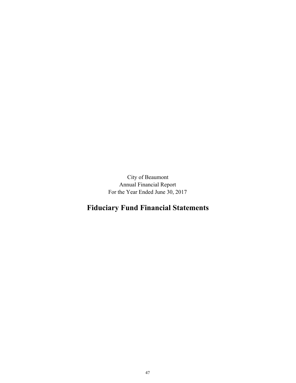# **Fiduciary Fund Financial Statements**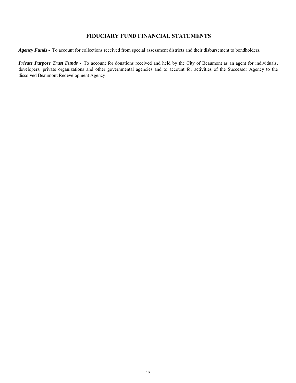#### **FIDUCIARY FUND FINANCIAL STATEMENTS**

*Agency Funds -* To account for collections received from special assessment districts and their disbursement to bondholders.

*Private Purpose Trust Funds -* To account for donations received and held by the City of Beaumont as an agent for individuals, developers, private organizations and other governmental agencies and to account for activities of the Successor Agency to the dissolved Beaumont Redevelopment Agency.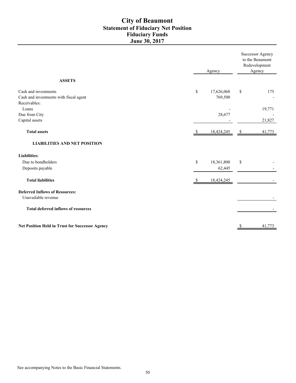## **June 30, 2017 Fiduciary Funds Statement of Fiduciary Net Position City of Beaumont**

|                                                              | Agency       |                  | <b>Successor Agency</b><br>to the Beaumont<br>Redevelopment<br>Agency |
|--------------------------------------------------------------|--------------|------------------|-----------------------------------------------------------------------|
| <b>ASSETS</b>                                                |              |                  |                                                                       |
| Cash and investments                                         | $\mathbb{S}$ | 17,626,068<br>\$ | 175                                                                   |
| Cash and investments with fiscal agent                       |              | 769,500          |                                                                       |
| Receivables:                                                 |              |                  |                                                                       |
| Loans                                                        |              |                  | 19,771                                                                |
| Due from City                                                |              | 28,677           |                                                                       |
| Capital assets                                               |              |                  | 21,827                                                                |
| <b>Total assets</b>                                          |              | 18,424,245       | 41,773                                                                |
| <b>LIABILITIES AND NET POSITION</b>                          |              |                  |                                                                       |
| <b>Liabilities:</b>                                          |              |                  |                                                                       |
| Due to bondholders                                           | $\mathbb{S}$ | 18,361,800<br>\$ |                                                                       |
| Deposits payable                                             |              | 62,445           |                                                                       |
| <b>Total liabilities</b>                                     | Y            | 18,424,245       |                                                                       |
| <b>Deferred Inflows of Resources:</b><br>Unavailable revenue |              |                  |                                                                       |
| <b>Total deferred inflows of resources</b>                   |              |                  |                                                                       |
| <b>Net Position Held in Trust for Successor Agency</b>       |              | S                | 41,773                                                                |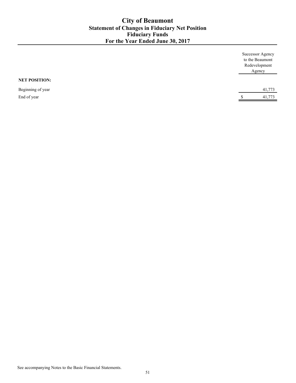|                      |          | <b>Successor Agency</b><br>to the Beaumont<br>Redevelopment<br>Agency |
|----------------------|----------|-----------------------------------------------------------------------|
| <b>NET POSITION:</b> |          |                                                                       |
| Beginning of year    |          | 41,773                                                                |
| End of year          | <b>T</b> | 41,773                                                                |
|                      |          |                                                                       |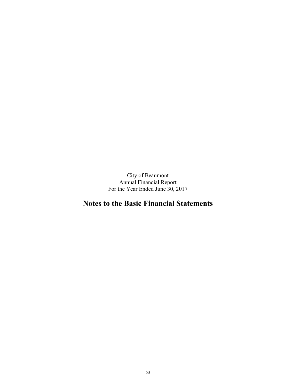## **Notes to the Basic Financial Statements**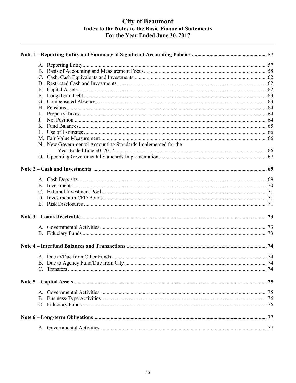# **City of Beaumont**<br>Index to the Notes to the Basic Financial Statements For the Year Ended June 30, 2017

| Е.                                                           |  |
|--------------------------------------------------------------|--|
|                                                              |  |
|                                                              |  |
|                                                              |  |
|                                                              |  |
| J                                                            |  |
|                                                              |  |
|                                                              |  |
|                                                              |  |
| N. New Governmental Accounting Standards Implemented for the |  |
|                                                              |  |
|                                                              |  |
|                                                              |  |
|                                                              |  |
|                                                              |  |
|                                                              |  |
|                                                              |  |
|                                                              |  |
|                                                              |  |
|                                                              |  |
|                                                              |  |
|                                                              |  |
|                                                              |  |
|                                                              |  |
|                                                              |  |
|                                                              |  |
|                                                              |  |
|                                                              |  |
|                                                              |  |
|                                                              |  |
|                                                              |  |
|                                                              |  |
|                                                              |  |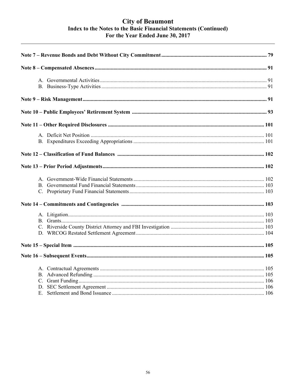# **City of Beaumont**<br>Index to the Notes to the Basic Financial Statements (Continued)<br>For the Year Ended June 30, 2017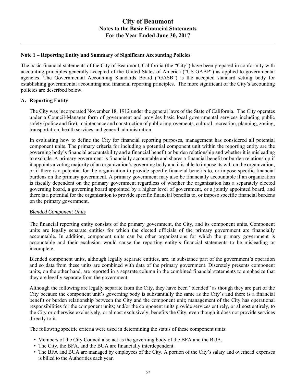The basic financial statements of the City of Beaumont, California (the "City") have been prepared in conformity with accounting principles generally accepted of the United States of America ("US GAAP") as applied to governmental agencies. The Governmental Accounting Standards Board ("GASB") is the accepted standard setting body for establishing governmental accounting and financial reporting principles. The more significant of the City's accounting policies are described below.

#### **A. Reporting Entity**

The City was incorporated November 18, 1912 under the general laws of the State of California. The City operates under a Council-Manager form of government and provides basic local governmental services including public safety (police and fire), maintenance and construction of public improvements, cultural, recreation, planning, zoning, transportation, health services and general administration.

In evaluating how to define the City for financial reporting purposes, management has considered all potential component units. The primary criteria for including a potential component unit within the reporting entity are the governing body's financial accountability and a financial benefit or burden relationship and whether it is misleading to exclude. A primary government is financially accountable and shares a financial benefit or burden relationship if it appoints a voting majority of an organization's governing body and it is able to impose its will on the organization, or if there is a potential for the organization to provide specific financial benefits to, or impose specific financial burdens on the primary government. A primary government may also be financially accountable if an organization is fiscally dependent on the primary government regardless of whether the organization has a separately elected governing board, a governing board appointed by a higher level of government, or a jointly appointed board, and there is a potential for the organization to provide specific financial benefits to, or impose specific financial burdens on the primary government.

#### *Blended Component Units*

The financial reporting entity consists of the primary government, the City, and its component units. Component units are legally separate entities for which the elected officials of the primary government are financially accountable. In addition, component units can be other organizations for which the primary government is accountable and their exclusion would cause the reporting entity's financial statements to be misleading or incomplete.

Blended component units, although legally separate entities, are, in substance part of the government's operation and so data from these units are combined with data of the primary government. Discretely presents component units, on the other hand, are reported in a separate column in the combined financial statements to emphasize that they are legally separate from the government.

Although the following are legally separate from the City, they have been "blended" as though they are part of the City because the component unit's governing body is substantially the same as the City's and there is a financial benefit or burden relationship between the City and the component unit; management of the City has operational responsibilities for the component units; and/or the component units provide services entirely, or almost entirely, to the City or otherwise exclusively, or almost exclusively, benefits the City, even though it does not provide services directly to it.

The following specific criteria were used in determining the status of these component units:

- Members of the City Council also act as the governing body of the BFA and the BUA.
- The City, the BFA, and the BUA are financially interdependent.
- The BFA and BUA are managed by employees of the City. A portion of the City's salary and overhead expenses is billed to the Authorities each year.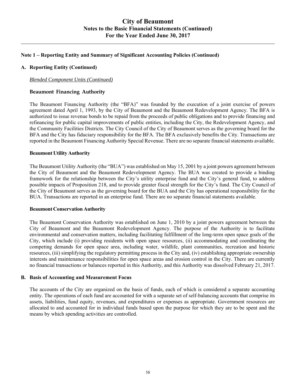#### **A. Reporting Entity (Continued)**

*Blended Component Units (Continued)* 

#### **Beaumont Financing Authority**

The Beaumont Financing Authority (the "BFA)" was founded by the execution of a joint exercise of powers agreement dated April 1, 1993, by the City of Beaumont and the Beaumont Redevelopment Agency. The BFA is authorized to issue revenue bonds to be repaid from the proceeds of public obligations and to provide financing and refinancing for public capital improvements of public entities, including the City, the Redevelopment Agency, and the Community Facilities Districts. The City Council of the City of Beaumont serves as the governing board for the BFA and the City has fiduciary responsibility for the BFA. The BFA exclusively benefits the City. Transactions are reported in the Beaumont Financing Authority Special Revenue. There are no separate financial statements available.

#### **Beaumont Utility Authority**

The Beaumont Utility Authority (the "BUA") was established on May 15, 2001 by a joint powers agreement between the City of Beaumont and the Beaumont Redevelopment Agency. The BUA was created to provide a binding framework for the relationship between the City's utility enterprise fund and the City's general fund, to address possible impacts of Proposition 218, and to provide greater fiscal strength for the City's fund. The City Council of the City of Beaumont serves as the governing board for the BUA and the City has operational responsibility for the BUA. Transactions are reported in an enterprise fund. There are no separate financial statements available.

#### **Beaumont Conservation Authority**

The Beaumont Conservation Authority was established on June 1, 2010 by a joint powers agreement between the City of Beaumont and the Beaumont Redevelopment Agency. The purpose of the Authority is to facilitate environmental and conservation matters, including facilitating fulfillment of the long-term open space goals of the City, which include (i) providing residents with open space resources, (ii) accommodating and coordinating the competing demands for open space area, including water, wildlife, plant communities, recreation and historic resources, (iii) simplifying the regulatory permitting process in the City and, (iv) establishing appropriate ownership interests and maintenance responsibilities for open space areas and erosion control in the City. There are currently no financial transactions or balances reported in this Authority, and this Authority was dissolved February 21, 2017.

#### **B. Basis of Accounting and Measurement Focus**

The accounts of the City are organized on the basis of funds, each of which is considered a separate accounting entity. The operations of each fund are accounted for with a separate set of self-balancing accounts that comprise its assets, liabilities, fund equity, revenues, and expenditures or expenses as appropriate. Government resources are allocated to and accounted for in individual funds based upon the purpose for which they are to be spent and the means by which spending activities are controlled.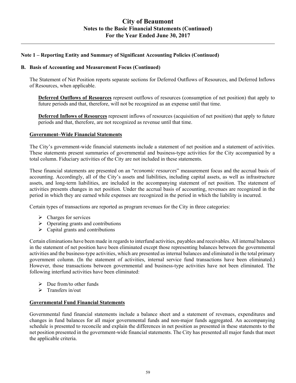#### **B. Basis of Accounting and Measurement Focus (Continued)**

The Statement of Net Position reports separate sections for Deferred Outflows of Resources, and Deferred Inflows of Resources, when applicable.

**Deferred Outflows of Resources** represent outflows of resources (consumption of net position) that apply to future periods and that, therefore, will not be recognized as an expense until that time.

**Deferred Inflows of Resources** represent inflows of resources (acquisition of net position) that apply to future periods and that, therefore, are not recognized as revenue until that time.

#### **Government–Wide Financial Statements**

The City's government-wide financial statements include a statement of net position and a statement of activities. These statements present summaries of governmental and business-type activities for the City accompanied by a total column. Fiduciary activities of the City are not included in these statements.

These financial statements are presented on an "*economic resources*" measurement focus and the accrual basis of accounting. Accordingly, all of the City's assets and liabilities, including capital assets, as well as infrastructure assets, and long-term liabilities, are included in the accompanying statement of net position. The statement of activities presents changes in net position. Under the accrual basis of accounting, revenues are recognized in the period in which they are earned while expenses are recognized in the period in which the liability is incurred.

Certain types of transactions are reported as program revenues for the City in three categories:

- $\triangleright$  Charges for services
- $\triangleright$  Operating grants and contributions
- $\triangleright$  Capital grants and contributions

Certain eliminations have been made in regards to interfund activities, payables and receivables. All internal balances in the statement of net position have been eliminated except those representing balances between the governmental activities and the business-type activities, which are presented as internal balances and eliminated in the total primary government column. (In the statement of activities, internal service fund transactions have been eliminated.) However, those transactions between governmental and business-type activities have not been eliminated. The following interfund activities have been eliminated:

- $\triangleright$  Due from/to other funds
- $\triangleright$  Transfers in/out

#### **Governmental Fund Financial Statements**

Governmental fund financial statements include a balance sheet and a statement of revenues, expenditures and changes in fund balances for all major governmental funds and non-major funds aggregated. An accompanying schedule is presented to reconcile and explain the differences in net position as presented in these statements to the net position presented in the government-wide financial statements. The City has presented all major funds that meet the applicable criteria.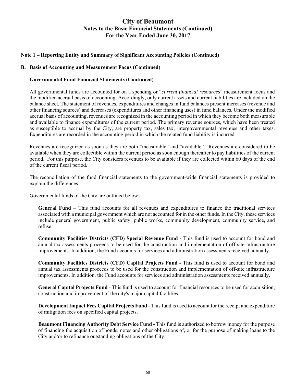#### **B. Basis of Accounting and Measurement Focus (Continued)**

#### **Governmental Fund Financial Statements (Continued)**

All governmental funds are accounted for on a spending or "*current financial resources*" measurement focus and the modified accrual basis of accounting. Accordingly, only current assets and current liabilities are included on the balance sheet. The statement of revenues, expenditures and changes in fund balances present increases (revenue and other financing sources) and decreases (expenditures and other financing uses) in fund balances. Under the modified accrual basis of accounting, revenues are recognized in the accounting period in which they become both measurable and available to finance expenditures of the current period. The primary revenue sources, which have been treated as susceptible to accrual by the City, are property tax, sales tax, intergovernmental revenues and other taxes. Expenditures are recorded in the accounting period in which the related fund liability is incurred.

Revenues are recognized as soon as they are both "measurable" and "available". Revenues are considered to be available when they are collectible within the current period as soon enough thereafter to pay liabilities of the current period. For this purpose, the City considers revenues to be available if they are collected within 60 days of the end of the current fiscal period.

The reconciliation of the fund financial statements to the government-wide financial statements is provided to explain the differences.

Governmental funds of the City are outlined below:

**General Fund** – This fund accounts for all revenues and expenditures to finance the traditional services associated with a municipal government which are not accounted for in the other funds. In the City, these services include general government, public safety, public works, community development, community service, and refuse.

**Community Facilities Districts (CFD) Special Revenue Fund -** This fund is used to account for bond and annual tax assessments proceeds to be used for the construction and implementation of off-site infrastructure improvements. In addition, the Fund accounts for services and administration assessments received annually.

**Community Facilities Districts (CFD) Capital Projects Fund -** This fund is used to account for bond and annual tax assessments proceeds to be used for the construction and implementation of off-site infrastructure improvements. In addition, the Fund accounts for services and administration assessments received annually.

**General Capital Projects Fund** - This fund is used to account for financial resources to be used for acquisition, construction and improvement of the city's major capital facilities.

**Development Impact Fees Capital Projects Fund** - This fund is used to account for the receipt and expenditure of mitigation fees on specified capital projects.

**Beaumont Financing Authority Debt Service Fund -** This fund is authorized to borrow money for the purpose of financing the acquisition of bonds, notes and other obligations of, or for the purpose of making loans to the City and/or to refinance outstanding obligations of the City.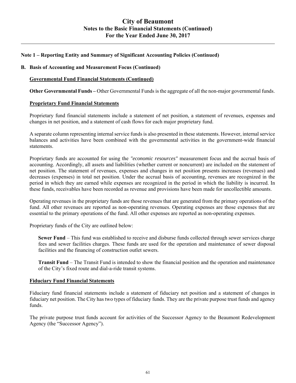#### **B. Basis of Accounting and Measurement Focus (Continued)**

#### **Governmental Fund Financial Statements (Continued)**

**Other Governmental Funds –** Other Governmental Funds is the aggregate of all the non-major governmental funds.

#### **Proprietary Fund Financial Statements**

Proprietary fund financial statements include a statement of net position, a statement of revenues, expenses and changes in net position, and a statement of cash flows for each major proprietary fund.

A separate column representing internal service funds is also presented in these statements. However, internal service balances and activities have been combined with the governmental activities in the government-wide financial statements.

Proprietary funds are accounted for using the *"economic resources"* measurement focus and the accrual basis of accounting. Accordingly, all assets and liabilities (whether current or noncurrent) are included on the statement of net position. The statement of revenues, expenses and changes in net position presents increases (revenues) and decreases (expenses) in total net position. Under the accrual basis of accounting, revenues are recognized in the period in which they are earned while expenses are recognized in the period in which the liability is incurred. In these funds, receivables have been recorded as revenue and provisions have been made for uncollectible amounts.

Operating revenues in the proprietary funds are those revenues that are generated from the primary operations of the fund. All other revenues are reported as non-operating revenues. Operating expenses are those expenses that are essential to the primary operations of the fund. All other expenses are reported as non-operating expenses.

Proprietary funds of the City are outlined below:

**Sewer Fund** – This fund was established to receive and disburse funds collected through sewer services charge fees and sewer facilities charges. These funds are used for the operation and maintenance of sewer disposal facilities and the financing of construction outlet sewers.

**Transit Fund** – The Transit Fund is intended to show the financial position and the operation and maintenance of the City's fixed route and dial-a-ride transit systems.

#### **Fiduciary Fund Financial Statements**

Fiduciary fund financial statements include a statement of fiduciary net position and a statement of changes in fiduciary net position. The City has two types of fiduciary funds. They are the private purpose trust funds and agency funds.

The private purpose trust funds account for activities of the Successor Agency to the Beaumont Redevelopment Agency (the "Successor Agency").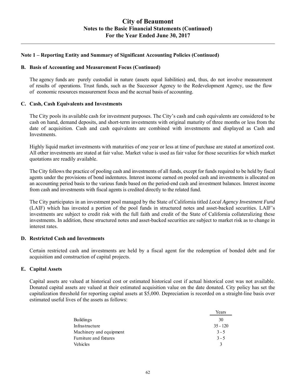#### **B. Basis of Accounting and Measurement Focus (Continued)**

The agency funds are purely custodial in nature (assets equal liabilities) and, thus, do not involve measurement of results of operations. Trust funds, such as the Successor Agency to the Redevelopment Agency, use the flow of economic resources measurement focus and the accrual basis of accounting.

#### **C. Cash, Cash Equivalents and Investments**

The City pools its available cash for investment purposes. The City's cash and cash equivalents are considered to be cash on hand, demand deposits, and short-term investments with original maturity of three months or less from the date of acquisition. Cash and cash equivalents are combined with investments and displayed as Cash and Investments.

Highly liquid market investments with maturities of one year or less at time of purchase are stated at amortized cost. All other investments are stated at fair value. Market value is used as fair value for those securities for which market quotations are readily available.

The City follows the practice of pooling cash and investments of all funds, except for funds required to be held by fiscal agents under the provisions of bond indentures. Interest income earned on pooled cash and investments is allocated on an accounting period basis to the various funds based on the period-end cash and investment balances. Interest income from cash and investments with fiscal agents is credited directly to the related fund.

The City participates in an investment pool managed by the State of California titled *Local Agency Investment Fund* (LAIF) which has invested a portion of the pool funds in structured notes and asset-backed securities. LAIF's investments are subject to credit risk with the full faith and credit of the State of California collateralizing these investments. In addition, these structured notes and asset-backed securities are subject to market risk as to change in interest rates.

#### **D. Restricted Cash and Investments**

Certain restricted cash and investments are held by a fiscal agent for the redemption of bonded debt and for acquisition and construction of capital projects.

#### **E. Capital Assets**

Capital assets are valued at historical cost or estimated historical cost if actual historical cost was not available. Donated capital assets are valued at their estimated acquisition value on the date donated. City policy has set the capitalization threshold for reporting capital assets at \$5,000. Depreciation is recorded on a straight-line basis over estimated useful lives of the assets as follows:

|                         | Years        |
|-------------------------|--------------|
| <b>Buildings</b>        | 30           |
| Infrastructure          | $35 - 120$   |
| Machinery and equipment | $3 - 5$      |
| Furniture and fixtures  | $3 - 5$      |
| Vehicles                | $\mathbf{a}$ |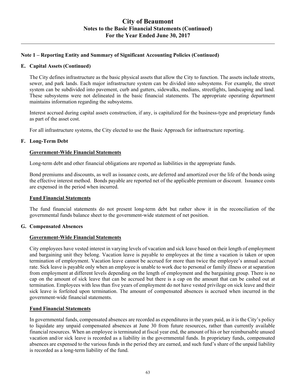#### **E. Capital Assets (Continued)**

The City defines infrastructure as the basic physical assets that allow the City to function. The assets include streets, sewer, and park lands. Each major infrastructure system can be divided into subsystems. For example, the street system can be subdivided into pavement, curb and gutters, sidewalks, medians, streetlights, landscaping and land. These subsystems were not delineated in the basic financial statements. The appropriate operating department maintains information regarding the subsystems.

Interest accrued during capital assets construction, if any, is capitalized for the business-type and proprietary funds as part of the asset cost.

For all infrastructure systems, the City elected to use the Basic Approach for infrastructure reporting.

#### **F. Long-Term Debt**

#### **Government-Wide Financial Statements**

Long-term debt and other financial obligations are reported as liabilities in the appropriate funds.

Bond premiums and discounts, as well as issuance costs, are deferred and amortized over the life of the bonds using the effective interest method. Bonds payable are reported net of the applicable premium or discount. Issuance costs are expensed in the period when incurred.

#### **Fund Financial Statements**

The fund financial statements do not present long-term debt but rather show it in the reconciliation of the governmental funds balance sheet to the government-wide statement of net position.

#### **G. Compensated Absences**

#### **Government-Wide Financial Statements**

City employees have vested interest in varying levels of vacation and sick leave based on their length of employment and bargaining unit they belong. Vacation leave is payable to employees at the time a vacation is taken or upon termination of employment. Vacation leave cannot be accrued for more than twice the employee's annual accrual rate. Sick leave is payable only when an employee is unable to work due to personal or family illness or at separation from employment at different levels depending on the length of employment and the bargaining group. There is no cap on the amount of sick leave that can be accrued but there is a cap on the amount that can be cashed out at termination. Employees with less than five years of employment do not have vested privilege on sick leave and their sick leave is forfeited upon termination. The amount of compensated absences is accrued when incurred in the government-wide financial statements.

#### **Fund Financial Statements**

In governmental funds, compensated absences are recorded as expenditures in the years paid, as it is the City's policy to liquidate any unpaid compensated absences at June 30 from future resources, rather than currently available financial resources. When an employee is terminated at fiscal year end, the amount of his or her reimbursable unused vacation and/or sick leave is recorded as a liability in the governmental funds. In proprietary funds, compensated absences are expensed to the various funds in the period they are earned, and such fund's share of the unpaid liability is recorded as a long-term liability of the fund.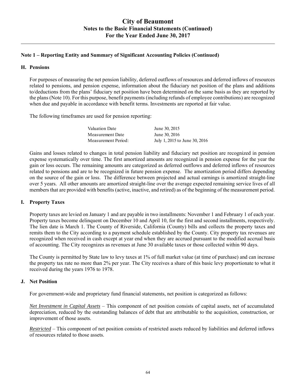#### **H. Pensions**

For purposes of measuring the net pension liability, deferred outflows of resources and deferred inflows of resources related to pensions, and pension expense, information about the fiduciary net position of the plans and additions to/deductions from the plans' fiduciary net position have been determined on the same basis as they are reported by the plans (Note 10). For this purpose, benefit payments (including refunds of employee contributions) are recognized when due and payable in accordance with benefit terms. Investments are reported at fair value.

The following timeframes are used for pension reporting:

| <b>Valuation Date</b> | June 30, 2015                 |
|-----------------------|-------------------------------|
| Measurement Date      | June 30, 2016                 |
| Measurement Period:   | July 1, 2015 to June 30, 2016 |

Gains and losses related to changes in total pension liability and fiduciary net position are recognized in pension expense systematically over time. The first amortized amounts are recognized in pension expense for the year the gain or loss occurs. The remaining amounts are categorized as deferred outflows and deferred inflows of resources related to pensions and are to be recognized in future pension expense. The amortization period differs depending on the source of the gain or loss. The difference between projected and actual earnings is amortized straight-line over 5 years. All other amounts are amortized straight-line over the average expected remaining service lives of all members that are provided with benefits (active, inactive, and retired) as of the beginning of the measurement period.

#### **I. Property Taxes**

Property taxes are levied on January 1 and are payable in two installments: November 1 and February 1 of each year. Property taxes become delinquent on December 10 and April 10, for the first and second installments, respectively. The lien date is March 1. The County of Riverside, California (County) bills and collects the property taxes and remits them to the City according to a payment schedule established by the County. City property tax revenues are recognized when received in cash except at year end when they are accrued pursuant to the modified accrual basis of accounting. The City recognizes as revenues at June 30 available taxes or those collected within 90 days.

The County is permitted by State law to levy taxes at 1% of full market value (at time of purchase) and can increase the property tax rate no more than 2% per year. The City receives a share of this basic levy proportionate to what it received during the years 1976 to 1978.

#### **J. Net Position**

For government-wide and proprietary fund financial statements, net position is categorized as follows:

*Net Investment in Capital Assets* – This component of net position consists of capital assets, net of accumulated depreciation, reduced by the outstanding balances of debt that are attributable to the acquisition, construction, or improvement of those assets.

*Restricted* – This component of net position consists of restricted assets reduced by liabilities and deferred inflows of resources related to those assets.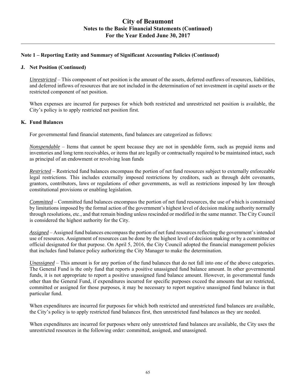#### **J. Net Position (Continued)**

*Unrestricted* – This component of net position is the amount of the assets, deferred outflows of resources, liabilities, and deferred inflows of resources that are not included in the determination of net investment in capital assets or the restricted component of net position.

When expenses are incurred for purposes for which both restricted and unrestricted net position is available, the City's policy is to apply restricted net position first.

#### **K. Fund Balances**

For governmental fund financial statements, fund balances are categorized as follows:

*Nonspendable* – Items that cannot be spent because they are not in spendable form, such as prepaid items and inventories and long term receivables, or items that are legally or contractually required to be maintained intact, such as principal of an endowment or revolving loan funds

*Restricted* – Restricted fund balances encompass the portion of net fund resources subject to externally enforceable legal restrictions. This includes externally imposed restrictions by creditors, such as through debt covenants, grantors, contributors, laws or regulations of other governments, as well as restrictions imposed by law through constitutional provisions or enabling legislation.

*Committed* – Committed fund balances encompass the portion of net fund resources, the use of which is constrained by limitations imposed by the formal action of the government's highest level of decision making authority normally through resolutions, etc., and that remain binding unless rescinded or modified in the same manner. The City Council is considered the highest authority for the City.

*Assigned* – Assigned fund balances encompass the portion of net fund resources reflecting the government's intended use of resources. Assignment of resources can be done by the highest level of decision making or by a committee or official designated for that purpose. On April 5, 2016, the City Council adopted the financial management policies that includes fund balance policy authorizing the City Manager to make the determination.

*Unassigned* – This amount is for any portion of the fund balances that do not fall into one of the above categories. The General Fund is the only fund that reports a positive unassigned fund balance amount. In other governmental funds, it is not appropriate to report a positive unassigned fund balance amount. However, in governmental funds other than the General Fund, if expenditures incurred for specific purposes exceed the amounts that are restricted, committed or assigned for those purposes, it may be necessary to report negative unassigned fund balance in that particular fund.

When expenditures are incurred for purposes for which both restricted and unrestricted fund balances are available, the City's policy is to apply restricted fund balances first, then unrestricted fund balances as they are needed.

When expenditures are incurred for purposes where only unrestricted fund balances are available, the City uses the unrestricted resources in the following order: committed, assigned, and unassigned.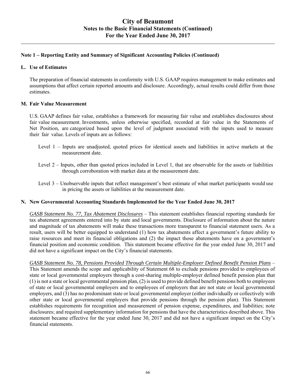#### **L. Use of Estimates**

The preparation of financial statements in conformity with U.S. GAAP requires management to make estimates and assumptions that affect certain reported amounts and disclosure. Accordingly, actual results could differ from those estimates.

#### **M. Fair Value Measurement**

U.S. GAAP defines fair value, establishes a framework for measuring fair value and establishes disclosures about fair value measurement. Investments, unless otherwise specified, recorded at fair value in the Statements of Net Position, are categorized based upon the level of judgment associated with the inputs used to measure their fair value. Levels of inputs are as follows:

- Level 1 Inputs are unadjusted, quoted prices for identical assets and liabilities in active markets at the measurement date.
- Level 2 Inputs, other than quoted prices included in Level 1, that are observable for the assets or liabilities through corroboration with market data at the measurement date.
- Level 3 Unobservable inputs that reflect management's best estimate of what market participants would use in pricing the assets or liabilities at the measurement date.

#### **N. New Governmental Accounting Standards Implemented for the Year Ended June 30, 2017**

*GASB Statement No. 77, Tax Abatement Disclosures* – This statement establishes financial reporting standards for tax abatement agreements entered into by state and local governments. Disclosure of information about the nature and magnitude of tax abatements will make these transactions more transparent to financial statement users. As a result, users will be better equipped to understand (1) how tax abatements affect a government's future ability to raise resources and meet its financial obligations and (2) the impact those abatements have on a government's financial position and economic condition. This statement became effective for the year ended June 30, 2017 and did not have a significant impact on the City's financial statements.

*GASB Statement No. 78, Pensions Provided Through Certain Multiple-Employer Defined Benefit Pension Plans* – This Statement amends the scope and applicability of Statement 68 to exclude pensions provided to employees of state or local governmental employers through a cost-sharing multiple-employer defined benefit pension plan that (1) is not a state or local governmental pension plan, (2) is used to provide defined benefit pensions both to employees of state or local governmental employers and to employees of employers that are not state or local governmental employers, and (3) has no predominant state or local governmental employer (either individually or collectively with other state or local governmental employers that provide pensions through the pension plan). This Statement establishes requirements for recognition and measurement of pension expense, expenditures, and liabilities; note disclosures; and required supplementary information for pensions that have the characteristics described above. This statement became effective for the year ended June 30, 2017 and did not have a significant impact on the City's financial statements.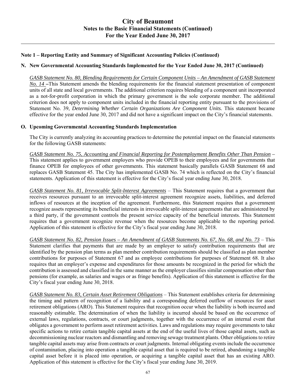# **Note 1 – Reporting Entity and Summary of Significant Accounting Policies (Continued)**

# **N. New Governmental Accounting Standards Implemented for the Year Ended June 30, 2017 (Continued)**

*GASB Statement No. 80, Blending Requirements for Certain Component Units – An Amendment of GASB Statement No. 14 –*This Statement amends the blending requirements for the financial statement presentation of component units of all state and local governments. The additional criterion requires blending of a component unit incorporated as a not-for-profit corporation in which the primary government is the sole corporate member. The additional criterion does not apply to component units included in the financial reporting entity pursuant to the provisions of Statement No. 39, *Determining Whether Certain Organizations Are Component Units.* This statement became effective for the year ended June 30, 2017 and did not have a significant impact on the City's financial statements.

# **O. Upcoming Governmental Accounting Standards Implementation**

The City is currently analyzing its accounting practices to determine the potential impact on the financial statements for the following GASB statements:

*GASB Statement No. 75, Accounting and Financial Reporting for Postemployment Benefits Other Than Pension –* This statement applies to government employers who provide OPEB to their employees and for governments that finance OPEB for employees of other governments. This statement basically parallels GASB Statement 68 and replaces GASB Statement 45. The City has implemented GASB No. 74 which is reflected on the City's financial statements. Application of this statement is effective for the City's fiscal year ending June 30, 2018.

*GASB Statement No. 81, Irrevocable Split-Interest Agreements* – This Statement requires that a government that receives resources pursuant to an irrevocable split-interest agreement recognize assets, liabilities, and deferred inflows of resources at the inception of the agreement. Furthermore, this Statement requires that a government recognize assets representing its beneficial interests in irrevocable split-interest agreements that are administered by a third party, if the government controls the present service capacity of the beneficial interests. This Statement requires that a government recognize revenue when the resources become applicable to the reporting period. Application of this statement is effective for the City's fiscal year ending June 30, 2018.

*GASB Statement No. 82, Pension Issues – An Amendment of GASB Statements No. 67, No. 68, and No. 73* – This Statement clarifies that payments that are made by an employer to satisfy contribution requirements that are identified by the pension plan terms as plan member contribution requirements should be classified as plan member contributions for purposes of Statement 67 and as employee contributions for purposes of Statement 68. It also requires that an employer's expense and expenditures for those amounts be recognized in the period for which the contribution is assessed and classified in the same manner as the employer classifies similar compensation other than pensions (for example, as salaries and wages or as fringe benefits). Application of this statement is effective for the City's fiscal year ending June 30, 2018.

*GASB Statement No. 83, Certain Asset Retirement Obligations* – This Statement establishes criteria for determining the timing and pattern of recognition of a liability and a corresponding deferred outflow of resources for asset retirement obligations (ARO). This Statement requires that recognition occur when the liability is both incurred and reasonably estimable. The determination of when the liability is incurred should be based on the occurrence of external laws, regulations, contracts, or court judgments, together with the occurrence of an internal event that obligates a government to perform asset retirement activities. Laws and regulations may require governments to take specific actions to retire certain tangible capital assets at the end of the useful lives of those capital assets, such as decommissioning nuclear reactors and dismantling and removing sewage treatment plants. Other obligations to retire tangible capital assets may arise from contracts or court judgments. Internal obligating events include the occurrence of contamination, placing into operation a tangible capital asset that is required to be retired, abandoning a tangible capital asset before it is placed into operation, or acquiring a tangible capital asset that has an existing ARO. Application of this statement is effective for the City's fiscal year ending June 30, 2019.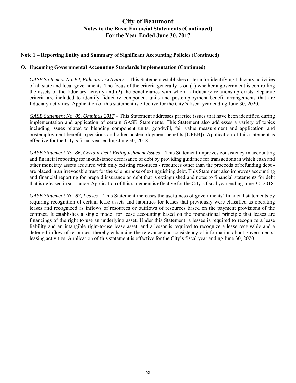# **Note 1 – Reporting Entity and Summary of Significant Accounting Policies (Continued)**

# **O. Upcoming Governmental Accounting Standards Implementation (Continued)**

*GASB Statement No. 84, Fiduciary Activities* – This Statement establishes criteria for identifying fiduciary activities of all state and local governments. The focus of the criteria generally is on (1) whether a government is controlling the assets of the fiduciary activity and (2) the beneficiaries with whom a fiduciary relationship exists. Separate criteria are included to identify fiduciary component units and postemployment benefit arrangements that are fiduciary activities. Application of this statement is effective for the City's fiscal year ending June 30, 2020.

*GASB Statement No. 85, Omnibus 2017* – This Statement addresses practice issues that have been identified during implementation and application of certain GASB Statements. This Statement also addresses a variety of topics including issues related to blending component units, goodwill, fair value measurement and application, and postemployment benefits (pensions and other postemployment benefits [OPEB]). Application of this statement is effective for the City's fiscal year ending June 30, 2018.

*GASB Statement No. 86, Certain Debt Extinguishment Issues* – This Statement improves consistency in accounting and financial reporting for in-substance defeasance of debt by providing guidance for transactions in which cash and other monetary assets acquired with only existing resources - resources other than the proceeds of refunding debt are placed in an irrevocable trust for the sole purpose of extinguishing debt. This Statement also improves accounting and financial reporting for prepaid insurance on debt that is extinguished and notes to financial statements for debt that is defeased in substance. Application of this statement is effective for the City's fiscal year ending June 30, 2018.

*GASB Statement No. 87, Leases* – This Statement increases the usefulness of governments' financial statements by requiring recognition of certain lease assets and liabilities for leases that previously were classified as operating leases and recognized as inflows of resources or outflows of resources based on the payment provisions of the contract. It establishes a single model for lease accounting based on the foundational principle that leases are financings of the right to use an underlying asset. Under this Statement, a lessee is required to recognize a lease liability and an intangible right-to-use lease asset, and a lessor is required to recognize a lease receivable and a deferred inflow of resources, thereby enhancing the relevance and consistency of information about governments' leasing activities. Application of this statement is effective for the City's fiscal year ending June 30, 2020.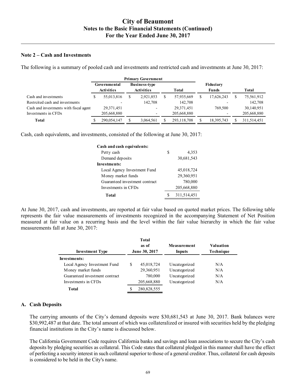#### **Note 2 – Cash and Investments**

The following is a summary of pooled cash and investments and restricted cash and investments at June 30, 2017:

|                                        | <b>Primary Government</b> |                                   |                                                    |           |  |             |                    |            |  |             |
|----------------------------------------|---------------------------|-----------------------------------|----------------------------------------------------|-----------|--|-------------|--------------------|------------|--|-------------|
|                                        |                           | Governmental<br><b>Activities</b> | <b>Business-type</b><br><b>Activities</b><br>Total |           |  |             | Fiduciary<br>Funds | Total      |  |             |
| Cash and investments                   |                           | 55,013,816                        |                                                    | 2,921,853 |  | 57,935,669  |                    | 17,626,243 |  | 75,561,912  |
| Restrcited cash and investments        |                           |                                   |                                                    | 142,708   |  | 142,708     |                    |            |  | 142,708     |
| Cash and investments with fiscal agent |                           | 29,371,451                        |                                                    |           |  | 29,371,451  |                    | 769.500    |  | 30,140,951  |
| Investments in CFDs                    |                           | 205,668,880                       |                                                    |           |  | 205,668,880 |                    |            |  | 205,668,880 |
| <b>Total</b>                           |                           | 290,054,147                       |                                                    | 3,064,561 |  | 293,118,708 |                    | 18,395,743 |  | 311,514,451 |

Cash, cash equivalents, and investments, consisted of the following at June 30, 2017:

| Cash and cash equivalents:     |   |             |
|--------------------------------|---|-------------|
| Petty cash                     | S | 4,353       |
| Demand deposits                |   | 30,681,543  |
| Investments:                   |   |             |
| Local Agency Investment Fund   |   | 45,018,724  |
| Money market funds             |   | 29,360,951  |
| Guaranteed investment contract |   | 780,000     |
| Investments in CFDs            |   | 205,668,880 |
| Total                          |   | 311,514,451 |

At June 30, 2017, cash and investments, are reported at fair value based on quoted market prices. The following table represents the fair value measurements of investments recognized in the accompanying Statement of Net Position measured at fair value on a recurring basis and the level within the fair value hierarchy in which the fair value measurements fall at June 30, 2017:

|                                |   | Total         |               |           |
|--------------------------------|---|---------------|---------------|-----------|
|                                |   | as of         | Measurement   | Valuation |
| <b>Investment Type</b>         |   | June 30, 2017 | Inputs        | Technique |
| Investments:                   |   |               |               |           |
| Local Agency Investment Fund   | S | 45,018,724    | Uncategorized | N/A       |
| Money market funds             |   | 29,360,951    | Uncategorized | N/A       |
| Guaranteed investment contract |   | 780,000       | Uncategorized | N/A       |
| Investments in CFDs            |   | 205,668,880   | Uncategorized | N/A       |
| Total                          | S | 280,828,555   |               |           |

# **A. Cash Deposits**

The carrying amounts of the City's demand deposits were \$30,681,543 at June 30, 2017. Bank balances were \$30,992,487 at that date. The total amount of which was collateralized or insured with securities held by the pledging financial institutions in the City's name is discussed below.

The California Government Code requires California banks and savings and loan associations to secure the City's cash deposits by pledging securities as collateral. This Code states that collateral pledged in this manner shall have the effect of perfecting a security interest in such collateral superior to those of a general creditor. Thus, collateral for cash deposits is considered to be held in the City's name.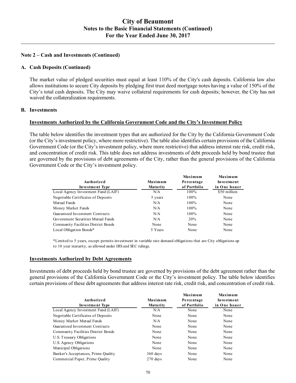#### **Note 2 – Cash and Investments (Continued)**

#### **A. Cash Deposits (Continued)**

The market value of pledged securities must equal at least 110% of the City's cash deposits. California law also allows institutions to secure City deposits by pledging first trust deed mortgage notes having a value of 150% of the City's total cash deposits. The City may waive collateral requirements for cash deposits; however, the City has not waived the collateralization requirements.

#### **B. Investments**

# **Investments Authorized by the California Government Code and the City's Investment Policy**

The table below identifies the investment types that are authorized for the City by the California Government Code (or the City's investment policy, where more restrictive). The table also identifies certain provisions of the California Government Code (or the City's investment policy, where more restrictive) that address interest rate risk, credit risk, and concentration of credit risk. This table does not address investments of debt proceeds held by bond trustee that are governed by the provisions of debt agreements of the City, rather than the general provisions of the California Government Code or the City's investment policy.

|                                            |          | Maximum      | Maximum       |
|--------------------------------------------|----------|--------------|---------------|
| Authorized                                 | Maximum  | Percentage   | Investment    |
| Investment Type                            | Maturity | of Portfolio | in One Issuer |
| Local Agency Investment Fund (LAIF)        | N/A      | 100%         | \$50 million  |
| Negotiable Certificates of Deposits        | 5 years  | 100%         | None          |
| Mutual Funds                               | N/A      | 100%         | None          |
| Money Market Funds                         | N/A      | $100\%$      | None          |
| Guaranteed Investment Contracts            | N/A      | 100%         | None          |
| Government Securities Mutual Funds         | N/A      | 20%          | None          |
| <b>Community Facilities District Bonds</b> | None     | None         | None          |
| Local Obligation Bonds*                    | 5 Years  | None         | None          |

\*Limited to 5 years, except permits investment in variable rate demand obligations that are City obligations up to 10 year maturity, as allowed under IRS and SEC rulings.

#### **Investments Authorized by Debt Agreements**

Investments of debt proceeds held by bond trustee are governed by provisions of the debt agreement rather than the general provisions of the California Government Code or the City's investment policy. The table below identifies certain provisions of these debt agreements that address interest rate risk, credit risk, and concentration of credit risk.

| Authorized                          | Maximum    | Maximum<br>Percentage | Maximum<br>Investment |
|-------------------------------------|------------|-----------------------|-----------------------|
| Investment Type                     | Maturity   | of Portfolio          | in One Issuer         |
| Local Agency Investment Fund (LAIF) | N/A        | None                  | None                  |
| Negotiable Certificates of Deposits | None       | None                  | None                  |
| Money Market Mutual Funds           | N/A        | None                  | None                  |
| Guaranteed Investment Contracts     | None       | None                  | None                  |
| Community Facilities District Bonds | None       | None                  | None                  |
| U.S. Treasury Obligations           | None       | None                  | None                  |
| U.S. Agency Obligations             | None       | None                  | None                  |
| Municipal Obligations               | None       | None                  | None                  |
| Banker's Acceptances, Prime Quality | $360$ days | None                  | None                  |
| Commercial Paper, Prime Quality     | $270$ days | None                  | None                  |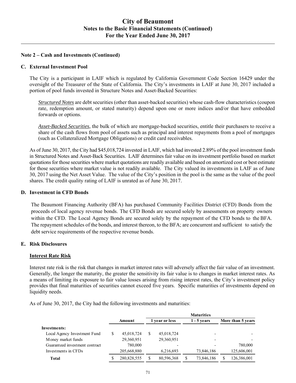#### **Note 2 – Cash and Investments (Continued)**

#### **C. External Investment Pool**

The City is a participant in LAIF which is regulated by California Government Code Section 16429 under the oversight of the Treasurer of the State of California. The City's investments in LAIF at June 30, 2017 included a portion of pool funds invested in Structure Notes and Asset-Backed Securities:

*Structured Notes* are debt securities (other than asset-backed securities) whose cash-flow characteristics (coupon rate, redemption amount, or stated maturity) depend upon one or more indices and/or that have embedded forwards or options.

*Asset-Backed Securities*, the bulk of which are mortgage-backed securities, entitle their purchasers to receive a share of the cash flows from pool of assets such as principal and interest repayments from a pool of mortgages (such as Collateralized Mortgage Obligations) or credit card receivables.

As of June 30, 2017, the City had \$45,018,724 invested in LAIF, which had invested 2.89% of the pool investment funds in Structured Notes and Asset-Back Securities. LAIF determines fair value on its investment portfolio based on market quotations for those securities where market quotations are readily available and based on amortized cost or best estimate for those securities where market value is not readily available. The City valued its investments in LAIF as of June 30, 2017 using the Net Asset Value. The value of the City's position in the pool is the same as the value of the pool shares. The credit quality rating of LAIF is unrated as of June 30, 2017.

#### **D. Investment in CFD Bonds**

The Beaumont Financing Authority (BFA) has purchased Community Facilities District (CFD) Bonds from the proceeds of local agency revenue bonds. The CFD Bonds are secured solely by assessments on property owners within the CFD. The Local Agency Bonds are secured solely by the repayment of the CFD bonds to the BFA. The repayment schedules of the bonds, and interest thereon, to the BFA; are concurrent and sufficient to satisfy the debt service requirements of the respective revenue bonds.

# **E. Risk Disclosures**

#### **Interest Rate Risk**

Interest rate risk is the risk that changes in market interest rates will adversely affect the fair value of an investment. Generally, the longer the maturity, the greater the sensitivity its fair value is to changes in market interest rates. As a means of limiting its exposure to fair value losses arising from rising interest rates, the City's investment policy provides that final maturities of securities cannot exceed five years. Specific maturities of investments depend on liquidity needs.

As of June 30, 2017, the City had the following investments and maturities:

|                                |             |  |                       | <b>Maturities</b> |                   |             |  |
|--------------------------------|-------------|--|-----------------------|-------------------|-------------------|-------------|--|
|                                | Amount      |  | <b>1 vear or less</b> | $1 - 5$ years     | More than 5 years |             |  |
| Investments:                   |             |  |                       |                   |                   |             |  |
| Local Agency Investment Fund   | 45,018,724  |  | 45,018,724            | -                 |                   |             |  |
| Money market funds             | 29,360,951  |  | 29,360,951            |                   |                   |             |  |
| Guaranteed investment contract | 780,000     |  |                       |                   |                   | 780,000     |  |
| Investments in CFDs            | 205,668,880 |  | 6,216,693             | 73,846,186        |                   | 125,606,001 |  |
| Total                          | 280,828,555 |  | 80,596,368            | 73,846,186        |                   | 126,386,001 |  |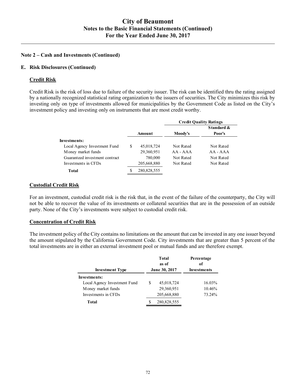#### **Note 2 – Cash and Investments (Continued)**

#### **E. Risk Disclosures (Continued)**

# **Credit Risk**

Credit Risk is the risk of loss due to failure of the security issuer. The risk can be identified thru the rating assigned by a nationally recognized statistical rating organization to the issuers of securities. The City minimizes this risk by investing only on type of investments allowed for municipalities by the Government Code as listed on the City's investment policy and investing only on instruments that are most credit worthy.

|                                |                  |            | <b>Credit Quality Ratings</b> |
|--------------------------------|------------------|------------|-------------------------------|
|                                |                  |            | Standard &                    |
|                                | Amount           | Moody's    | Poor's                        |
| Investments:                   |                  |            |                               |
| Local Agency Investment Fund   | \$<br>45,018,724 | Not Rated  | Not Rated                     |
| Money market funds             | 29,360,951       | $AA - AAA$ | $AA - AAA$                    |
| Guaranteed investment contract | 780,000          | Not Rated  | Not Rated                     |
| Investments in CFDs            | 205,668,880      | Not Rated  | Not Rated                     |
| Total                          | 280,828,555      |            |                               |

# **Custodial Credit Risk**

For an investment, custodial credit risk is the risk that, in the event of the failure of the counterparty, the City will not be able to recover the value of its investments or collateral securities that are in the possession of an outside party. None of the City's investments were subject to custodial credit risk.

# **Concentration of Credit Risk**

The investment policy of the City contains no limitations on the amount that can be invested in any one issuer beyond the amount stipulated by the California Government Code. City investments that are greater than 5 percent of the total investments are in either an external investment pool or mutual funds and are therefore exempt.

|   | Total<br>as of | Percentage<br>of<br>Investments |
|---|----------------|---------------------------------|
|   |                |                                 |
| S | 45,018,724     | $16.03\%$                       |
|   | 29,360,951     | 10.46%                          |
|   | 205,668,880    | 73.24%                          |
|   | 280,828,555    |                                 |
|   |                | June 30, 2017                   |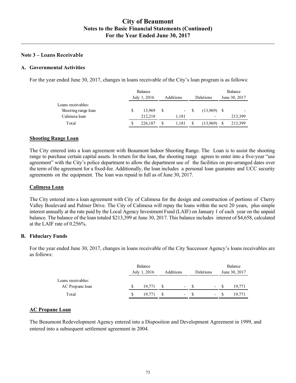# **Note 3 – Loans Receivable**

#### **A. Governmental Activities**

For the year ended June 30, 2017, changes in loans receivable of the City's loan program is as follows:

|                     | Balance<br>July 1, 2016 |              | Additions                |    | Deletions | Balance<br>June 30, 2017 |         |
|---------------------|-------------------------|--------------|--------------------------|----|-----------|--------------------------|---------|
| Loans receivables:  |                         |              |                          |    |           |                          |         |
| Shooting range loan | 13.969                  | <sup>S</sup> | $\overline{\phantom{a}}$ | -S | (13,969)  |                          |         |
| Calimesa loan       | 212,218                 |              | 1,181                    |    | -         |                          | 213,399 |
| Total               | 226,187                 | S            | 1.181                    |    | (13,969)  |                          | 213,399 |

# **Shooting Range Loan**

The City entered into a loan agreement with Beaumont Indoor Shooting Range. The Loan is to assist the shooting range to purchase certain capital assets. In return for the loan, the shooting range agrees to enter into a five-year "use agreement" with the City's police department to allow the department use of the facilities on pre-arranged dates over the term of the agreement for a fixed-fee. Additionally, the loan includes a personal loan guarantee and UCC security agreements on the equipment. The loan was repaid in full as of June 30, 2017.

#### **Calimesa Loan**

The City entered into a loan agreement with City of Calimesa for the design and construction of portions of Cherry Valley Boulevard and Palmer Drive. The City of Calimesa will repay the loans within the next 20 years, plus simple interest annually at the rate paid by the Local Agency Investment Fund (LAIF) on January 1 of each year on the unpaid balance. The balance of the loan totaled \$213,399 at June 30, 2017. This balance includes interest of \$4,658, calculated at the LAIF rate of 0.256%.

#### **B. Fiduciary Funds**

For the year ended June 30, 2017, changes in loans receivable of the City Successor Agency's loans receivables are as follows:

|                                       | Balance<br>July 1, 2016 |   | Additions<br>Deletions   |  |                  | Balance<br>June 30, 2017 |        |  |
|---------------------------------------|-------------------------|---|--------------------------|--|------------------|--------------------------|--------|--|
| Loans receivables:<br>AC Propane loan | 19.771                  | S | $\overline{\phantom{a}}$ |  | $\sim 100$       |                          | 19,771 |  |
| Total                                 | 19.771                  | S | $\overline{\phantom{a}}$ |  | $\sim$ 100 $\mu$ |                          | 19.771 |  |

# **AC Propane Loan**

The Beaumont Redevelopment Agency entered into a Disposition and Development Agreement in 1999, and entered into a subsequent settlement agreement in 2004.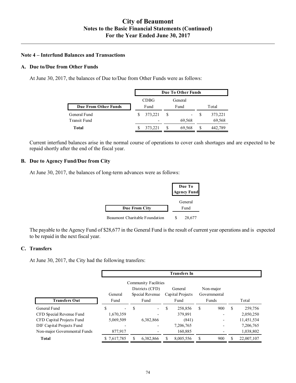# **Note 4 – Interfund Balances and Transactions**

# **A. Due to/Due from Other Funds**

At June 30, 2017, the balances of Due to/Due from Other Funds were as follows:

|                             | Due To Other Funds |             |   |         |       |         |  |  |  |  |
|-----------------------------|--------------------|-------------|---|---------|-------|---------|--|--|--|--|
|                             |                    | <b>CDBG</b> |   | General |       |         |  |  |  |  |
| <b>Due From Other Funds</b> |                    | Fund        |   | Fund    | Total |         |  |  |  |  |
| General Fund                |                    | 373,221     | S | -       |       | 373,221 |  |  |  |  |
| <b>Transit Fund</b>         |                    |             |   | 69,568  |       | 69,568  |  |  |  |  |
| <b>Total</b>                |                    | 373,221     | S | 69,568  |       | 442,789 |  |  |  |  |

Current interfund balances arise in the normal course of operations to cover cash shortages and are expected to be repaid shortly after the end of the fiscal year.

# **B. Due to Agency Fund/Due from City**

At June 30, 2017, the balances of long-term advances were as follows:



The payable to the Agency Fund of \$28,677 in the General Fund is the result of current year operations and is expected to be repaid in the next fiscal year.

# **C. Transfers**

At June 30, 2017, the City had the following transfers:

|                                                                                        |                      |     |                                                                    |     | <b>Transfers</b> In                 |   |                                    |   |                                      |
|----------------------------------------------------------------------------------------|----------------------|-----|--------------------------------------------------------------------|-----|-------------------------------------|---|------------------------------------|---|--------------------------------------|
| <b>Transfers Out</b>                                                                   | General<br>Fund      |     | Community Facilities<br>Districts (CFD)<br>Special Revenue<br>Fund |     | General<br>Capital Projects<br>Fund |   | Non-major<br>Governmental<br>Funds |   | Total                                |
| General Fund<br>CFD Special Revenue Fund                                               | S<br>1,670,359       | \$. | $\overline{\phantom{0}}$                                           | \$. | 258,856<br>379,891                  | S | 900                                | S | 259,756<br>2,050,250                 |
| CFD Capital Projects Fund<br>DIF Capital Projects Fund<br>Non-major Governmental Funds | 5,069,509<br>877,917 |     | 6,382,866                                                          |     | (841)<br>7,206,765<br>160,885       |   | $\overline{\phantom{a}}$           |   | 11,451,534<br>7,206,765<br>1,038,802 |
| Total                                                                                  | \$7,617,785          |     | 6,382,866                                                          |     | 8,005,556                           | S | 900                                |   | 22,007,107                           |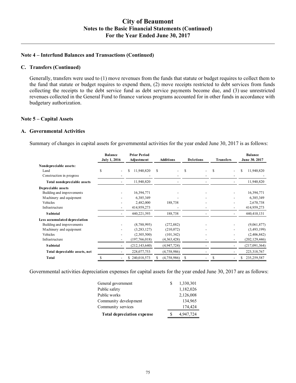#### **Note 4 – Interfund Balances and Transactions (Continued)**

#### **C. Transfers (Continued)**

Generally, transfers were used to (1) move revenues from the funds that statute or budget requires to collect them to the fund that statute or budget requires to expend them, (2) move receipts restricted to debt services from funds collecting the receipts to the debt service fund as debt service payments become due, and (3) use unrestricted revenues collected in the General Fund to finance various programs accounted for in other funds in accordance with budgetary authorization.

# **Note 5 – Capital Assets**

# **A. Governmental Activities**

Summary of changes in capital assets for governmental activities for the year ended June 30, 2017 is as follows:

|                                    | <b>Balance</b><br><b>July 1, 2016</b> | <b>Prior Period</b><br>Adjustment |   | <b>Additions</b> |   | <b>Deletions</b> | <b>Transfers</b>         | <b>Balance</b><br>June 30. 2017 |
|------------------------------------|---------------------------------------|-----------------------------------|---|------------------|---|------------------|--------------------------|---------------------------------|
| Nondepreciable assets:             |                                       |                                   |   |                  |   |                  |                          |                                 |
| Land                               | \$                                    | 11,940,820                        | S |                  |   |                  | S                        | 11,940,820                      |
| Construction in progress           |                                       |                                   |   |                  |   |                  |                          |                                 |
| <b>Total nondepreciable assets</b> |                                       | 11,940,820                        |   |                  |   |                  | $\overline{\phantom{a}}$ | 11,940,820                      |
| Depreciable assets                 |                                       |                                   |   |                  |   |                  |                          |                                 |
| Building and improvements          |                                       | 16,394,771                        |   |                  |   |                  |                          | 16,394,771                      |
| Machinery and equipment            |                                       | 6,385,349                         |   |                  |   |                  |                          | 6,385,349                       |
| Vehicles                           |                                       | 2,482,000                         |   | 188,738          |   |                  |                          | 2,670,738                       |
| Infrastructure                     |                                       | 414,959,273                       |   |                  |   |                  | $\overline{\phantom{a}}$ | 414,959,273                     |
| <b>Subtotal</b>                    |                                       | 440,221,393                       |   | 188,738          |   |                  |                          | 440,410,131                     |
| Less accumulated depreciation      |                                       |                                   |   |                  |   |                  |                          |                                 |
| Building and improvements          |                                       | (8,788,995)                       |   | (272, 882)       |   |                  |                          | (9,061,877)                     |
| Machinery and equipment            |                                       | (3, 283, 127)                     |   | (210,072)        |   |                  |                          | (3,493,199)                     |
| Vehicles                           |                                       | (2,305,500)                       |   | (101, 342)       |   |                  |                          | (2,406,842)                     |
| Infrastructure                     |                                       | (197,766,018)                     |   | (4,363,428)      |   |                  | $\overline{\phantom{a}}$ | (202, 129, 446)                 |
| <b>Subtotal</b>                    |                                       | (212, 143, 640)                   |   | (4,947,724)      |   |                  |                          | (217,091,364)                   |
| Total depreciable assets, net      |                                       | 228,077,753                       |   | (4,758,986)      |   |                  |                          | 223,318,767                     |
| Total                              | \$                                    | 240,018,573                       |   | (4,758,986)      | S |                  | S                        | 235,259,587                     |

Governmental activities depreciation expenses for capital assets for the year ended June 30, 2017 are as follows:

| General government                | S | 1,330,301 |
|-----------------------------------|---|-----------|
| Public safety                     |   | 1,182,026 |
| Public works                      |   | 2,126,008 |
| Community development             |   | 134,965   |
| Community services                |   | 174,424   |
| <b>Total depreciation expense</b> |   | 4,947,724 |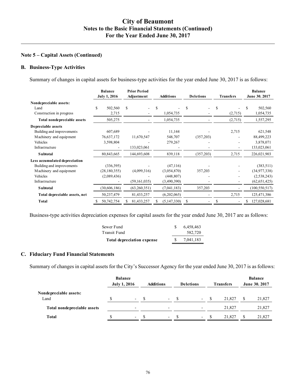# **Note 5 – Capital Assets (Continued)**

# **B. Business-Type Activities**

Summary of changes in capital assets for business-type activities for the year ended June 30, 2017 is as follows:

|                               | <b>Balance</b><br><b>July 1, 2016</b> | <b>Prior Period</b><br>Adjustment | <b>Additions</b> | <b>Deletions</b> | <b>Transfers</b> | <b>Balance</b><br>June 30. 2017 |  |
|-------------------------------|---------------------------------------|-----------------------------------|------------------|------------------|------------------|---------------------------------|--|
| Nondepreciable assets:        |                                       |                                   |                  |                  |                  |                                 |  |
| Land                          | \$<br>502,560                         | <b>S</b>                          |                  | S                |                  | 502,560<br>\$.                  |  |
| Construction in progress      | 2,715                                 |                                   | 1,054,735        |                  | (2,715)          | 1,054,735                       |  |
| Total nondepreciable assets   | 505,275                               |                                   | 1,054,735        |                  | (2,715)          | 1,557,295                       |  |
| Depreciable assets            |                                       |                                   |                  |                  |                  |                                 |  |
| Building and improvements     | 607,689                               |                                   | 11,144           |                  | 2,715            | 621,548                         |  |
| Machinery and equipment       | 76,637,172                            | 11,670,547                        | 548,707          | (357,203)        |                  | 88,499,223                      |  |
| Vehicles                      | 3,598,804                             |                                   | 279,267          |                  |                  | 3,878,071                       |  |
| Infrastructure                |                                       | 133,023,061                       |                  |                  |                  | 133,023,061                     |  |
| <b>Subtotal</b>               | 80,843,665                            | 144,693,608                       | 839,118          | (357,203)        | 2,715            | 226,021,903                     |  |
| Less accumulated depreciation |                                       |                                   |                  |                  |                  |                                 |  |
| Building and improvements     | (336,395)                             |                                   | (47, 116)        |                  |                  | (383, 511)                      |  |
| Machinery and equipment       | (28, 180, 355)                        | (4,099,316)                       | (3,054,870)      | 357,203          |                  | (34, 977, 338)                  |  |
| Vehicles                      | (2,089,436)                           |                                   | (448, 807)       |                  |                  | (2,538,243)                     |  |
| Infrastructure                |                                       | (59, 161, 035)                    | (3,490,390)      |                  |                  | (62, 651, 425)                  |  |
| <b>Subtotal</b>               | (30,606,186)                          | (63,260,351)                      | (7,041,183)      | 357,203          |                  | (100, 550, 517)                 |  |
| Total depreciable assets, net | 50,237,479                            | 81,433,257                        | (6,202,065)      |                  | 2,715            | 125,471,386                     |  |
| <b>Total</b>                  | 50,742,754                            | 81,433,257                        | (5,147,330)      | S                |                  | 127,028,681<br>\$               |  |

Business-type activities depreciation expenses for capital assets for the year ended June 30, 2017 are as follows:

| Sewer Fund                        | 6,458,463 |
|-----------------------------------|-----------|
| <b>Transit Fund</b>               | 582.720   |
| <b>Total depreciation expense</b> | 7,041,183 |

# **C. Fiduciary Fund Financial Statements**

Summary of changes in capital assets for the City's Successor Agency for the year ended June 30, 2017 is as follows:

|                                | <b>Balance</b><br><b>July 1, 2016</b> |                          | <b>Additions</b>         | <b>Deletions</b>         |      | <b>Transfers</b> |               | <b>Balance</b><br>June 30. 2017 |
|--------------------------------|---------------------------------------|--------------------------|--------------------------|--------------------------|------|------------------|---------------|---------------------------------|
| Nondepreciable assets:<br>Land | \$                                    | $\sim$                   | $-$ \$                   | $\sim$                   | - \$ | 21.827           | <sup>\$</sup> | 21,827                          |
| Total nondepreciable assets    |                                       | $\overline{\phantom{0}}$ | $\overline{\phantom{0}}$ | $\overline{\phantom{a}}$ |      | 21.827           |               | 21,827                          |
| Total                          |                                       | $\sim$                   | $ -$                     | $\sim$                   |      | 21,827           | S             | 21,827                          |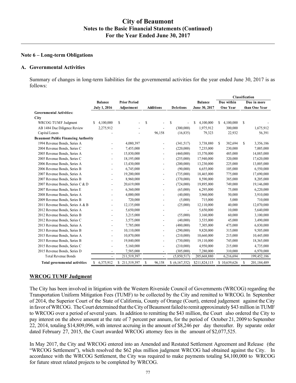#### **Note 6 – Long-term Obligations**

#### **A. Governmental Activities**

Summary of changes in long-term liabilities for the governmental activities for the year ended June 30, 2017 is as follows:

|                                            |                |                          |                     |               |               |                          |                          |   |                | Classification |              |             |               |
|--------------------------------------------|----------------|--------------------------|---------------------|---------------|---------------|--------------------------|--------------------------|---|----------------|----------------|--------------|-------------|---------------|
|                                            | <b>Balance</b> |                          | <b>Prior Period</b> |               |               |                          |                          |   | <b>Balance</b> | Due within     |              | Due in more |               |
|                                            |                | <b>July 1, 2016</b>      |                     | Adjustment    |               | <b>Additions</b>         | <b>Deletions</b>         |   | June 30, 2017  |                | One Year     |             | than One Year |
| <b>Governmental Activities:</b>            |                |                          |                     |               |               |                          |                          |   |                |                |              |             |               |
| City                                       |                |                          |                     |               |               |                          |                          |   |                |                |              |             |               |
| WRCOG TUMF Judgment                        | S.             | 4,100,000                | S                   |               | <sup>\$</sup> |                          | S                        | S | 4,100,000      | S.             | 4,100,000    | \$          |               |
| AB 1484 Due Diligence Review               |                | 2,275,912                |                     |               |               |                          | (300,000)                |   | 1,975,912      |                | 300,000      |             | 1,675,912     |
| Capital Leases                             |                |                          |                     |               |               | 96,158                   | (16, 835)                |   | 79,323         |                | 22,932       |             | 56,391        |
| <b>Beaumont Public Financing Authority</b> |                |                          |                     |               |               |                          |                          |   |                |                |              |             |               |
| 1994 Revenue Bonds, Series A               |                |                          |                     | 4,080,397     |               |                          | (341,517)                |   | 3,738,880      | S              | 382,694      | $\mathbf S$ | 3,356,186     |
| 2004 Revenue Bonds, Series C               |                |                          |                     | 7,455,000     |               | $\blacksquare$           | (220,000)                |   | 7,235,000      |                | 230,000      |             | 7,005,000     |
| 2005 Revenue Bonds, Series A               |                |                          |                     | 15,830,000    |               | $\blacksquare$           | (460,000)                |   | 15,370,000     |                | 485,000      |             | 14,885,000    |
| 2005 Revenue Bonds, Series C               |                | ٠                        |                     | 18,195,000    |               | ÷.                       | (255,000)                |   | 17,940,000     |                | 320,000      |             | 17,620,000    |
| 2006 Revenue Bonds, Series A               |                | $\overline{\phantom{a}}$ |                     | 13,430,000    |               | $\overline{\phantom{0}}$ | (200,000)                |   | 13,230,000     |                | 225,000      |             | 13,005,000    |
| 2006 Revenue Bonds, Series B               |                | ٠                        |                     | 6,745,000     |               | $\blacksquare$           | (90,000)                 |   | 6,655,000      |                | 105,000      |             | 6,550,000     |
| 2007 Revenue Bonds, Series A               |                |                          |                     | 19,200,000    |               | $\overline{\phantom{0}}$ | (735,000)                |   | 18,465,000     |                | 775,000      |             | 17,690,000    |
| 2007 Revenue Bonds, Series B               |                |                          |                     | 8,960,000     |               | $\overline{\phantom{0}}$ | (370,000)                |   | 8,590,000      |                | 385,000      |             | 8,205,000     |
| 2007 Revenue Bonds, Series C & D           |                |                          |                     | 20,619,000    |               | $\overline{\phantom{0}}$ | (724,000)                |   | 19,895,000     |                | 749,000      |             | 19,146,000    |
| 2007 Revenue Bonds, Series E               |                | ٠                        |                     | 6,360,000     |               | $\blacksquare$           | (65,000)                 |   | 6,295,000      |                | 75,000       |             | 6,220,000     |
| 2008 Revenue Bonds, Series A               |                | ٠                        |                     | 4,000,000     |               | $\blacksquare$           | (40,000)                 |   | 3,960,000      |                | 50,000       |             | 3,910,000     |
| 2009 Revenue Bonds, Series B               |                | $\blacksquare$           |                     | 720,000       |               | $\blacksquare$           | (5,000)                  |   | 715,000        |                | 5,000        |             | 710,000       |
| 2011 Revenue Bonds, Series A & B           |                |                          |                     | 12,135,000    |               | $\overline{a}$           | (25,000)                 |   | 12,110,000     |                | 40,000       |             | 12,070,000    |
| 2012 Revenue Bonds, Series A               |                | $\overline{\phantom{a}}$ |                     | 5,650,000     |               | $\blacksquare$           | $\overline{\phantom{a}}$ |   | 5,650,000      |                | 10,000       |             | 5,640,000     |
| 2012 Revenue Bonds, Series B               |                |                          |                     | 3,215,000     |               | $\overline{\phantom{m}}$ | (55,000)                 |   | 3,160,000      |                | 60,000       |             | 3,100,000     |
| 2012 Revenue Bonds, Series C               |                |                          |                     | 3,575,000     |               | $\blacksquare$           | (40,000)                 |   | 3,535,000      |                | 45,000       |             | 3,490,000     |
| 2013 Revenue Bonds, Series A               |                |                          |                     | 7,785,000     |               | $\overline{\phantom{m}}$ | (480,000)                |   | 7,305,000      |                | 475,000      |             | 6,830,000     |
| 2013 Revenue Bonds, Series B               |                | ٠                        |                     | 10,110,000    |               | ٠                        | (290,000)                |   | 9,820,000      |                | 315,000      |             | 9,505,000     |
| 2015 Revenue Bonds, Series A               |                |                          |                     | 10,870,000    |               | $\blacksquare$           | (210,000)                |   | 10,660,000     |                | 215,000      |             | 10,445,000    |
| 2015 Revenue Bonds, Series B               |                | $\overline{\phantom{a}}$ |                     | 19,840,000    |               | $\overline{\phantom{0}}$ | (730,000)                |   | 19,110,000     |                | 745,000      |             | 18,365,000    |
| 2015 Revenue Bonds, Series C               |                |                          |                     | 5,160,000     |               | $\overline{a}$           | (210,000)                |   | 4,950,000      |                | 215,000      |             | 4,735,000     |
| 2015 Revenue Bonds, Series D               |                | ٠                        |                     | 7,585,000     |               | $\overline{\phantom{0}}$ | (305,000)                |   | 7,280,000      |                | 310,000      |             | 6,970,000     |
| <b>Total Revenue Bonds</b>                 |                | $\blacksquare$           |                     | 211,519,397   |               | ÷.                       | (5,850,517)              |   | 205,668,880    |                | 6,216,694    |             | 199,452,186   |
| <b>Total governmental activities</b>       | \$             | 6,375,912                |                     | \$211,519,397 | \$            | 96,158                   | \$ (6,167,352)           |   | \$211,824,115  |                | \$10,639,626 | \$          | 201,184,489   |

# **WRCOG TUMF Judgment**

The City has been involved in litigation with the Western Riverside Council of Governments (WRCOG) regarding the Transportation Uniform Mitigation Fees (TUMF) to be collected by the City and remitted to WRCOG. In September of 2014, the Superior Court of the State of California, County of Orange (Court), entered judgement against the City in favor of WRCOG. The Court determined that the City of Beaumont failed to remit approximately \$43 million in TUMF to WRCOG over a period of several years. In addition to remitting the \$43 million, the Court also ordered the City to pay interest on the above amount at the rate of 7 percent per annum, for the period of October 21, 2009 to September 22, 2014, totaling \$14,809,096, with interest accruing in the amount of \$8,246 per day thereafter. By separate order dated February 27, 2015, the Court awarded WRCOG attorney fees in the amount of \$2,077,525.

In May 2017, the City and WRCOG entered into an Amended and Restated Settlement Agreement and Release (the "WRCOG Settlement"), which resolved the \$62 plus million judgment WRCOG had obtained against the City. In accordance with the WRCOG Settlement, the City was required to make payments totaling \$4,100,000 to WRCOG for future street related projects to be completed by WRCOG.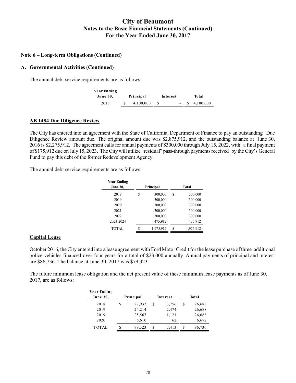#### **Note 6 – Long-term Obligations (Continued)**

#### **A. Governmental Activities (Continued)**

The annual debt service requirements are as follows:

| Year Ending<br>June 30, | Principal | Interest | Total     |
|-------------------------|-----------|----------|-----------|
| 2018                    | 4,100,000 |          | 4,100,000 |

#### **AB 1484 Due Diligence Review**

The City has entered into an agreement with the State of California, Department of Finance to pay an outstanding Due Diligence Review amount due. The original amount due was \$2,875,912, and the outstanding balance at June 30, 2016 is \$2,275,912. The agreement calls for annual payments of \$300,000 through July 15, 2022, with a final payment of \$175,912 due on July 15, 2023. The City will utilize "residual" pass-through payments received by the City's General Fund to pay this debt of the former Redevelopment Agency.

The annual debt service requirements are as follows:

| <b>Year Ending</b><br><b>June 30,</b> |   | Principal |    | Total     |
|---------------------------------------|---|-----------|----|-----------|
| 2018                                  | S | 300,000   | S  | 300,000   |
| 2019                                  |   | 300,000   |    | 300,000   |
| 2020                                  |   | 300,000   |    | 300,000   |
| 2021                                  |   | 300,000   |    | 300,000   |
| 2022                                  |   | 300,000   |    | 300,000   |
| 2023-2024                             |   | 475,912   |    | 475,912   |
| <b>TOTAL</b>                          | S | 1,975,912 | S. | 1,975,912 |

#### **Capital Lease**

October 2016, the City entered into a lease agreement with Ford Motor Credit for the lease purchase of three additional police vehicles financed over four years for a total of \$23,000 annually. Annual payments of principal and interest are \$86,736. The balance at June 30, 2017 was \$79,323.

The future minimum lease obligation and the net present value of these minimum lease payments as of June 30, 2017, are as follows:

| Year Ending<br>June 30, |   | Principal |   | Interest |   | Total  |
|-------------------------|---|-----------|---|----------|---|--------|
| 2018                    | S | 22,932    | S | 3,756    | S | 26,688 |
| 2019                    |   | 24,214    |   | 2,474    |   | 26,688 |
| 2019                    |   | 25,567    |   | 1,121    |   | 26,688 |
| 2020                    |   | 6,610     |   | 62       |   | 6,672  |
| TOTAL                   | S | 79,323    | S | 7.413    | S | 86,736 |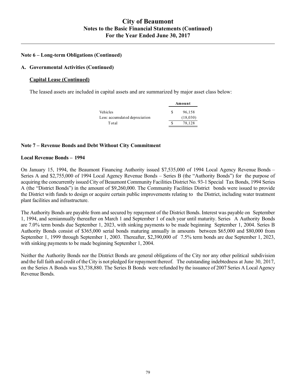#### **Note 6 – Long-term Obligations (Continued)**

#### **A. Governmental Activities (Continued)**

# **Capital Lease (Continued)**

The leased assets are included in capital assets and are summarized by major asset class below:

|                                |   | Amount   |
|--------------------------------|---|----------|
| Vehicles                       | S | 96,158   |
| Less: accumulated depreciation |   | (18,030) |
| Total                          |   | 78.128   |

# **Note 7 – Revenue Bonds and Debt Without City Commitment**

#### **Local Revenue Bonds – 1994**

On January 15, 1994, the Beaumont Financing Authority issued \$7,535,000 of 1994 Local Agency Revenue Bonds – Series A and \$2,755,000 of 1994 Local Agency Revenue Bonds – Series B (the "Authority Bonds") for the purpose of acquiring the concurrently issued City of Beaumont Community Facilities District No. 93-1 Special Tax Bonds, 1994 Series A (the "District Bonds") in the amount of \$9,260,000. The Community Facilities District bonds were issued to provide the District with funds to design or acquire certain public improvements relating to the District, including water treatment plant facilities and infrastructure.

The Authority Bonds are payable from and secured by repayment of the District Bonds. Interest was payable on September 1, 1994, and semiannually thereafter on March 1 and September 1 of each year until maturity. Series A Authority Bonds are 7.0% term bonds due September 1, 2023, with sinking payments to be made beginning September 1, 2004. Series B Authority Bonds consist of \$365,000 serial bonds maturing annually in amounts between \$65,000 and \$80,000 from September 1, 1999 through September 1, 2003. Thereafter, \$2,390,000 of 7.5% term bonds are due September 1, 2023, with sinking payments to be made beginning September 1, 2004.

Neither the Authority Bonds nor the District Bonds are general obligations of the City nor any other political subdivision and the full faith and credit of the City is not pledged for repayment thereof. The outstanding indebtedness at June 30, 2017, on the Series A Bonds was \$3,738,880. The Series B Bonds were refunded by the issuance of 2007 Series A Local Agency Revenue Bonds.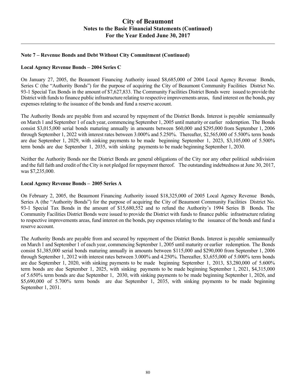#### **Local Agency Revenue Bonds – 2004 Series C**

On January 27, 2005, the Beaumont Financing Authority issued \$8,685,000 of 2004 Local Agency Revenue Bonds, Series C (the "Authority Bonds") for the purpose of acquiring the City of Beaumont Community Facilities District No. 93-1 Special Tax Bonds in the amount of \$7,627,833. The Community Facilities District Bonds were issued to provide the District with funds to finance public infrastructure relating to respective improvements areas, fund interest on the bonds, pay expenses relating to the issuance of the bonds and fund a reserve account.

The Authority Bonds are payable from and secured by repayment of the District Bonds. Interest is payable semiannually on March 1 and September 1 of each year, commencing September 1, 2005 until maturity or earlier redemption. The Bonds consist \$3,015,000 serial bonds maturing annually in amounts between \$60,000 and \$295,000 from September 1, 2006 through September 1, 2022 with interest rates between 3.000% and 5.250%. Thereafter, \$2,565,000 of 5.500% term bonds are due September 1, 2029, with sinking payments to be made beginning September 1, 2023, \$3,105,000 of 5.500% term bonds are due September 1, 2035, with sinking payments to be made beginning September 1, 2030.

Neither the Authority Bonds nor the District Bonds are general obligations of the City nor any other political subdivision and the full faith and credit of the City is not pledged for repayment thereof. The outstanding indebtedness at June 30, 2017, was \$7,235,000.

# **Local Agency Revenue Bonds – 2005 Series A**

On February 2, 2005, the Beaumont Financing Authority issued \$18,325,000 of 2005 Local Agency Revenue Bonds, Series A (the "Authority Bonds") for the purpose of acquiring the City of Beaumont Community Facilities District No. 93-1 Special Tax Bonds in the amount of \$15,680,552 and to refund the Authority's 1994 Series B Bonds. The Community Facilities District Bonds were issued to provide the District with funds to finance public infrastructure relating to respective improvements areas, fund interest on the bonds, pay expenses relating to the issuance of the bonds and fund a reserve account.

The Authority Bonds are payable from and secured by repayment of the District Bonds. Interest is payable semiannually on March 1 and September 1 of each year, commencing September 1, 2005 until maturity or earlier redemption. The Bonds consist \$1,385,000 serial bonds maturing annually in amounts between \$115,000 and \$290,000 from September 1, 2006 through September 1, 2012 with interest rates between 3.000% and 4.250%. Thereafter, \$3,655,000 of 5.000% term bonds are due September 1, 2020, with sinking payments to be made beginning September 1, 2013, \$3,280,000 of 5.600% term bonds are due September 1, 2025, with sinking payments to be made beginning September 1, 2021, \$4,315,000 of 5.650% term bonds are due September 1, 2030, with sinking payments to be made beginning September 1, 2026, and \$5,690,000 of 5.700% term bonds are due September 1, 2035, with sinking payments to be made beginning September 1, 2031.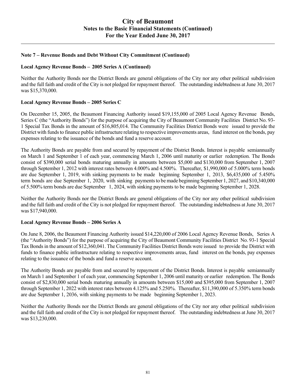#### **Local Agency Revenue Bonds – 2005 Series A (Continued)**

Neither the Authority Bonds nor the District Bonds are general obligations of the City nor any other political subdivision and the full faith and credit of the City is not pledged for repayment thereof. The outstanding indebtedness at June 30, 2017 was \$15,370,000.

# **Local Agency Revenue Bonds – 2005 Series C**

On December 15, 2005, the Beaumont Financing Authority issued \$19,155,000 of 2005 Local Agency Revenue Bonds, Series C (the "Authority Bonds") for the purpose of acquiring the City of Beaumont Community Facilities District No. 93- 1 Special Tax Bonds in the amount of \$16,805,014. The Community Facilities District Bonds were issued to provide the District with funds to finance public infrastructure relating to respective improvements areas, fund interest on the bonds, pay expenses relating to the issuance of the bonds and fund a reserve account.

The Authority Bonds are payable from and secured by repayment of the District Bonds. Interest is payable semiannually on March 1 and September 1 of each year, commencing March 1, 2006 until maturity or earlier redemption. The Bonds consist of \$390,000 serial bonds maturing annually in amounts between \$5,000 and \$130,000 from September 1, 2007 through September 1, 2012 with interest rates between 4.000% and 4.500%. Thereafter, \$1,990,000 of 5.000% term bonds are due September 1, 2019, with sinking payments to be made beginning September 1, 2013, \$6,435,000 of 5.450% term bonds are due September 1, 2020, with sinking payments to be made beginning September 1, 2027, and \$10,340,000 of 5.500% term bonds are due September 1, 2024, with sinking payments to be made beginning September 1, 2028.

Neither the Authority Bonds nor the District Bonds are general obligations of the City nor any other political subdivision and the full faith and credit of the City is not pledged for repayment thereof. The outstanding indebtedness at June 30, 2017 was \$17,940,000.

# **Local Agency Revenue Bonds – 2006 Series A**

On June 8, 2006, the Beaumont Financing Authority issued \$14,220,000 of 2006 Local Agency Revenue Bonds, Series A (the "Authority Bonds") for the purpose of acquiring the City of Beaumont Community Facilities District No. 93-1 Special Tax Bonds in the amount of \$12,360,041. The Community Facilities District Bonds were issued to provide the District with funds to finance public infrastructure relating to respective improvements areas, fund interest on the bonds, pay expenses relating to the issuance of the bonds and fund a reserve account.

The Authority Bonds are payable from and secured by repayment of the District Bonds. Interest is payable semiannually on March 1 and September 1 of each year, commencing September 1, 2006 until maturity or earlier redemption. The Bonds consist of \$2,830,000 serial bonds maturing annually in amounts between \$15,000 and \$395,000 from September 1, 2007 through September 1, 2022 with interest rates between 4.125% and 5.250%. Thereafter, \$11,390,000 of 5.350% term bonds are due September 1, 2036, with sinking payments to be made beginning September 1, 2023.

Neither the Authority Bonds nor the District Bonds are general obligations of the City nor any other political subdivision and the full faith and credit of the City is not pledged for repayment thereof. The outstanding indebtedness at June 30, 2017 was \$13,230,000.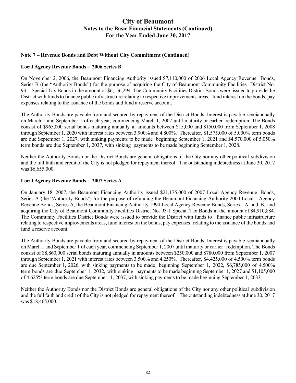# **Local Agency Revenue Bonds – 2006 Series B**

On November 2, 2006, the Beaumont Financing Authority issued \$7,110,000 of 2006 Local Agency Revenue Bonds, Series B (the "Authority Bonds") for the purpose of acquiring the City of Beaumont Community Facilities District No. 93-1 Special Tax Bonds in the amount of \$6,156,294. The Community Facilities District Bonds were issued to provide the District with funds to finance public infrastructure relating to respective improvements areas, fund interest on the bonds, pay expenses relating to the issuance of the bonds and fund a reserve account.

The Authority Bonds are payable from and secured by repayment of the District Bonds. Interest is payable semiannually on March 1 and September 1 of each year, commencing March 1, 2007 until maturity or earlier redemption. The Bonds consist of \$965,000 serial bonds maturing annually in amounts between \$15,000 and \$150,000 from September 1, 2008 through September 1, 2020 with interest rates between 3.900% and 4.800%. Thereafter, \$1,575,000 of 5.000% term bonds are due September 1, 2027, with sinking payments to be made beginning September 1, 2021 and \$4,570,000 of 5.050% term bonds are due September 1, 2037, with sinking payments to be made beginning September 1, 2028.

Neither the Authority Bonds nor the District Bonds are general obligations of the City nor any other political subdivision and the full faith and credit of the City is not pledged for repayment thereof. The outstanding indebtedness at June 30, 2017 was \$6,655,000.

# **Local Agency Revenue Bonds – 2007 Series A**

On January 18, 2007, the Beaumont Financing Authority issued \$21,175,000 of 2007 Local Agency Revenue Bonds, Series A (the "Authority Bonds") for the purpose of refunding the Beaumont Financing Authority 2000 Local Agency Revenue Bonds, Series A, the Beaumont Financing Authority 1994 Local Agency Revenue Bonds, Series A and B, and acquiring the City of Beaumont Community Facilities District No. 93-1 Special Tax Bonds in the amount of \$4,910,884. The Community Facilities District Bonds were issued to provide the District with funds to finance public infrastructure relating to respective improvements areas, fund interest on the bonds, pay expenses relating to the issuance of the bonds and fund a reserve account.

The Authority Bonds are payable from and secured by repayment of the District Bonds. Interest is payable semiannually on March 1 and September 1 of each year, commencing September 1, 2007 until maturity or earlier redemption. The Bonds consist of \$8,860,000 serial bonds maturing annually in amounts between \$250,000 and \$780,000 from September 1, 2007 through September 1, 2021 with interest rates between 3.500% and 4.250%. Thereafter, \$4,425,000 of 4.500% term bonds are due September 1, 2026, with sinking payments to be made beginning September 1, 2022, \$6,785,000 of 4.500% term bonds are due September 1, 2032, with sinking payments to be made beginning September 1, 2027 and \$1,105,000 of 4.625% term bonds are due September 1, 2037, with sinking payments to be made beginning September 1, 2033.

Neither the Authority Bonds nor the District Bonds are general obligations of the City nor any other political subdivision and the full faith and credit of the City is not pledged for repayment thereof. The outstanding indebtedness at June 30, 2017 was \$18,465,000.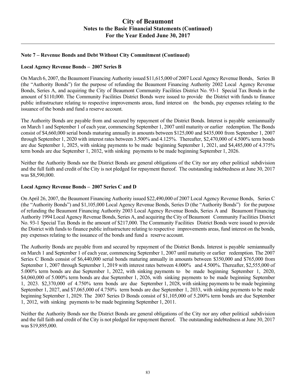# **Local Agency Revenue Bonds – 2007 Series B**

On March 6, 2007, the Beaumont Financing Authority issued \$11,615,000 of 2007 Local Agency Revenue Bonds, Series B (the "Authority Bonds") for the purpose of refunding the Beaumont Financing Authority 2002 Local Agency Revenue Bonds, Series A, and acquiring the City of Beaumont Community Facilities District No. 93-1 Special Tax Bonds in the amount of \$110,000. The Community Facilities District Bonds were issued to provide the District with funds to finance public infrastructure relating to respective improvements areas, fund interest on the bonds, pay expenses relating to the issuance of the bonds and fund a reserve account.

The Authority Bonds are payable from and secured by repayment of the District Bonds. Interest is payable semiannually on March 1 and September 1 of each year, commencing September 1, 2007 until maturity or earlier redemption. The Bonds consist of \$4,660,000 serial bonds maturing annually in amounts between \$125,000 and \$435,000 from September 1, 2007 through September 1, 2020 with interest rates between 3.500% and 4.125%. Thereafter, \$2,470,000 of 4.500% term bonds are due September 1, 2025, with sinking payments to be made beginning September 1, 2021, and \$4,485,000 of 4.375% term bonds are due September 1, 2032, with sinking payments to be made beginning September 1, 2026.

Neither the Authority Bonds nor the District Bonds are general obligations of the City nor any other political subdivision and the full faith and credit of the City is not pledged for repayment thereof. The outstanding indebtedness at June 30, 2017 was \$8,590,000.

# **Local Agency Revenue Bonds – 2007 Series C and D**

On April 26, 2007, the Beaumont Financing Authority issued \$22,490,000 of 2007 Local Agency Revenue Bonds, Series C (the "Authority Bonds") and \$1,105,000 Local Agency Revenue Bonds, Series D (the "Authority Bonds") for the purpose of refunding the Beaumont Financing Authority 2003 Local Agency Revenue Bonds, Series A and Beaumont Financing Authority 1994 Local Agency Revenue Bonds, Series A, and acquiring the City of Beaumont Community Facilities District No. 93-1 Special Tax Bonds in the amount of \$217,000. The Community Facilities District Bonds were issued to provide the District with funds to finance public infrastructure relating to respective improvements areas, fund interest on the bonds, pay expenses relating to the issuance of the bonds and fund a reserve account.

The Authority Bonds are payable from and secured by repayment of the District Bonds. Interest is payable semiannually on March 1 and September 1 of each year, commencing September 1, 2007 until maturity or earlier redemption. The 2007 Series C Bonds consist of \$6,440,000 serial bonds maturing annually in amounts between \$350,000 and \$765,000 from September 1, 2007 through September 1, 2019 with interest rates between 4.000% and 4.500%. Thereafter, \$2,555,000 of 5.000% term bonds are due September 1, 2022, with sinking payments to be made beginning September 1, 2020, \$4,060,000 of 5.000% term bonds are due September 1, 2026, with sinking payments to be made beginning September 1, 2023. \$2,370,000 of 4.750% term bonds are due September 1, 2028, with sinking payments to be made beginning September 1, 2027, and \$7,065,000 of 4.750% term bonds are due September 1, 2033, with sinking payments to be made beginning September 1, 2029. The 2007 Series D Bonds consist of \$1,105,000 of 5.200% term bonds are due September 1, 2012, with sinking payments to be made beginning September 1, 2011.

Neither the Authority Bonds nor the District Bonds are general obligations of the City nor any other political subdivision and the full faith and credit of the City is not pledged for repayment thereof. The outstanding indebtedness at June 30, 2017 was \$19,895,000.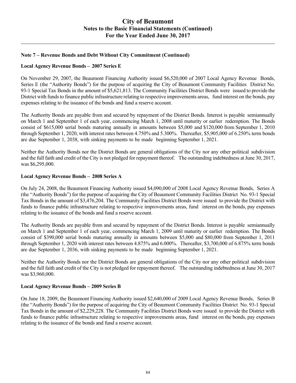# **Local Agency Revenue Bonds – 2007 Series E**

On November 29, 2007, the Beaumont Financing Authority issued \$6,520,000 of 2007 Local Agency Revenue Bonds, Series E (the "Authority Bonds") for the purpose of acquiring the City of Beaumont Community Facilities District No. 93-1 Special Tax Bonds in the amount of \$5,621,813. The Community Facilities District Bonds were issued to provide the District with funds to finance public infrastructure relating to respective improvements areas, fund interest on the bonds, pay expenses relating to the issuance of the bonds and fund a reserve account.

The Authority Bonds are payable from and secured by repayment of the District Bonds. Interest is payable semiannually on March 1 and September 1 of each year, commencing March 1, 2008 until maturity or earlier redemption. The Bonds consist of \$615,000 serial bonds maturing annually in amounts between \$5,000 and \$120,000 from September 1, 2010 through September 1, 2020, with interest rates between 4.750% and 5.300%. Thereafter, \$5,905,000 of 6.250% term bonds are due September 1, 2038, with sinking payments to be made beginning September 1, 2021.

Neither the Authority Bonds nor the District Bonds are general obligations of the City nor any other political subdivision and the full faith and credit of the City is not pledged for repayment thereof. The outstanding indebtedness at June 30, 2017, was \$6,295,000.

# **Local Agency Revenue Bonds – 2008 Series A**

On July 24, 2008, the Beaumont Financing Authority issued \$4,090,000 of 2008 Local Agency Revenue Bonds, Series A (the "Authority Bonds") for the purpose of acquiring the City of Beaumont Community Facilities District No. 93-1 Special Tax Bonds in the amount of \$3,476,204. The Community Facilities District Bonds were issued to provide the District with funds to finance public infrastructure relating to respective improvements areas, fund interest on the bonds, pay expenses relating to the issuance of the bonds and fund a reserve account.

The Authority Bonds are payable from and secured by repayment of the District Bonds. Interest is payable semiannually on March 1 and September 1 of each year, commencing March 1, 2009 until maturity or earlier redemption. The Bonds consist of \$390,000 serial bonds maturing annually in amounts between \$5,000 and \$80,000 from September 1, 2011 through September 1, 2020 with interest rates between 4.875% and 6.000%. Thereafter, \$3,700,000 of 6.875% term bonds are due September 1, 2036, with sinking payments to be made beginning September 1, 2021.

Neither the Authority Bonds nor the District Bonds are general obligations of the City nor any other political subdivision and the full faith and credit of the City is not pledged for repayment thereof. The outstanding indebtedness at June 30, 2017 was \$3,960,000.

# **Local Agency Revenue Bonds – 2009 Series B**

On June 18, 2009, the Beaumont Financing Authority issued \$2,640,000 of 2009 Local Agency Revenue Bonds, Series B (the "Authority Bonds") for the purpose of acquiring the City of Beaumont Community Facilities District No. 93-1 Special Tax Bonds in the amount of \$2,229,228. The Community Facilities District Bonds were issued to provide the District with funds to finance public infrastructure relating to respective improvements areas, fund interest on the bonds, pay expenses relating to the issuance of the bonds and fund a reserve account.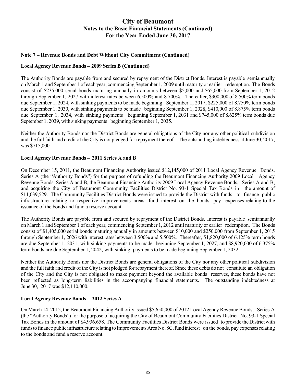#### **Local Agency Revenue Bonds – 2009 Series B (Continued)**

The Authority Bonds are payable from and secured by repayment of the District Bonds. Interest is payable semiannually on March 1 and September 1 of each year, commencing September 1, 2009 until maturity or earlier redemption. The Bonds consist of \$235,000 serial bonds maturing annually in amounts between \$5,000 and \$65,000 from September 1, 2012 through September 1, 2027 with interest rates between 6.500% and 8.700%. Thereafter, \$300,000 of 8.500% term bonds due September 1, 2024, with sinking payments to be made beginning September 1, 2017; \$225,000 of 8.750% term bonds due September 1, 2030, with sinking payments to be made beginning September 1, 2028, \$410,000 of 8.875% term bonds due September 1, 2034, with sinking payments beginning September 1, 2031 and \$745,000 of 8.625% term bonds due September 1, 2039, with sinking payments beginning September 1, 2035.

Neither the Authority Bonds nor the District Bonds are general obligations of the City nor any other political subdivision and the full faith and credit of the City is not pledged for repayment thereof. The outstanding indebtedness at June 30, 2017, was \$715,000.

#### **Local Agency Revenue Bonds – 2011 Series A and B**

On December 15, 2011, the Beaumont Financing Authority issued \$12,145,000 of 2011 Local Agency Revenue Bonds, Series A (the "Authority Bonds") for the purpose of refunding the Beaumont Financing Authority 2009 Local Agency Revenue Bonds, Series A and B, the Beaumont Financing Authority 2009 Local Agency Revenue Bonds, Series A and B, and acquiring the City of Beaumont Community Facilities District No. 93-1 Special Tax Bonds in the amount of \$11,039,529. The Community Facilities District Bonds were issued to provide the District with funds to finance public infrastructure relating to respective improvements areas, fund interest on the bonds, pay expenses relating to the issuance of the bonds and fund a reserve account.

The Authority Bonds are payable from and secured by repayment of the District Bonds. Interest is payable semiannually on March 1 and September 1 of each year, commencing September 1, 2012 until maturity or earlier redemption. The Bonds consist of \$1,405,000 serial bonds maturing annually in amounts between \$10,000 and \$250,000 from September 1, 2015 through September 1, 2026 with interest rates between 3.500% and 5.500%. Thereafter, \$1,820,000 of 6.125% term bonds are due September 1, 2031, with sinking payments to be made beginning September 1, 2027, and \$8,920,000 of 6.375% term bonds are due September 1, 2042, with sinking payments to be made beginning September 1, 2032.

Neither the Authority Bonds nor the District Bonds are general obligations of the City nor any other political subdivision and the full faith and credit of the City is not pledged for repayment thereof. Since these debts do not constitute an obligation of the City and the City is not obligated to make payment beyond the available bonds reserves, these bonds have not been reflected as long-term liabilities in the accompanying financial statements. The outstanding indebtedness at June 30, 2017 was \$12,110,000.

#### **Local Agency Revenue Bonds – 2012 Series A**

On March 14, 2012, the Beaumont Financing Authority issued \$5,650,000 of 2012 Local Agency Revenue Bonds, Series A (the "Authority Bonds") for the purpose of acquiring the City of Beaumont Community Facilities District No. 93-1 Special Tax Bonds in the amount of \$4,936,658. The Community Facilities District Bonds were issued to provide the District with funds to finance public infrastructure relating to Improvements Area No. 8C, fund interest on the bonds, pay expenses relating to the bonds and fund a reserve account.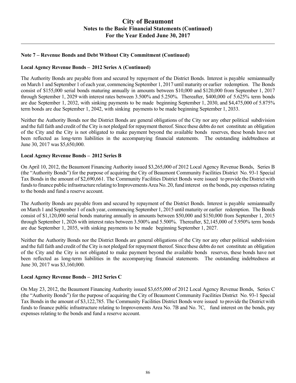#### **Local Agency Revenue Bonds – 2012 Series A (Continued)**

The Authority Bonds are payable from and secured by repayment of the District Bonds. Interest is payable semiannually on March 1 and September 1 of each year, commencing September 1, 2017 until maturity or earlier redemption. The Bonds consist of \$155,000 serial bonds maturing annually in amounts between \$10,000 and \$120,000 from September 1, 2017 through September 1, 2029 with interest rates between 3.500% and 5.250%. Thereafter, \$400,000 of 5.625% term bonds are due September 1, 2032, with sinking payments to be made beginning September 1, 2030, and \$4,475,000 of 5.875% term bonds are due September 1, 2042, with sinking payments to be made beginning September 1, 2033.

Neither the Authority Bonds nor the District Bonds are general obligations of the City nor any other political subdivision and the full faith and credit of the City is not pledged for repayment thereof. Since these debts do not constitute an obligation of the City and the City is not obligated to make payment beyond the available bonds reserves, these bonds have not been reflected as long-term liabilities in the accompanying financial statements. The outstanding indebtedness at June 30, 2017 was \$5,650,000.

#### **Local Agency Revenue Bonds – 2012 Series B**

On April 10, 2012, the Beaumont Financing Authority issued \$3,265,000 of 2012 Local Agency Revenue Bonds, Series B (the "Authority Bonds") for the purpose of acquiring the City of Beaumont Community Facilities District No. 93-1 Special Tax Bonds in the amount of \$2,690,661. The Community Facilities District Bonds were issued to provide the District with funds to finance public infrastructure relating to Improvements Area No. 20, fund interest on the bonds, pay expenses relating to the bonds and fund a reserve account.

The Authority Bonds are payable from and secured by repayment of the District Bonds. Interest is payable semiannually on March 1 and September 1 of each year, commencing September 1, 2015 until maturity or earlier redemption. The Bonds consist of \$1,120,000 serial bonds maturing annually in amounts between \$50,000 and \$150,000 from September 1, 2015 through September 1, 2026 with interest rates between 3.500% and 5.500%. Thereafter, \$2,145,000 of 5.950% term bonds are due September 1, 2035, with sinking payments to be made beginning September 1, 2027.

Neither the Authority Bonds nor the District Bonds are general obligations of the City nor any other political subdivision and the full faith and credit of the City is not pledged for repayment thereof. Since these debts do not constitute an obligation of the City and the City is not obligated to make payment beyond the available bonds reserves, these bonds have not been reflected as long-term liabilities in the accompanying financial statements. The outstanding indebtedness at June 30, 2017 was \$3,160,000.

#### **Local Agency Revenue Bonds – 2012 Series C**

On May 23, 2012, the Beaumont Financing Authority issued \$3,655,000 of 2012 Local Agency Revenue Bonds, Series C (the "Authority Bonds") for the purpose of acquiring the City of Beaumont Community Facilities District No. 93-1 Special Tax Bonds in the amount of \$3,122,785. The Community Facilities District Bonds were issued to provide the District with funds to finance public infrastructure relating to Improvements Area No. 7B and No. 7C, fund interest on the bonds, pay expenses relating to the bonds and fund a reserve account.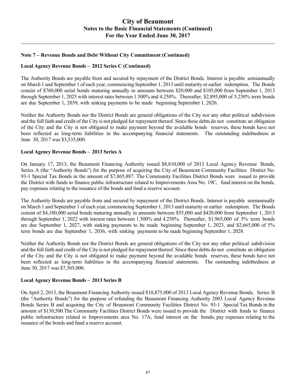#### **Local Agency Revenue Bonds – 2012 Series C (Continued)**

The Authority Bonds are payable from and secured by repayment of the District Bonds. Interest is payable semiannually on March 1 and September 1 of each year, commencing September 1, 2013 until maturity or earlier redemption. The Bonds consist of \$760,000 serial bonds maturing annually in amounts between \$20,000 and \$105,000 from September 1, 2013 through September 1, 2025 with interest rates between 1.500% and 4.250%. Thereafter, \$2,895,000 of 5.250% term bonds are due September 1, 2039, with sinking payments to be made beginning September 1, 2026.

Neither the Authority Bonds nor the District Bonds are general obligations of the City nor any other political subdivision and the full faith and credit of the City is not pledged for repayment thereof. Since these debts do not constitute an obligation of the City and the City is not obligated to make payment beyond the available bonds reserves, these bonds have not been reflected as long-term liabilities in the accompanying financial statements. The outstanding indebtedness at June 30, 2017 was \$3,535,000.

# **Local Agency Revenue Bonds – 2013 Series A**

On January 17, 2013, the Beaumont Financing Authority issued \$8,810,000 of 2013 Local Agency Revenue Bonds, Series A (the "Authority Bonds") for the purpose of acquiring the City of Beaumont Community Facilities District No. 93-1 Special Tax Bonds in the amount of \$7,865,887. The Community Facilities District Bonds were issued to provide the District with funds to finance public infrastructure related to Improvements Area No. 19C, fund interest on the bonds, pay expenses relating to the issuance of the bonds and fund a reserve account.

The Authority Bonds are payable from and secured by repayment of the District Bonds. Interest is payable semiannually on March 1 and September 1 of each year, commencing September 1, 2013 until maturity or earlier redemption. The Bonds consist of \$4,180,000 serial bonds maturing annually in amounts between \$55,000 and \$420,000 from September 1, 2013 through September 1, 2022 with interest rates between 1.500% and 4.250%. Thereafter, \$1,965,000 of 5% term bonds are due September 1, 2027, with sinking payments to be made beginning September 1, 2023, and \$2,665,000 of 5% term bonds are due September 1, 2036, with sinking payments to be made beginning September 1, 2028.

Neither the Authority Bonds nor the District Bonds are general obligations of the City nor any other political subdivision and the full faith and credit of the City is not pledged for repayment thereof. Since these debts do not constitute an obligation of the City and the City is not obligated to make payment beyond the available bonds reserves, these bonds have not been reflected as long-term liabilities in the accompanying financial statements. The outstanding indebtedness at June 30, 2017 was \$7,305,000.

# **Local Agency Revenue Bonds – 2013 Series B**

On April 2, 2013, the Beaumont Financing Authority issued \$10,875,000 of 2013 Local Agency Revenue Bonds, Series B (the "Authority Bonds") for the purpose of refunding the Beaumont Financing Authority 2003 Local Agency Revenue Bonds Series B and acquiring the City of Beaumont Community Facilities District No. 93-1 Special Tax Bonds in the amount of \$130,500.The Community Facilities District Bonds were issued to provide the District with funds to finance public infrastructure related to Improvements area No. 17A, fund interest on the bonds, pay expenses relating to the issuance of the bonds and fund a reserve account.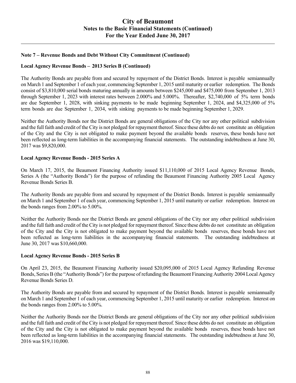#### **Local Agency Revenue Bonds – 2013 Series B (Continued)**

The Authority Bonds are payable from and secured by repayment of the District Bonds. Interest is payable semiannually on March 1 and September 1 of each year, commencing September 1, 2015 until maturity or earlier redemption. The Bonds consist of \$3,810,000 serial bonds maturing annually in amounts between \$245,000 and \$475,000 from September 1, 2013 through September 1, 2023 with interest rates between 2.000% and 5.000%. Thereafter, \$2,740,000 of 5% term bonds are due September 1, 2028, with sinking payments to be made beginning September 1, 2024, and \$4,325,000 of 5% term bonds are due September 1, 2034, with sinking payments to be made beginning September 1, 2029.

Neither the Authority Bonds nor the District Bonds are general obligations of the City nor any other political subdivision and the full faith and credit of the City is not pledged for repayment thereof. Since these debts do not constitute an obligation of the City and the City is not obligated to make payment beyond the available bonds reserves, these bonds have not been reflected as long-term liabilities in the accompanying financial statements. The outstanding indebtedness at June 30, 2017 was \$9,820,000.

#### **Local Agency Revenue Bonds - 2015 Series A**

On March 17, 2015, the Beaumont Financing Authority issued \$11,110,000 of 2015 Local Agency Revenue Bonds, Series A (the "Authority Bonds") for the purpose of refunding the Beaumont Financing Authority 2005 Local Agency Revenue Bonds Series B.

The Authority Bonds are payable from and secured by repayment of the District Bonds. Interest is payable semiannually on March 1 and September 1 of each year, commencing September 1, 2015 until maturity or earlier redemption. Interest on the bonds ranges from 2.00% to 5.00%.

Neither the Authority Bonds nor the District Bonds are general obligations of the City nor any other political subdivision and the full faith and credit of the City is not pledged for repayment thereof. Since these debts do not constitute an obligation of the City and the City is not obligated to make payment beyond the available bonds reserves, these bonds have not been reflected as long-term liabilities in the accompanying financial statements. The outstanding indebtedness at June 30, 2017 was \$10,660,000.

#### **Local Agency Revenue Bonds - 2015 Series B**

On April 23, 2015, the Beaumont Financing Authority issued \$20,095,000 of 2015 Local Agency Refunding Revenue Bonds, Series B (the "Authority Bonds") for the purpose of refunding the Beaumont Financing Authority 2004 Local Agency Revenue Bonds Series D.

The Authority Bonds are payable from and secured by repayment of the District Bonds. Interest is payable semiannually on March 1 and September 1 of each year, commencing September 1, 2015 until maturity or earlier redemption. Interest on the bonds ranges from 2.00% to 5.00%.

Neither the Authority Bonds nor the District Bonds are general obligations of the City nor any other political subdivision and the full faith and credit of the City is not pledged for repayment thereof. Since these debts do not constitute an obligation of the City and the City is not obligated to make payment beyond the available bonds reserves, these bonds have not been reflected as long-term liabilities in the accompanying financial statements. The outstanding indebtedness at June 30, 2016 was \$19,110,000.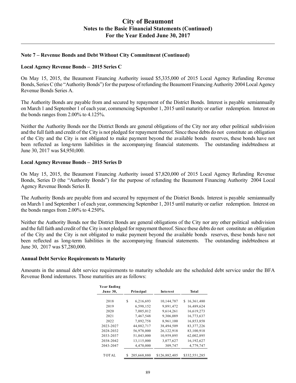#### **Local Agency Revenue Bonds – 2015 Series C**

On May 15, 2015, the Beaumont Financing Authority issued \$5,335,000 of 2015 Local Agency Refunding Revenue Bonds, Series C (the "Authority Bonds") for the purpose of refunding the Beaumont Financing Authority 2004 Local Agency Revenue Bonds Series A.

The Authority Bonds are payable from and secured by repayment of the District Bonds. Interest is payable semiannually on March 1 and September 1 of each year, commencing September 1, 2015 until maturity or earlier redemption. Interest on the bonds ranges from 2.00% to 4.125%.

Neither the Authority Bonds nor the District Bonds are general obligations of the City nor any other political subdivision and the full faith and credit of the City is not pledged for repayment thereof. Since these debts do not constitute an obligation of the City and the City is not obligated to make payment beyond the available bonds reserves, these bonds have not been reflected as long-term liabilities in the accompanying financial statements. The outstanding indebtedness at June 30, 2017 was \$4,950,000.

# **Local Agency Revenue Bonds – 2015 Series D**

On May 15, 2015, the Beaumont Financing Authority issued \$7,820,000 of 2015 Local Agency Refunding Revenue Bonds, Series D (the "Authority Bonds") for the purpose of refunding the Beaumont Financing Authority 2004 Local Agency Revenue Bonds Series B.

The Authority Bonds are payable from and secured by repayment of the District Bonds. Interest is payable semiannually on March 1 and September 1 of each year, commencing September 1, 2015 until maturity or earlier redemption. Interest on the bonds ranges from 2.00% to 4.250%.

Neither the Authority Bonds nor the District Bonds are general obligations of the City nor any other political subdivision and the full faith and credit of the City is not pledged for repayment thereof. Since these debts do not constitute an obligation of the City and the City is not obligated to make payment beyond the available bonds reserves, these bonds have not been reflected as long-term liabilities in the accompanying financial statements. The outstanding indebtedness at June 30, 2017 was \$7,280,000.

#### **Annual Debt Service Requirements to Maturity**

Amounts in the annual debt service requirements to maturity schedule are the scheduled debt service under the BFA Revenue Bond indentures. Those maturities are as follows:

| Year Ending |   |             |               |                 |
|-------------|---|-------------|---------------|-----------------|
| June 30,    |   | Principal   | Interest      | Total           |
|             |   |             |               |                 |
| 2018        | S | 6,216,693   | 10,144,787    | 16,361,480<br>S |
| 2019        |   | 6,598,152   | 9,891,472     | 16,489,624      |
| 2020        |   | 7,005,012   | 9,614,261     | 16,619,273      |
| 2021        |   | 7,467,548   | 9,306,089     | 16,773,637      |
| 2022        |   | 7,892,758   | 8,961,100     | 16,853,858      |
| 2023-2027   |   | 44,882,717  | 38,494,509    | 83, 377, 226    |
| 2028-2032   |   | 56,978,000  | 26,122,918    | 83,100,918      |
| 2033-2037   |   | 51,043,000  | 10,959,895    | 62,002,895      |
| 2038-2042   |   | 13,115,000  | 3,077,627     | 16,192,627      |
| 2043-2047   |   | 4,470,000   | 309,747       | 4,779,747       |
|             |   |             |               |                 |
| TOTAL       | S | 205.668.880 | \$126,882,405 | \$332,551,285   |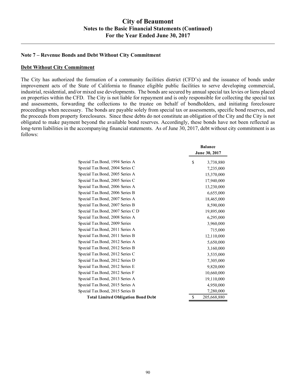#### **Debt Without City Commitment**

The City has authorized the formation of a community facilities district (CFD's) and the issuance of bonds under improvement acts of the State of California to finance eligible public facilities to serve developing commercial, industrial, residential, and/or mixed use developments. The bonds are secured by annual special tax levies or liens placed on properties within the CFD. The City is not liable for repayment and is only responsible for collecting the special tax and assessments, forwarding the collections to the trustee on behalf of bondholders, and initiating foreclosure proceedings when necessary. The bonds are payable solely from special tax or assessments, specific bond reserves, and the proceeds from property foreclosures. Since these debts do not constitute an obligation of the City and the City is not obligated to make payment beyond the available bond reserves. Accordingly, these bonds have not been reflected as long-term liabilities in the accompanying financial statements. As of June 30, 2017, debt without city commitment is as follows:

|                                           | <b>Balance</b>    |  |  |
|-------------------------------------------|-------------------|--|--|
|                                           | June 30, 2017     |  |  |
| Special Tax Bond, 1994 Series A           | \$<br>3,738,880   |  |  |
| Special Tax Bond, 2004 Series C           | 7,235,000         |  |  |
| Special Tax Bond, 2005 Series A           | 15,370,000        |  |  |
| Special Tax Bond, 2005 Series C           | 17,940,000        |  |  |
| Special Tax Bond, 2006 Series A           | 13,230,000        |  |  |
| Special Tax Bond, 2006 Series B           | 6,655,000         |  |  |
| Special Tax Bond, 2007 Series A           | 18,465,000        |  |  |
| Special Tax Bond, 2007 Series B           | 8,590,000         |  |  |
| Special Tax Bond, 2007 Series C D         | 19,895,000        |  |  |
| Special Tax Bond, 2008 Series A           | 6,295,000         |  |  |
| Special Tax Bond, 2009 Series             | 3,960,000         |  |  |
| Special Tax Bond, 2011 Series A           | 715,000           |  |  |
| Special Tax Bond, 2011 Series B           | 12,110,000        |  |  |
| Special Tax Bond, 2012 Series A           | 5,650,000         |  |  |
| Special Tax Bond, 2012 Series B           | 3,160,000         |  |  |
| Special Tax Bond, 2012 Series C           | 3,535,000         |  |  |
| Special Tax Bond, 2012 Series D           | 7,305,000         |  |  |
| Special Tax Bond, 2012 Series E           | 9,820,000         |  |  |
| Special Tax Bond, 2012 Series F           | 10,660,000        |  |  |
| Special Tax Bond, 2013 Series A           | 19,110,000        |  |  |
| Special Tax Bond, 2015 Series A           | 4,950,000         |  |  |
| Special Tax Bond, 2015 Series B           | 7,280,000         |  |  |
| <b>Total Limited Obligation Bond Debt</b> | \$<br>205,668,880 |  |  |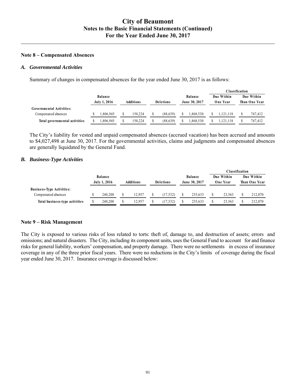#### **Note 8 – Compensated Absences**

#### *A. Governmental Activities*

Summary of changes in compensated absences for the year ended June 30, 2017 is as follows:

|                               |                     |           |                  |                | Classification |            |  |               |
|-------------------------------|---------------------|-----------|------------------|----------------|----------------|------------|--|---------------|
|                               | <b>Balance</b>      |           |                  | <b>Balance</b> |                | Due Within |  | Due Within    |
|                               | <b>July 1, 2016</b> | Additions | <b>Deletions</b> | June 30, 2017  |                | One Year   |  | Than One Year |
| Governmental Activities:      |                     |           |                  |                |                |            |  |               |
| Compensated absences          | .806.945            | 150.224   | (88.639)         | .868.530       |                | .121.118   |  | 747,412       |
| Total governmental activities | .806.945            | 150.224   | (88.639)         | .868.530       |                | .121.118   |  | 747,412       |

The City's liability for vested and unpaid compensated absences (accrued vacation) has been accrued and amounts to \$4,027,498 at June 30, 2017. For the governmental activities, claims and judgments and compensated absences are generally liquidated by the General Fund.

# *B. Business-Type Activities*

|                                  |                |                  |                  |                |            | Classification |               |  |
|----------------------------------|----------------|------------------|------------------|----------------|------------|----------------|---------------|--|
|                                  | <b>Balance</b> |                  |                  | <b>Balance</b> | Due Within |                | Due Within    |  |
|                                  | July 1, 2016   | <b>Additions</b> | <b>Deletions</b> | June 30, 2017  | One Year   |                | Than One Year |  |
| <b>Business-Type Activities:</b> |                |                  |                  |                |            |                |               |  |
| Compensated absences             | 240.208        | 12.957           | (17.532)         | 235.633        | 23.563     |                | 212,070       |  |
| Total business-type activities   | 240.208        | 12.957           | (17, 532)        | 235.633        | 23.563     |                | 212,070       |  |

# **Note 9 – Risk Management**

The City is exposed to various risks of loss related to torts: theft of, damage to, and destruction of assets; errors and omissions; and natural disasters. The City, including its component units, uses the General Fund to account for and finance risks for general liability, workers' compensation, and property damage. There were no settlements in excess of insurance coverage in any of the three prior fiscal years. There were no reductions in the City's limits of coverage during the fiscal year ended June 30, 2017. Insurance coverage is discussed below: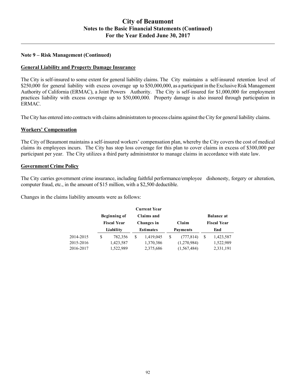# **City of Beaumont Notes to the Basic Financial Statements (Continued) For the Year Ended June 30, 2017**

#### **Note 9 – Risk Management (Continued)**

#### **General Liability and Property Damage Insurance**

The City is self-insured to some extent for general liability claims. The City maintains a self-insured retention level of \$250,000 for general liability with excess coverage up to \$50,000,000, as a participant in the Exclusive Risk Management Authority of California (ERMAC), a Joint Powers Authority. The City is self-insured for \$1,000,000 for employment practices liability with excess coverage up to \$50,000,000. Property damage is also insured through participation in ERMAC.

The City has entered into contracts with claims administrators to process claims against the City for general liability claims.

#### **Workers' Compensation**

The City of Beaumont maintains a self-insured workers' compensation plan, whereby the City covers the cost of medical claims its employees incurs. The City has stop loss coverage for this plan to cover claims in excess of \$300,000 per participant per year. The City utilizes a third party administrator to manage claims in accordance with state law.

#### **Government Crime Policy**

The City carries government crime insurance, including faithful performance/employee dishonesty, forgery or alteration, computer fraud, etc., in the amount of \$15 million, with a \$2,500 deductible.

Changes in the claims liability amounts were as follows:

|           |   |                    | <b>Current Year</b> |                  |                    |
|-----------|---|--------------------|---------------------|------------------|--------------------|
|           |   | Beginning of       | Claims and          |                  | <b>Balance at</b>  |
|           |   | <b>Fiscal Year</b> | Changes in          | Claim            | <b>Fiscal Year</b> |
|           |   | Liability          | <b>Estimates</b>    | <b>Payments</b>  | End                |
| 2014-2015 | S | 782,356            | \$<br>1,419,045     | \$<br>(777, 814) | \$<br>1,423,587    |
| 2015-2016 |   | 1,423,587          | 1,370,386           | (1,270,984)      | 1,522,989          |
| 2016-2017 |   | 1,522,989          | 2,375,686           | (1,567,484)      | 2,331,191          |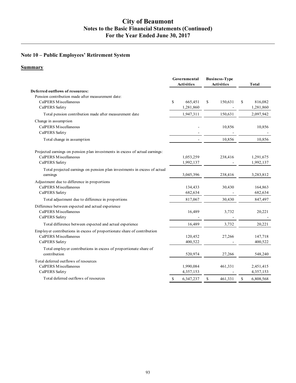# **City of Beaumont Notes to the Basic Financial Statements (Continued) For the Year Ended June 30, 2017**

# **Note 10 – Public Employees' Retirement System**

# **Summary**

|                                                                                  | Governmental<br>Activities |           | <b>Business-Type</b><br><b>Activities</b> |         | <b>Total</b>    |
|----------------------------------------------------------------------------------|----------------------------|-----------|-------------------------------------------|---------|-----------------|
| Deferred outflows of resources:                                                  |                            |           |                                           |         |                 |
| Pension contribution made after measurement date:                                |                            |           |                                           |         |                 |
| CalPERS M iscellaneous                                                           | \$                         | 665,451   | \$                                        | 150,631 | \$<br>816,082   |
| CalPERS Safety                                                                   |                            | 1,281,860 |                                           |         | 1,281,860       |
| Total pension contribution made after measurement date                           |                            | 1,947,311 |                                           | 150,631 | 2,097,942       |
| Change in assumption                                                             |                            |           |                                           |         |                 |
| CalPERS M iscellaneous                                                           |                            |           |                                           | 10,856  | 10,856          |
| CalPERS Safety                                                                   |                            |           |                                           |         |                 |
| Total change in assumption                                                       |                            |           |                                           | 10,856  | 10,856          |
| Projected earnings on pension plan investments in excess of actual earnings:     |                            |           |                                           |         |                 |
| CalPERS M iscellaneous                                                           |                            | 1,053,259 |                                           | 238,416 | 1,291,675       |
| CalPERS Safety                                                                   |                            | 1,992,137 |                                           |         | 1,992,137       |
| Total projected earnings on pension plan investments in excess of actual         |                            |           |                                           |         |                 |
| earnings                                                                         |                            | 3,045,396 |                                           | 238,416 | 3,283,812       |
| Adjustment due to difference in proportions                                      |                            |           |                                           |         |                 |
| CalPERS M iscellaneous                                                           |                            | 134,433   |                                           | 30,430  | 164,863         |
| CalPERS Safety                                                                   |                            | 682,634   |                                           |         | 682,634         |
| Total adjustment due to difference in proportions                                |                            | 817,067   |                                           | 30,430  | 847,497         |
| Difference between expected and actual experience                                |                            |           |                                           |         |                 |
| CalPERS M iscellaneous                                                           |                            | 16,489    |                                           | 3,732   | 20,221          |
| CalPERS Safety                                                                   |                            |           |                                           |         |                 |
| Total difference between expected and actual experience                          |                            | 16,489    |                                           | 3,732   | 20,221          |
| Employer contributions in excess of proportionate share of contribution          |                            |           |                                           |         |                 |
| CalPERS M iscellaneous                                                           |                            | 120,452   |                                           | 27,266  | 147,718         |
| CalPERS Safety                                                                   |                            | 400,522   |                                           |         | 400,522         |
| Total employer contributions in excess of proportionate share of<br>contribution |                            | 520,974   |                                           | 27,266  | 548,240         |
| Total deferred outflows of resources                                             |                            |           |                                           |         |                 |
| CalPERS M iscellaneous                                                           |                            | 1,990,084 |                                           | 461,331 | 2,451,415       |
| CalPERS Safety                                                                   |                            | 4,357,153 |                                           |         | 4,357,153       |
| Total deferred outflows of resources                                             | \$                         | 6,347,237 | \$                                        | 461,331 | \$<br>6,808,568 |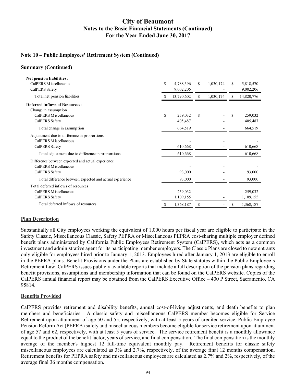# **Summary (Continued)**

| Net pension liabilities:                                |    |            |    |           |    |            |
|---------------------------------------------------------|----|------------|----|-----------|----|------------|
| CalPERS M iscellaneous                                  | \$ | 4,788,396  | S. | 1,030,174 | \$ | 5,818,570  |
| CalPERS Safety                                          |    | 9,002,206  |    |           |    | 9,002,206  |
| Total net pension liabilities                           | S  | 13,790,602 | \$ | 1,030,174 | S  | 14,820,776 |
| <b>Deferred inflows of Resources:</b>                   |    |            |    |           |    |            |
| Change in assumption                                    |    |            |    |           |    |            |
| CalPERS M iscellaneous                                  | \$ | 259,032    | S  |           | S  | 259,032    |
| CalPERS Safety                                          |    | 405,487    |    |           |    | 405,487    |
| Total change in assumption                              |    | 664,519    |    |           |    | 664,519    |
| Adjustment due to difference in proportions             |    |            |    |           |    |            |
| CalPERS M iscellaneous                                  |    |            |    |           |    |            |
| CalPERS Safety                                          |    | 610,668    |    |           |    | 610,668    |
| Total adjustment due to difference in proportions       |    | 610,668    |    |           |    | 610,668    |
| Difference between expected and actual experience       |    |            |    |           |    |            |
| CalPERS M iscellaneous                                  |    |            |    |           |    |            |
| CalPERS Safety                                          |    | 93,000     |    |           |    | 93,000     |
| Total difference between expected and actual experience |    | 93,000     |    |           |    | 93,000     |
| Total deferred inflows of resources                     |    |            |    |           |    |            |
| CalPERS M iscellaneous                                  |    | 259,032    |    |           |    | 259,032    |
| CalPERS Safety                                          |    | 1,109,155  |    |           |    | 1,109,155  |
| Total deferred inflows of resources                     | \$ | 1,368,187  | \$ |           | \$ | 1,368,187  |

# **Plan Description**

Substantially all City employees working the equivalent of 1,000 hours per fiscal year are eligible to participate in the Safety Classic, Miscellaneous Classic, Safety PEPRA or Miscellaneous PEPRA cost-sharing multiple employer defined benefit plans administered by California Public Employees Retirement System (CalPERS), which acts as a common investment and administrative agent for its participating member employers. The Classic Plans are closed to new entrants only eligible for employees hired prior to January 1, 2013. Employees hired after January 1, 2013 are eligible to enroll in the PEPRA plans. Benefit Provisions under the Plans are established by State statutes within the Public Employee's Retirement Law. CalPERS issues publicly available reports that include a full description of the pension plans regarding benefit provisions, assumptions and membership information that can be found on the CalPERS website. Copies of the CalPERS annual financial report may be obtained from the CalPERS Executive Office – 400 P Street, Sacramento, CA 95814.

# **Benefits Provided**

CalPERS provides retirement and disability benefits, annual cost-of-living adjustments, and death benefits to plan members and beneficiaries. A classic safety and miscellaneous CalPERS member becomes eligible for Service Retirement upon attainment of age 50 and 55, respectively, with at least 5 years of credited service. Public Employee Pension Reform Act (PEPRA) safety and miscellaneous members become eligible for service retirement upon attainment of age 57 and 62, respectively, with at least 5 years of service. The service retirement benefit is a monthly allowance equal to the product of the benefit factor, years of service, and final compensation. The final compensation is the monthly average of the member's highest 12 full-time equivalent monthly pay. Retirement benefits for classic safety miscellaneous employees are calculated as 3% and 2.7%, respectively, of the average final 12 months compensation. Retirement benefits for PEPRA safety and miscellaneous employees are calculated as 2.7% and 2%, respectively, of the average final 36 months compensation.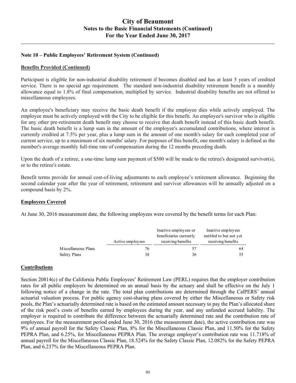# **Benefits Provided (Continued)**

Participant is eligible for non-industrial disability retirement if becomes disabled and has at least 5 years of credited service. There is no special age requirement. The standard non-industrial disability retirement benefit is a monthly allowance equal to 1.8% of final compensation, multiplied by service. Industrial disability benefits are not offered to miscellaneous employees.

An employee's beneficiary may receive the basic death benefit if the employee dies while actively employed. The employee must be actively employed with the City to be eligible for this benefit. An employee's survivor who is eligible for any other pre-retirement death benefit may choose to receive that death benefit instead of this basic death benefit. The basic death benefit is a lump sum in the amount of the employee's accumulated contributions, where interest is currently credited at 7.5% per year, plus a lump sum in the amount of one month's salary for each completed year of current service, up to a maximum of six months' salary. For purposes of this benefit, one month's salary is defined as the member's average monthly full-time rate of compensation during the 12 months preceding death.

Upon the death of a retiree, a one-time lump sum payment of \$500 will be made to the retiree's designated survivor(s), or to the retiree's estate.

Benefit terms provide for annual cost-of-living adjustments to each employee's retirement allowance. Beginning the second calendar year after the year of retirement, retirement and survivor allowances will be annually adjusted on a compound basis by 2%.

# **Employees Covered**

At June 30, 2016 measurement date, the following employees were covered by the benefit terms for each Plan:

|                      |                  | Inactive employees or   | Inactive employees      |
|----------------------|------------------|-------------------------|-------------------------|
|                      |                  | beneficiaries currently | entitled to but not yet |
|                      | Active employees | receiving benefits      | receiving benefits      |
| M iscellaneous Plans | 76               | 57                      | 64                      |
| Safety Plans         | 38               | 36                      |                         |

# **Contributions**

Section 20814(c) of the California Public Employees' Retirement Law (PERL) requires that the employer contribution rates for all public employers be determined on an annual basis by the actuary and shall be effective on the July 1 following notice of a change in the rate. The total plan contributions are determined through the CalPERS' annual actuarial valuation process. For public agency cost-sharing plans covered by either the Miscellaneous or Safety risk pools, the Plan's actuarially determined rate is based on the estimated amount necessary to pay the Plan's allocated share of the risk pool's costs of benefits earned by employees during the year, and any unfunded accrued liability. The employer is required to contribute the difference between the actuarially determined rate and the contribution rate of employees. For the measurement period ended June 30, 2016 (the measurement date), the active contribution rate was 9% of annual payroll for the Safety Classic Plan, 8% for the Miscellaneous Classic Plan, and 11.50% for the Safety PEPRA Plan, and 6.25%, for Miscellaneous PEPRA Plan. The average employer's contribution rate was 11.718% of annual payroll for the Miscellaneous Classic Plan, 18.524% for the Safety Classic Plan, 12.082% for the Safety PEPRA Plan, and 6.237% for the Miscellaneous PEPRA Plan.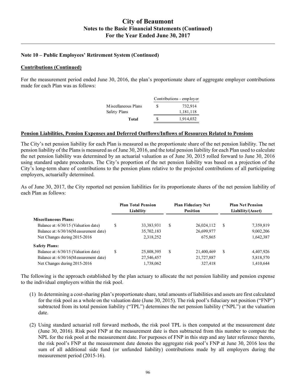#### **Contributions (Continued)**

For the measurement period ended June 30, 2016, the plan's proportionate share of aggregate employer contributions made for each Plan was as follows:

|                      |   | Contributions - employer |
|----------------------|---|--------------------------|
| M iscellaneous Plans | S | 732.914                  |
| Safety Plans         |   | 1,181,118                |
| Total                | S | 1,914,032                |

#### **Pension Liabilities, Pension Expenses and Deferred Outflows/Inflows of Resources Related to Pensions**

The City's net pension liability for each Plan is measured as the proportionate share of the net pension liability. The net pension liability of the Plans is measured as of June 30, 2016, and the total pension liability for each Plan used to calculate the net pension liability was determined by an actuarial valuation as of June 30, 2015 rolled forward to June 30, 2016 using standard update procedures. The City's proportion of the net pension liability was based on a projection of the City's long-term share of contributions to the pension plans relative to the projected contributions of all participating employers, actuarially determined.

As of June 30, 2017, the City reported net pension liabilities for its proportionate shares of the net pension liability of each Plan as follows:

|                                        | <b>Plan Total Pension</b><br>Liability |              | <b>Plan Fiduciary Net</b><br><b>Position</b> |            | <b>Plan Net Pension</b><br>Liability/(Asset) |           |
|----------------------------------------|----------------------------------------|--------------|----------------------------------------------|------------|----------------------------------------------|-----------|
| <b>Miscellaneous Plans:</b>            |                                        |              |                                              |            |                                              |           |
| Balance at: 6/30/15 (Valuation date)   | \$                                     | 33, 383, 931 | \$                                           | 26,024,112 | <sup>\$</sup>                                | 7,359,819 |
| Balance at: 6/30/16(M easurement date) |                                        | 35,702,183   |                                              | 26,699,977 |                                              | 9,002,206 |
| Net Changes during 2015-2016           |                                        | 2,318,252    |                                              | 675,865    |                                              | 1,642,387 |
| <b>Safety Plans:</b>                   |                                        |              |                                              |            |                                              |           |
| Balance at: 6/30/15 (Valuation date)   | \$                                     | 25,808,395   | \$                                           | 21,400,469 | S                                            | 4,407,926 |
| Balance at: 6/30/16(M easurement date) |                                        | 27,546,457   |                                              | 21,727,887 |                                              | 5,818,570 |
| Net Changes during 2015-2016           |                                        | 1,738,062    |                                              | 327,418    |                                              | 1,410,644 |

The following is the approach established by the plan actuary to allocate the net pension liability and pension expense to the individual employers within the risk pool.

- (1) In determining a cost-sharing plan's proportionate share, total amounts of liabilities and assets are first calculated for the risk pool as a whole on the valuation date (June 30, 2015). The risk pool's fiduciary net position ("FNP") subtracted from its total pension liability ("TPL") determines the net pension liability ("NPL") at the valuation date.
- (2) Using standard actuarial roll forward methods, the risk pool TPL is then computed at the measurement date (June 30, 2016). Risk pool FNP at the measurement date is then subtracted from this number to compute the NPL for the risk pool at the measurement date. For purposes of FNP in this step and any later reference thereto, the risk pool's FNP at the measurement date denotes the aggregate risk pool's FNP at June 30, 2016 less the sum of all additional side fund (or unfunded liability) contributions made by all employers during the measurement period (2015-16).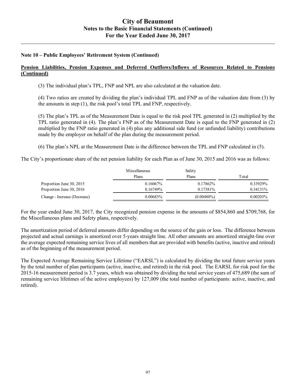# **Pension Liabilities, Pension Expenses and Deferred Outflows/Inflows of Resources Related to Pensions (Continued)**

(3) The individual plan's TPL, FNP and NPL are also calculated at the valuation date.

(4) Two ratios are created by dividing the plan's individual TPL and FNP as of the valuation date from (3) by the amounts in step (1), the risk pool's total TPL and FNP, respectively.

(5) The plan's TPL as of the Measurement Date is equal to the risk pool TPL generated in (2) multiplied by the TPL ratio generated in (4). The plan's FNP as of the Measurement Date is equal to the FNP generated in (2) multiplied by the FNP ratio generated in (4) plus any additional side fund (or unfunded liability) contributions made by the employer on behalf of the plan during the measurement period.

(6) The plan's NPL at the Measurement Date is the difference between the TPL and FNP calculated in (5).

The City's proportionate share of the net pension liability for each Plan as of June 30, 2015 and 2016 was as follows:

|                              | M iscellaneous | Safety        |             |
|------------------------------|----------------|---------------|-------------|
|                              | Plans          | Plans         | Total       |
| Proportion June 30, 2015     | $0.16067\%$    | 0.17862\%     | 0.33929%    |
| Proportion June 30, 2016     | $0.16749\%$    | 0.17381\%     | 0.34131\%   |
| Change - Increase (Decrease) | $0.00683\%$    | $(0.00480\%)$ | $0.00203\%$ |

For the year ended June 30, 2017, the City recognized pension expense in the amounts of \$854,860 and \$709,768, for the Miscellaneous plans and Safety plans, respectively.

The amortization period of deferred amounts differ depending on the source of the gain or loss. The difference between projected and actual earnings is amortized over 5-years straight line. All other amounts are amortized straight-line over the average expected remaining service lives of all members that are provided with benefits (active, inactive and retired) as of the beginning of the measurement period.

The Expected Average Remaining Service Lifetime ("EARSL") is calculated by dividing the total future service years by the total number of plan participants (active, inactive, and retired) in the risk pool. The EARSL for risk pool for the 2015-16 measurement period is 3.7 years, which was obtained by dividing the total service years of 475,689 (the sum of remaining service lifetimes of the active employees) by 127,009 (the total number of participants: active, inactive, and retired).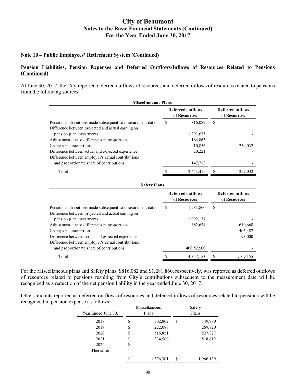# **Pension Liabilities, Pension Expenses and Deferred Outflows/Inflows of Resources Related to Pensions (Continued)**

At June 30, 2017, the City reported deferred outflows of resources and deferred inflows of resources related to pensions from the following sources:

| <b>Miscellaneous Plans</b>                                |    |                                   |                                  |         |  |  |
|-----------------------------------------------------------|----|-----------------------------------|----------------------------------|---------|--|--|
|                                                           |    | Deferred outflows<br>of Resources | Deferred inflows<br>of Resources |         |  |  |
| Pension contributions made subsequent to measurement date | S  | 816,082                           | \$                               |         |  |  |
| Difference between projected and actual earning on        |    |                                   |                                  |         |  |  |
| pension plan investments                                  |    | 1,291,675                         |                                  |         |  |  |
| Adjustment due to differences in proportions              |    | 164,863                           |                                  |         |  |  |
| Changes in assumptions                                    |    | 10,856                            |                                  | 259,032 |  |  |
| Difference between actual and expected experience         |    | 20,221                            |                                  |         |  |  |
| Difference between employer's actual contributions        |    |                                   |                                  |         |  |  |
| and proportionate share of contributions                  |    | 147,718                           |                                  |         |  |  |
| Total                                                     | \$ | 2,451,415                         | \$.                              | 259,032 |  |  |

| <b>Safety Plans</b> |
|---------------------|
|                     |

|                                                           |   | Deferred outflows<br>of Resources | Deferred inflows<br>of Resources |           |  |
|-----------------------------------------------------------|---|-----------------------------------|----------------------------------|-----------|--|
| Pension contributions made subsequent to measurement date | S | 1,281,860                         | S                                |           |  |
| Difference between projected and actual earning on        |   |                                   |                                  |           |  |
| pension plan investments                                  |   | 1,992,137                         |                                  |           |  |
| Adjustment due to differences in proportions              |   | 682,634                           |                                  | 610,668   |  |
| Changes in assumptions                                    |   |                                   |                                  | 405,487   |  |
| Difference between actual and expected experience         |   |                                   |                                  | 93,000    |  |
| Difference between employer's actual contributions        |   |                                   |                                  |           |  |
| and proportionate share of contributions                  |   | 400,522.00                        |                                  |           |  |
| Total                                                     |   | 4,357,153                         |                                  | 1,109,155 |  |
|                                                           |   |                                   |                                  |           |  |

For the Miscellaneous plans and Safety plans, \$816,082 and \$1,281,860, respectively, was reported as deferred outflows of resources related to pensions resulting from City's contributions subsequent to the measurement date will be recognized as a reduction of the net pension liability in the year ended June 30, 2017.

Other amounts reported as deferred outflows of resources and deferred inflows of resources related to pensions will be recognized in pension expense as follows:

| Year Ended June 30, |    | M iscellaneous<br>Plans | Safety<br>Plans |           |  |  |
|---------------------|----|-------------------------|-----------------|-----------|--|--|
| 2018                | S  | 302,802                 | \$              | 349,980   |  |  |
| 2019                | \$ | 222,088                 |                 | 269,720   |  |  |
| 2020                | \$ | 516,851                 |                 | 827,827   |  |  |
| 2021                | \$ | 334,560                 |                 | 518,612   |  |  |
| 2022                | \$ |                         |                 |           |  |  |
| Thereafter          |    |                         |                 |           |  |  |
|                     | \$ | 1,376,301               | \$              | 1,966,139 |  |  |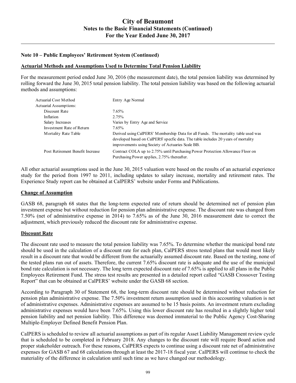#### **Actuarial Methods and Assumptions Used to Determine Total Pension Liability**

For the measurement period ended June 30, 2016 (the measurement date), the total pension liability was determined by rolling forward the June 30, 2015 total pension liability. The total pension liability was based on the following actuarial methods and assumptions:

| Actuarial Cost Method            | Entry Age Normal                                                                                                                                                                                                              |
|----------------------------------|-------------------------------------------------------------------------------------------------------------------------------------------------------------------------------------------------------------------------------|
| Actuarial Assumptions:           |                                                                                                                                                                                                                               |
| Discount Rate                    | 7.65%                                                                                                                                                                                                                         |
| Inflation                        | 2.75%                                                                                                                                                                                                                         |
| Salary Increases                 | Varies by Entry Age and Service                                                                                                                                                                                               |
| Investment Rate of Return        | 7.65%                                                                                                                                                                                                                         |
| Mortality Rate Table             | Derived using CalPERS' Membership Data for all Funds. The mortality table used was<br>developed based on CalPERS' specfic data. The table includes 20 years of mortality<br>improvements using Society of Actuaries Scale BB. |
| Post Retirement Benefit Increase | Contract COLA up to 2.75% until Purchasing Power Protection Allowance Floor on<br>Purchasing Power applies, 2.75% thereafter.                                                                                                 |

All other actuarial assumptions used in the June 30, 2015 valuation were based on the results of an actuarial experience study for the period from 1997 to 2011, including updates to salary increase, mortality and retirement rates. The Experience Study report can be obtained at CalPERS' website under Forms and Publications.

#### **Change of Assumption**

GASB 68, paragraph 68 states that the long-term expected rate of return should be determined net of pension plan investment expense but without reduction for pension plan administrative expense. The discount rate was changed from 7.50% (net of administrative expense in 2014) to 7.65% as of the June 30, 2016 measurement date to correct the adjustment, which previously reduced the discount rate for administrative expense.

#### **Discount Rate**

The discount rate used to measure the total pension liability was 7.65%. To determine whether the municipal bond rate should be used in the calculation of a discount rate for each plan, CalPERS stress tested plans that would most likely result in a discount rate that would be different from the actuarially assumed discount rate. Based on the testing, none of the tested plans run out of assets. Therefore, the current 7.65% discount rate is adequate and the use of the municipal bond rate calculation is not necessary. The long term expected discount rate of 7.65% is applied to all plans in the Public Employees Retirement Fund. The stress test results are presented in a detailed report called "GASB Crossover Testing Report" that can be obtained at CalPERS' website under the GASB 68 section.

According to Paragraph 30 of Statement 68, the long-term discount rate should be determined without reduction for pension plan administrative expense. The 7.50% investment return assumption used in this accounting valuation is net of administrative expenses. Administrative expenses are assumed to be 15 basis points. An investment return excluding administrative expenses would have been 7.65%. Using this lower discount rate has resulted in a slightly higher total pension liability and net pension liability. This difference was deemed immaterial to the Public Agency Cost-Sharing Multiple-Employer Defined Benefit Pension Plan.

CalPERS is scheduled to review all actuarial assumptions as part of its regular Asset Liability Management review cycle that is scheduled to be completed in February 2018. Any changes to the discount rate will require Board action and proper stakeholder outreach. For these reasons, CalPERS expects to continue using a discount rate net of administrative expenses for GASB 67 and 68 calculations through at least the 2017-18 fiscal year. CalPERS will continue to check the materiality of the difference in calculation until such time as we have changed our methodology.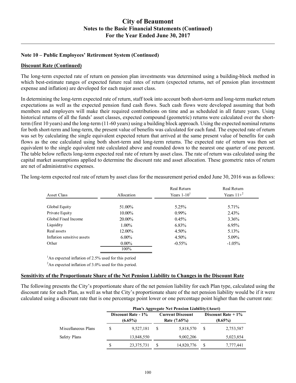#### **Discount Rate (Continued)**

The long-term expected rate of return on pension plan investments was determined using a building-block method in which best-estimate ranges of expected future real rates of return (expected returns, net of pension plan investment expense and inflation) are developed for each major asset class.

In determining the long-term expected rate of return, staff took into account both short-term and long-term market return expectations as well as the expected pension fund cash flows. Such cash flows were developed assuming that both members and employers will make their required contributions on time and as scheduled in all future years. Using historical returns of all the funds' asset classes, expected compound (geometric) returns were calculated over the shortterm (first 10 years) and the long-term (11-60 years) using a building block approach. Using the expected nominal returns for both short-term and long-term, the present value of benefits was calculated for each fund. The expected rate of return was set by calculating the single equivalent expected return that arrived at the same present value of benefits for cash flows as the one calculated using both short-term and long-term returns. The expected rate of return was then set equivalent to the single equivalent rate calculated above and rounded down to the nearest one quarter of one percent. The table below reflects long-term expected real rate of return by asset class. The rate of return was calculated using the capital market assumptions applied to determine the discount rate and asset allocation. These geometric rates of return are net of administrative expenses.

|                            |            | Real Return   | <b>Real Return</b> |
|----------------------------|------------|---------------|--------------------|
| Asset Class                | Allocation | Years $1-101$ | Years $11+^2$      |
|                            |            |               |                    |
| Global Equity              | 51.00%     | 5.25%         | 5.71%              |
| Private Equity             | $10.00\%$  | $0.99\%$      | 2.43%              |
| Global Fixed Income        | 20.00%     | 0.45%         | $3.36\%$           |
| Liquidity                  | $1.00\%$   | $6.83\%$      | $6.95\%$           |
| Real assets                | 12.00%     | $4.50\%$      | 5.13%              |
| Inflation sensitive assets | $6.00\%$   | $4.50\%$      | $5.09\%$           |
| Other                      | $0.00\%$   | $-0.55%$      | $-1.05\%$          |
|                            | 100%       |               |                    |

The long-term expected real rate of return by asset class for the measurement period ended June 30, 2016 was as follows:

<sup>1</sup>An expected inflation of 2.5% used for this period

 $2$ An expected inflation of 3.0% used for this period.

#### **Sensitivity of the Proportionate Share of the Net Pension Liability to Changes in the Discount Rate**

The following presents the City's proportionate share of the net pension liability for each Plan type, calculated using the discount rate for each Plan, as well as what the City's proportionate share of the net pension liability would be if it were calculated using a discount rate that is one percentage point lower or one percentage point higher than the current rate:

|                      |    | <b>Plan's Aggregate Net Pension Liability/(Asset)</b> |    |                                         |                                    |           |  |  |  |  |  |  |
|----------------------|----|-------------------------------------------------------|----|-----------------------------------------|------------------------------------|-----------|--|--|--|--|--|--|
|                      |    | Discount Rate - 1%<br>$(6.65\%)$                      |    | <b>Current Discount</b><br>Rate (7.65%) | Discount Rate $+1\%$<br>$(8.65\%)$ |           |  |  |  |  |  |  |
| M iscellaneous Plans | S  | 9,527,181                                             | -S | 5,818,570                               | -S                                 | 2,753,587 |  |  |  |  |  |  |
| Safety Plans         |    | 13,848,550                                            |    | 9,002,206                               |                                    | 5,023,854 |  |  |  |  |  |  |
|                      | S. | 23, 375, 731                                          |    | 14,820,776                              | S                                  | 7,777,441 |  |  |  |  |  |  |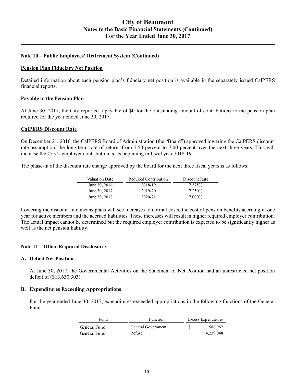# **Pension Plan Fiduciary Net Position**

Detailed information about each pension plan's fiduciary net position is available in the separately issued CalPERS financial reports.

# **Payable to the Pension Plan**

At June 30, 2017, the City reported a payable of \$0 for the outstanding amount of contributions to the pension plan required for the year ended June 30, 2017.

# **CalPERS Discount Rate**

On December 21, 2016, the CalPERS Board of Administration (the "Board") approved lowering the CalPERS discount rate assumption, the long-term rate of return, from 7.50 percent to 7.00 percent over the next three years. This will increase the City's employer contribution costs beginning in fiscal year 2018-19.

The phase-in of the discount rate change approved by the board for the next three fiscal years is as follows:

| Valuation Date | Required Contribution | Discount Rate |
|----------------|-----------------------|---------------|
| June 30, 2016  | 2018-19               | 7.375%        |
| June 30, 2017  | 2019-20               | 7.250%        |
| June 30, 2018  | 2020-21               | 7.000%        |

Lowering the discount rate means plans will see increases to normal costs, the cost of pension benefits accruing in one year for active members and the accrued liabilities. These increases will result in higher required employer contribution. The actual impact cannot be determined but the required employer contribution is expected to be significantly higher as well as the net pension liability.

# **Note 11 – Other Required Disclosures**

# **A. Deficit Net Position**

At June 30, 2017, the Governmental Activities on the Statement of Net Position had an unrestricted net position deficit of (\$13,630,303).

# **B. Expenditures Exceeding Appropriations**

For the year ended June 30, 2017, expenditures exceeded appropriations in the following functions of the General Fund:

| Fund         | Function           | Excess Expenditures |
|--------------|--------------------|---------------------|
| General Fund | General Government | 586.962             |
| General Fund | Refuse             | 4.239.048           |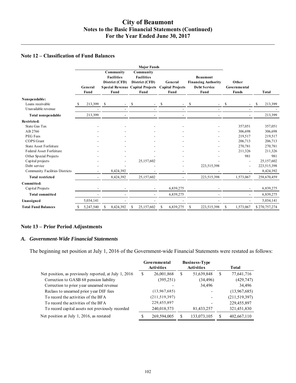# **City of Beaumont Notes to the Basic Financial Statements (Continued) For the Year Ended June 30, 2017**

# **Note 12 – Classification of Fund Balances**

|                                         | <b>Major Funds</b> |                 |    |                                                          |   |                                                                                                     |   |                                            |    |                                                                              |    |                                |   |               |  |
|-----------------------------------------|--------------------|-----------------|----|----------------------------------------------------------|---|-----------------------------------------------------------------------------------------------------|---|--------------------------------------------|----|------------------------------------------------------------------------------|----|--------------------------------|---|---------------|--|
|                                         |                    | General<br>Fund |    | Community<br><b>Facilities</b><br>District (CFD)<br>Fund |   | Community<br><b>Facilities</b><br>District (CFD)<br><b>Special Revenue Capital Projects</b><br>Fund |   | General<br><b>Capital Projects</b><br>Fund |    | <b>Beaumont</b><br><b>Financing Authority</b><br><b>Debt Service</b><br>Fund |    | Other<br>Governmental<br>Funds |   | <b>Total</b>  |  |
| Nonspendable:                           |                    |                 |    |                                                          |   |                                                                                                     |   |                                            |    |                                                                              |    |                                |   |               |  |
| Loans receivable<br>Unavailable revenue | ×.                 | 213,399         | \$ | $\overline{\phantom{a}}$                                 | S | $\overline{\phantom{a}}$                                                                            | S | $\sim$                                     | S  | $\overline{\phantom{a}}$                                                     | S  | $\overline{\phantom{a}}$       | S | 213,399       |  |
| <b>Total nonspendable</b>               |                    | 213,399         |    |                                                          |   |                                                                                                     |   |                                            |    |                                                                              |    |                                |   | 213,399       |  |
| <b>Restricted:</b>                      |                    |                 |    |                                                          |   |                                                                                                     |   |                                            |    |                                                                              |    |                                |   |               |  |
| State Gas Tax                           |                    |                 |    |                                                          |   |                                                                                                     |   |                                            |    |                                                                              |    | 357,051                        |   | 357,051       |  |
| AB 2766                                 |                    |                 |    |                                                          |   |                                                                                                     |   |                                            |    |                                                                              |    | 306,698                        |   | 306,698       |  |
| PEG Fees                                |                    |                 |    |                                                          |   |                                                                                                     |   |                                            |    |                                                                              |    | 219,517                        |   | 219,517       |  |
| <b>COPS</b> Grant                       |                    |                 |    |                                                          |   |                                                                                                     |   |                                            |    |                                                                              |    | 206,713                        |   | 206,713       |  |
| <b>State Asset Forfeiture</b>           |                    |                 |    |                                                          |   |                                                                                                     |   |                                            |    |                                                                              |    | 270,781                        |   | 270,781       |  |
| <b>Federal Asset Forfeiture</b>         |                    |                 |    |                                                          |   |                                                                                                     |   |                                            |    |                                                                              |    | 211,326                        |   | 211,326       |  |
| Other Special Projects                  |                    |                 |    |                                                          |   |                                                                                                     |   |                                            |    |                                                                              |    | 981                            |   | 981           |  |
| Capital projects                        |                    |                 |    |                                                          |   | 25,157,602                                                                                          |   |                                            |    |                                                                              |    |                                |   | 25,157,602    |  |
| Debt service                            |                    |                 |    |                                                          |   |                                                                                                     |   |                                            |    | 223,515,398                                                                  |    |                                |   | 223,515,398   |  |
| <b>Community Facilities Districts</b>   |                    |                 |    | 8,424,392                                                |   |                                                                                                     |   |                                            |    |                                                                              |    |                                |   | 8,424,392     |  |
| <b>Total restricted</b>                 |                    |                 |    | 8,424,392                                                |   | 25,157,602                                                                                          |   |                                            |    | 223,515,398                                                                  |    | 1,573,067                      |   | 258,670,459   |  |
| Committed:                              |                    |                 |    |                                                          |   |                                                                                                     |   |                                            |    |                                                                              |    |                                |   |               |  |
| Capital Projects                        |                    |                 |    |                                                          |   |                                                                                                     |   | 6,839,275                                  |    |                                                                              |    |                                |   | 6,839,275     |  |
| <b>Total committed</b>                  |                    |                 |    |                                                          |   |                                                                                                     |   | 6,839,275                                  |    |                                                                              |    |                                |   | 6,839,275     |  |
| Unassigned                              |                    | 5,034,141       |    |                                                          |   |                                                                                                     |   |                                            |    |                                                                              |    |                                |   | 5,034,141     |  |
| <b>Total Fund Balances</b>              | S                  | 5,247,540       | \$ | 8,424,392                                                | S | 25,157,602                                                                                          | S | 6,839,275                                  | \$ | 223,515,398                                                                  | \$ | 1,573,067                      |   | \$270,757,274 |  |

# **Note 13 – Prior Period Adjustments**

#### *A. Government-Wide Financial Statements*

The beginning net position at July 1, 2016 of the Government-wide Financial Statements were restated as follows:

|                                                       |   | Governmental<br><b>Activities</b> |   | <b>Business-Type</b><br><b>Activities</b> |   | Total           |
|-------------------------------------------------------|---|-----------------------------------|---|-------------------------------------------|---|-----------------|
| Net position, as previously reported, at July 1, 2016 | S | 26,001,868                        | ъ | 51,639,848                                | S | 77,641,716      |
| Correction to GASB 68 pension liability               |   | (395, 251)                        |   | (34, 496)                                 |   | (429, 747)      |
| Correction to prior year unearned revenue             |   |                                   |   | 34,496                                    |   | 34,496          |
| Reclass to unearned prior year DIF fees               |   | (13,967,685)                      |   |                                           |   | (13,967,685)    |
| To record the activities of the BFA                   |   | (211, 519, 397)                   |   |                                           |   | (211, 519, 397) |
| To record the activities of the BFA                   |   | 229,455,897                       |   |                                           |   | 229,455,897     |
| To record capital assets not previously recorded      |   | 240,018,573                       |   | 81,433,257                                |   | 321,451,830     |
| Net position at July 1, 2016, as restated             |   | 269,594,005                       |   | 133,073,105                               |   | 402,667,110     |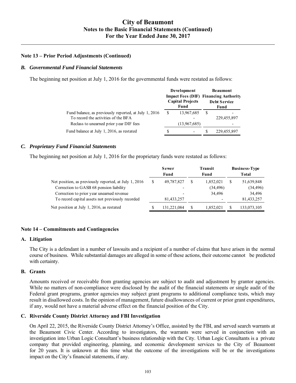## **Note 13 – Prior Period Adjustments (Continued)**

### *B. Governmental Fund Financial Statements*

The beginning net position at July 1, 2016 for the governmental funds were restated as follows:

|                                                       |               | Development<br><b>Capital Projects</b><br>Fund | <b>Beaumont</b><br><b>Impact Fees (DIF) Financing Authority</b><br><b>Debt Service</b><br>Fund |             |  |  |
|-------------------------------------------------------|---------------|------------------------------------------------|------------------------------------------------------------------------------------------------|-------------|--|--|
| Fund balance, as previously reported, at July 1, 2016 | <sup>\$</sup> | 13,967,685                                     | S                                                                                              |             |  |  |
| To record the activities of the BFA                   |               |                                                |                                                                                                | 229,455,897 |  |  |
| Reclass to unearned prior year DIF fees               |               | (13,967,685)                                   |                                                                                                |             |  |  |
| Fund balance at July 1, 2016, as restated             |               | ٠                                              |                                                                                                | 229,455,897 |  |  |

### *C. Proprietary Fund Financial Statements*

The beginning net position at July 1, 2016 for the proprietary funds were restated as follows:

|                                                                                                  |   | <b>Transit</b><br>Sewer<br>Fund<br>Fund |   |                                    | <b>Business-Type</b><br><b>Total</b> |                         |  |  |
|--------------------------------------------------------------------------------------------------|---|-----------------------------------------|---|------------------------------------|--------------------------------------|-------------------------|--|--|
| Net position, as previously reported, at July 1, 2016<br>Correction to GASB 68 pension liability | S | 49,787,827                              | S | 1,852,021<br>(34, 496)             |                                      | 51,639,848<br>(34, 496) |  |  |
| Correction to prior year unearned revenue<br>To record capital assets not previously recorded    |   | 81,433,257                              |   | 34.496<br>$\overline{\phantom{0}}$ |                                      | 34,496<br>81,433,257    |  |  |
| Net position at July 1, 2016, as restated                                                        | S | 131.221.084                             | S | 1,852,021                          |                                      | 133,073,105             |  |  |

## **Note 14 – Commitments and Contingencies**

## **A. Litigation**

The City is a defendant in a number of lawsuits and a recipient of a number of claims that have arisen in the normal course of business. While substantial damages are alleged in some of these actions, their outcome cannot be predicted with certainty.

## **B. Grants**

Amounts received or receivable from granting agencies are subject to audit and adjustment by grantor agencies. While no matters of non-compliance were disclosed by the audit of the financial statements or single audit of the Federal grant programs, grantor agencies may subject grant programs to additional compliance tests, which may result in disallowed costs. In the opinion of management, future disallowances of current or prior grant expenditures, if any, would not have a material adverse effect on the financial position of the City.

## **C. Riverside County District Attorney and FBI Investigation**

On April 22, 2015, the Riverside County District Attorney's Office, assisted by the FBI, and served search warrants at the Beaumont Civic Center. According to investigators, the warrants were served in conjunction with an investigation into Urban Logic Consultant's business relationship with the City. Urban Logic Consultants is a private company that provided engineering, planning, and economic development services to the City of Beaumont for 20 years. It is unknown at this time what the outcome of the investigations will be or the investigations impact on the City's financial statements, if any.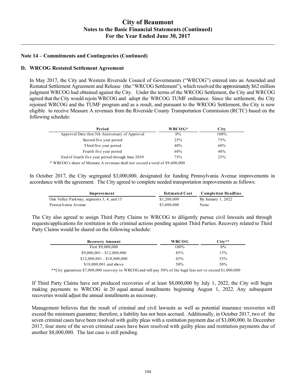## **Note 14 – Commitments and Contingencies (Continued)**

## **D. WRCOG Restated Settlement Agreement**

In May 2017, the City and Western Riverside Council of Governments ("WRCOG") entered into an Amended and Restated Settlement Agreement and Release (the "WRCOG Settlement"), which resolved the approximately \$62 million judgment WRCOG had obtained against the City. Under the terms of the WRCOG Settlement, the City and WRCOG agreed that the City would rejoin WRCOG and adopt the WRCOG TUMF ordinance. Since the settlement, the City rejoined WRCOG and the TUMF program and as a result, and pursuant to the WRCOG Settlement, the City is now eligible to receive Measure A revenues from the Riverside County Transportation Commission (RCTC) based on the following schedule:

| Period                                                                           | WRCOG* | City    |  |
|----------------------------------------------------------------------------------|--------|---------|--|
| Approval Date thru 5th Anniversary of Approval                                   | $0\%$  | $100\%$ |  |
| Second five year period                                                          | 25%    | 75%     |  |
| Third five year period                                                           | 40%    | 60%     |  |
| Fourth five year period                                                          | 60%    | 40%     |  |
| End of fourth five year period through June 2039                                 | 75%    | 25%     |  |
| $*$ WPCOC's share of Measure A revenues shall not exceed a total of $$9,400,000$ |        |         |  |

WRCOG's share of Measure A revenues shall not exceed a total of \$9,400,000

In October 2017, the City segregated \$3,000,000, designated for funding Pennsylvania Avenue improvements in accordance with the agreement. The City agreed to complete needed transportation improvements as follows:

| Improvement                               | <b>Estimated Cost</b> | <b>Completion Deadline</b> |  |  |  |
|-------------------------------------------|-----------------------|----------------------------|--|--|--|
| Oak Valley Parkway, segments 3, 4, and 15 | \$1,200,000           | By January $1, 2022$       |  |  |  |
| Pennsylvania Avenue                       | \$3,800,000           | None                       |  |  |  |

The City also agreed to assign Third Party Claims to WRCOG to diligently pursue civil lawsuits and through requests/applications for restitution in the criminal actions pending against Third Parties. Recovery related to Third Party Claims would be shared on the following schedule:

| <b>Recovery Amount</b>                                                                                                                                                                                                                                                                                                                                                     | <b>WRCOG</b>                                            | Citv**            |
|----------------------------------------------------------------------------------------------------------------------------------------------------------------------------------------------------------------------------------------------------------------------------------------------------------------------------------------------------------------------------|---------------------------------------------------------|-------------------|
| First \$9,000,000                                                                                                                                                                                                                                                                                                                                                          | $100\%$                                                 | $0\%$             |
| $$9,000,001 - $12,000,000$                                                                                                                                                                                                                                                                                                                                                 | 85%                                                     | 15%               |
| $$12,000,001 - $18,000,000$                                                                                                                                                                                                                                                                                                                                                | 65%                                                     | 35%               |
| \$18,000,001 and above                                                                                                                                                                                                                                                                                                                                                     | 50%                                                     | 50%               |
| and and a second that the<br>ATAAAAA<br>$\mathbf{u}$ $\mathbf{v}$ $\mathbf{u}$ $\mathbf{v}$ $\mathbf{v}$ $\mathbf{v}$ $\mathbf{v}$ $\mathbf{v}$ $\mathbf{v}$ $\mathbf{v}$ $\mathbf{v}$ $\mathbf{v}$ $\mathbf{v}$ $\mathbf{v}$ $\mathbf{v}$ $\mathbf{v}$ $\mathbf{v}$ $\mathbf{v}$ $\mathbf{v}$ $\mathbf{v}$ $\mathbf{v}$ $\mathbf{v}$ $\mathbf{v}$ $\mathbf{v}$ $\mathbf{$ | $\sim$ $\sim$ $\sim$ $\sim$ $\sim$ $\sim$ $\sim$ $\sim$ | 1.01.000.000<br>. |

\*\*City guarantees \$7,000,000 recovery to WRCOG and will pay 50% of the legal fees not to exceed \$1,000,000

If Third Party Claims have not produced recoveries of at least \$8,000,000 by July 1, 2022, the City will begin making payments to WRCOG in 20 equal annual installments beginning August 1, 2022. Any subsequent recoveries would adjust the annual installments as necessary.

Management believes that the result of criminal and civil lawsuits as well as potential insurance recoveries will exceed the minimum guarantee; therefore, a liability has not been accrued. Additionally, in October 2017, two of the seven criminal cases have been resolved with guilty pleas with a restitution payment due of \$3,000,000. In December 2017, four more of the seven criminal cases have been resolved with guilty pleas and restitution payments due of another \$8,000,000. The last case is still pending.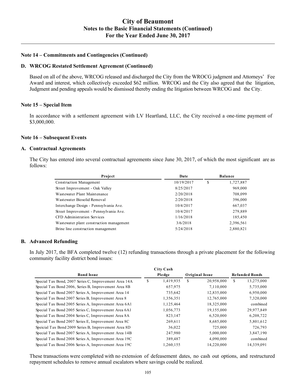### **Note 14 – Commitments and Contingencies (Continued)**

### **D. WRCOG Restated Settlement Agreement (Continued)**

Based on all of the above, WRCOG released and discharged the City from the WROCG judgment and Attorneys' Fee Award and interest, which collectively exceeded \$62 million. WRCOG and the City also agreed that the litigation, Judgment and pending appeals would be dismissed thereby ending the litigation between WRCOG and the City.

### **Note 15 – Special Item**

In accordance with a settlement agreement with LV Heartland, LLC, the City received a one-time payment of \$3,000,000.

### **Note 16 – Subsequent Events**

### **A. Contractual Agreements**

The City has entered into several contractual agreements since June 30, 2017, of which the most significant are as follows:

| Project                                  | Date       |   | <b>Balance</b> |
|------------------------------------------|------------|---|----------------|
| Construction Management                  | 10/19/2017 | S | 1,727,887      |
| Street Improvement - Oak Valley          | 8/25/2017  |   | 969,000        |
| Wastewater Plant Maintenance             | 2/20/2018  |   | 708,099        |
| Wastewater Biosolid Removal              | 2/20/2018  |   | 396,000        |
| Interchange Design - Pennsylvania Ave.   | 10/4/2017  |   | 667,037        |
| Street Improvement - Pennsylvania Ave.   | 10/4/2017  |   | 279,889        |
| CFD Administration Services              | 1/16/2018  |   | 185,450        |
| Wastewater plant construction management | 3/6/2018   |   | 2,396,561      |
| Brine line construction management       | 5/24/2018  |   | 2,880,821      |

## **B. Advanced Refunding**

In July 2017, the BFA completed twelve (12) refunding transactions through a private placement for the following community facility district bond issues:

| Pledge         | Original Issue   | <b>Refunded Bonds</b> |
|----------------|------------------|-----------------------|
| S<br>1,419,935 | 20,958,000<br>\$ | 13,275,000<br>\$      |
| 657,975        | 7,110,000        | 5,735,000             |
| 735,642        | 12,835,000       | 6,950,000             |
| 1,356,351      | 12,765,000       | 7,320,000             |
| 1,125,464      | 18,325,000       | combined              |
| 1,056,773      | 19,155,000       | 29,977,849            |
| 823,147        | 6,520,000        | 6,208,722             |
| 269,611        | 8,685,000        | 5,801,612             |
| 36,022         | 725,000          | 726,793               |
| 247,980        | 5,000,000        | 3,847,190             |
| 389,487        | 4,090,000        | combined              |
| 1,260,155      | 14,220,000       | 14,339,091            |
|                | City Cash        |                       |

These transactions were completed with no extension of defeasement dates, no cash out options, and restructured repayment schedules to remove annual escalators where savings could be realized.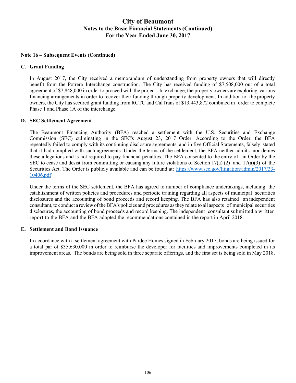## **Note 16 – Subsequent Events (Continued)**

## **C. Grant Funding**

In August 2017, the City received a memorandum of understanding from property owners that will directly benefit from the Potrero Interchange construction. The City has received funding of \$7,508,000 out of a total agreement of \$7,848,000 in order to proceed with the project. In exchange, the property owners are exploring various financing arrangements in order to recover their funding through property development. In addition to the property owners, the City has secured grant funding from RCTC and CalTrans of \$13,443,872 combined in order to complete Phase 1 and Phase 1A of the interchange.

### **D. SEC Settlement Agreement**

The Beaumont Financing Authority (BFA) reached a settlement with the U.S. Securities and Exchange Commission (SEC) culminating in the SEC's August 23, 2017 Order. According to the Order, the BFA repeatedly failed to comply with its continuing disclosure agreements, and in five Official Statements, falsely stated that it had complied with such agreements. Under the terms of the settlement, the BFA neither admits nor denies these allegations and is not required to pay financial penalties. The BFA consented to the entry of an Order by the SEC to cease and desist from committing or causing any future violations of Section 17(a) (2) and 17(a)(3) of the Securities Act. The Order is publicly available and can be found at: https://www.sec.gov/litigation/admin/2017/33-10406.pdf

Under the terms of the SEC settlement, the BFA has agreed to number of compliance undertakings, including the establishment of written policies and procedures and periodic training regarding all aspects of municipal securities disclosures and the accounting of bond proceeds and record keeping. The BFA has also retained an independent consultant, to conduct a review of the BFA's policies and procedures as they relate to all aspects of municipal securities disclosures, the accounting of bond proceeds and record keeping. The independent consultant submitted a written report to the BFA and the BFA adopted the recommendations contained in the report in April 2018.

## **E. Settlement and Bond Issuance**

In accordance with a settlement agreement with Pardee Homes signed in February 2017, bonds are being issued for a total par of \$35,630,000 in order to reimburse the developer for facilities and improvements completed in its improvement areas. The bonds are being sold in three separate offerings, and the first set is being sold in May 2018.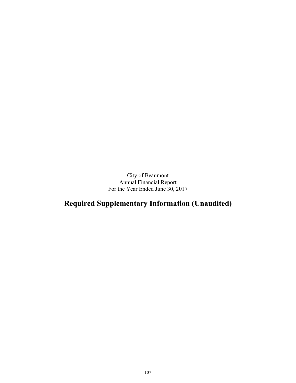# **Required Supplementary Information (Unaudited)**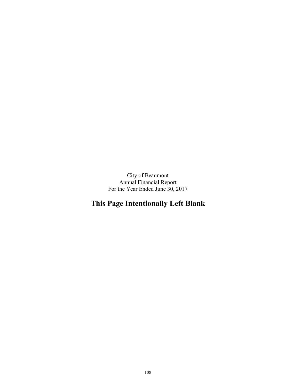# **This Page Intentionally Left Blank**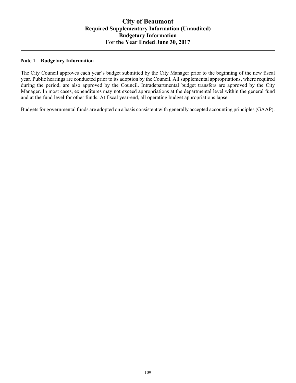# **City of Beaumont Required Supplementary Information (Unaudited) Budgetary Information For the Year Ended June 30, 2017**

## **Note 1 – Budgetary Information**

The City Council approves each year's budget submitted by the City Manager prior to the beginning of the new fiscal year. Public hearings are conducted prior to its adoption by the Council. All supplemental appropriations, where required during the period, are also approved by the Council. Intradepartmental budget transfers are approved by the City Manager. In most cases, expenditures may not exceed appropriations at the departmental level within the general fund and at the fund level for other funds. At fiscal year-end, all operating budget appropriations lapse.

Budgets for governmental funds are adopted on a basis consistent with generally accepted accounting principles (GAAP).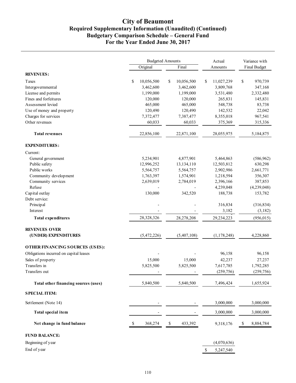# **City of Beaumont Required Supplementary Information (Unaudited) (Continued) Budgetary Comparison Schedule – General Fund For the Year Ended June 30, 2017**

|                                              | <b>Budgeted Amounts</b>     |                  | Actual                    | Variance with       |
|----------------------------------------------|-----------------------------|------------------|---------------------------|---------------------|
|                                              | Original                    | Final            | Amounts                   | <b>Final Budget</b> |
| <b>REVENUES:</b>                             |                             |                  |                           |                     |
| Taxes                                        | <sup>\$</sup><br>10,056,500 | \$<br>10,056,500 | \$<br>11,027,239          | \$<br>970,739       |
| Intergovernmental                            | 3,462,600                   | 3,462,600        | 3,809,768                 | 347,168             |
| License and permits                          | 1,199,000                   | 1,199,000        | 3,531,480                 | 2,332,480           |
| Fines and forfeitures                        | 120,000                     | 120,000          | 265,831                   | 145,831             |
| Assessment levied                            | 465,000                     | 465,000          | 548,738                   | 83,738              |
| Use of money and property                    | 120,490                     | 120,490          | 142,532                   | 22,042              |
| Charges for services                         | 7,372,477                   | 7,387,477        | 8,355,018                 | 967,541             |
| Other revenues                               | 60,033                      | 60,033           | 375,369                   | 315,336             |
| <b>Total revenues</b>                        | 22,856,100                  | 22,871,100       | 28,055,975                | 5,184,875           |
| <b>EXPENDITURES:</b>                         |                             |                  |                           |                     |
| Current:                                     |                             |                  |                           |                     |
| General government                           | 5,234,901                   | 4,877,901        | 5,464,863                 | (586, 962)          |
| Public safety                                | 12,996,252                  | 13,134,110       | 12,503,812                | 630,298             |
| Public works                                 | 5,564,757                   | 5,564,757        | 2,902,986                 | 2,661,771           |
| Community development                        | 1,763,397                   | 1,574,901        | 1,218,594                 | 356,307             |
| Community services                           | 2,639,019                   | 2,784,019        | 2,396,166                 | 387,853             |
| Refuse                                       |                             |                  | 4,239,048                 | (4,239,048)         |
| Capital outlay                               | 130,000                     | 342,520          | 188,738                   | 153,782             |
| Debt service:                                |                             |                  |                           |                     |
| Principal                                    |                             |                  | 316,834                   | (316, 834)          |
| Interest                                     |                             |                  | 3,182                     | (3,182)             |
| <b>Total expenditures</b>                    | 28,328,326                  | 28,278,208       | 29,234,223                | (956, 015)          |
|                                              |                             |                  |                           |                     |
| <b>REVENUES OVER</b><br>(UNDER) EXPENDITURES | (5,472,226)                 | (5,407,108)      | (1, 178, 248)             | 4,228,860           |
| OTHER FINANCING SOURCES (USES):              |                             |                  |                           |                     |
|                                              |                             |                  |                           |                     |
| Obligations incurred on capital leases       |                             |                  | 96,158                    | 96,158              |
| Sales of property                            | 15,000                      | 15,000           | 42,237                    | 27,237              |
| Transfers in                                 | 5,825,500                   | 5,825,500        | 7,617,785                 | 1,792,285           |
| Transfers out                                |                             |                  | (259, 756)                | (259, 756)          |
| Total other financing sources (uses)         | 5,840,500                   | 5,840,500        | 7,496,424                 | 1,655,924           |
| <b>SPECIAL ITEM:</b>                         |                             |                  |                           |                     |
| Settlement (Note 14)                         |                             |                  | 3,000,000                 | 3,000,000           |
| <b>Total special item</b>                    |                             |                  | 3,000,000                 | 3,000,000           |
| Net change in fund balance                   | 368,274                     | \$<br>433,392    | 9,318,176                 | 8,884,784<br>S.     |
| <b>FUND BALANCE:</b>                         |                             |                  |                           |                     |
| Beginning of year                            |                             |                  | (4,070,636)               |                     |
| End of year                                  |                             |                  | $\mathbb{S}$<br>5,247,540 |                     |
|                                              |                             |                  |                           |                     |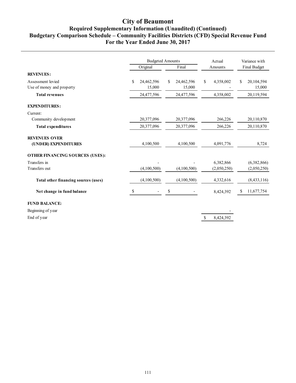# **City of Beaumont Required Supplementary Information (Unaudited) (Continued) Budgetary Comparison Schedule – Community Facilities Districts (CFD) Special Revenue Fund For the Year Ended June 30, 2017**

|                                                |                  | <b>Budgeted Amounts</b> |       |                      |              | Actual      | Variance with |                      |  |
|------------------------------------------------|------------------|-------------------------|-------|----------------------|--------------|-------------|---------------|----------------------|--|
|                                                | Original         |                         | Final |                      |              | Amounts     |               | <b>Final Budget</b>  |  |
| <b>REVENUES:</b>                               |                  |                         |       |                      |              |             |               |                      |  |
| Assessment levied<br>Use of money and property | \$<br>24,462,596 | 15,000                  | \$    | 24,462,596<br>15,000 | $\mathbb{S}$ | 4,358,002   | \$            | 20,104,594<br>15,000 |  |
| <b>Total revenues</b>                          | 24,477,596       |                         |       | 24,477,596           |              | 4,358,002   |               | 20,119,594           |  |
| <b>EXPENDITURES:</b>                           |                  |                         |       |                      |              |             |               |                      |  |
| Current:                                       |                  |                         |       |                      |              |             |               |                      |  |
| Community development                          | 20,377,096       |                         |       | 20,377,096           |              | 266,226     |               | 20,110,870           |  |
| <b>Total expenditures</b>                      | 20,377,096       |                         |       | 20,377,096           | 266,226      |             |               | 20,110,870           |  |
| <b>REVENUES OVER</b>                           |                  |                         |       |                      |              |             |               |                      |  |
| (UNDER) EXPENDITURES                           | 4,100,500        |                         |       | 4,100,500            |              | 4,091,776   |               | 8,724                |  |
| OTHER FINANCING SOURCES (USES):                |                  |                         |       |                      |              |             |               |                      |  |
| Transfers in                                   |                  |                         |       |                      |              | 6,382,866   |               | (6,382,866)          |  |
| Transfers out                                  | (4,100,500)      |                         |       | (4,100,500)          |              | (2,050,250) |               | (2,050,250)          |  |
| Total other financing sources (uses)           | (4,100,500)      |                         |       | (4,100,500)          |              | 4,332,616   |               | (8, 433, 116)        |  |
| Net change in fund balance                     | \$               |                         | \$    |                      |              | 8,424,392   | S             | 11,677,754           |  |
| <b>FUND BALANCE:</b>                           |                  |                         |       |                      |              |             |               |                      |  |
| Beginning of year                              |                  |                         |       |                      |              |             |               |                      |  |
| End of year                                    |                  |                         |       |                      | -S           | 8,424,392   |               |                      |  |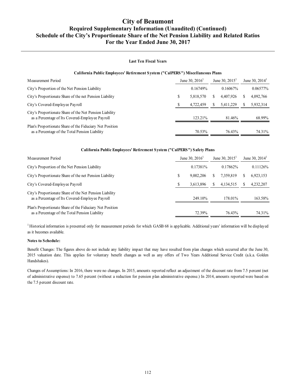# **City of Beaumont Required Supplementary Information (Unaudited) (Continued) Schedule of the City's Proportionate Share of the Net Pension Liability and Related Ratios For the Year Ended June 30, 2017**

#### **Last Ten Fiscal Years**

#### **California Public Employees' Retirement System ("CalPERS") Miscellaneous Plans**

| Measurement Period                                                                                         |   | June 30, $2016^1$ |  | June 30, $2015^1$ |  | June 30, $2014^1$ |  |
|------------------------------------------------------------------------------------------------------------|---|-------------------|--|-------------------|--|-------------------|--|
| City's Proportion of the Net Pension Liability                                                             |   | 0.16749%          |  | $0.16067\%$       |  | $0.06577\%$       |  |
| City's Proportionate Share of the net Pension Liability                                                    | ъ | 5,818,570         |  | 4.407.926         |  | 4,092,766         |  |
| City's Covered-Employee Payroll                                                                            |   | 4.722.459         |  | 5.411.229         |  | 5,932,314         |  |
| City's Proportionate Share of the Net Pension Liability<br>as a Percentage of Its Covered-Employee Payroll |   | 123 21%           |  | 81.46%            |  | 68.99%            |  |
| Plan's Proportionate Share of the Fiduciary Net Position<br>as a Percentage of the Total Pension Liability |   | 70.53%            |  | 76.43%            |  | 74.31%            |  |

#### **California Public Employees' Retirement System ("CalPERS") Safety Plans**

| Measurement Period                                                                                         | June 30, $2016^1$ |  | June 30, $2015^1$ |   | June 30, $2014'$ |  |
|------------------------------------------------------------------------------------------------------------|-------------------|--|-------------------|---|------------------|--|
| City's Proportion of the Net Pension Liability                                                             | 0.17381\%         |  | 0.17862%          |   | $0.11126\%$      |  |
| City's Proportionate Share of the net Pension Liability                                                    | \$<br>9.002.206   |  | 7,359,819         | ъ | 6,923,153        |  |
| City's Covered-Employee Payroll                                                                            | 3,613,896         |  | 4,134,515         |   | 4,232,207        |  |
| City's Proportionate Share of the Net Pension Liability<br>as a Percentage of Its Covered-Employee Payroll | 249.10%           |  | 178.01%           |   | 163.58%          |  |
| Plan's Proportionate Share of the Fiduciary Net Position<br>as a Percentage of the Total Pension Liability | 72.39%            |  | 76.43%            |   | 74.31%           |  |

<sup>1</sup> Historical information is presented only for measurement periods for which GASB 68 is applicable. Additional years' information will be displayed as it becomes available.

#### **Notes to Schedule:**

Benefit Changes: The figures above do not include any liability impact that may have resulted from plan changes which occurred after the June 30, 2015 valuation date. This applies for voluntary benefit changes as well as any offers of Two Years Additional Service Credit (a.k.a. Golden Handshakes).

Changes of Assumptions: In 2016, there were no changes. In 2015, amounts reported reflect an adjustment of the discount rate from 7.5 percent (net of administrative expense) to 7.65 percent (without a reduction for pension plan administrative expense.) In 2014, amounts reported were based on the 7.5 percent discount rate.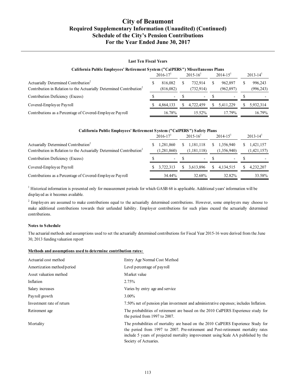# **City of Beaumont Required Supplementary Information (Unaudited) (Continued) Schedule of the City's Pension Contributions For the Year Ended June 30, 2017**

#### **Last Ten Fiscal Years**

## **California Public Employees' Retirement System ("CalPERS") Miscellaneous Plans**

|                                                                                                                                      | $2016 - 17$ |                          | $2015 - 16^{1}$ | $2014 - 15$ <sup>1</sup> |  | $2013 - 14$ <sup>1</sup> |  |                       |
|--------------------------------------------------------------------------------------------------------------------------------------|-------------|--------------------------|-----------------|--------------------------|--|--------------------------|--|-----------------------|
| Actuarially Determined Contribution <sup>2</sup><br>Contribution in Relation to the Actuarially Determined Contribution <sup>2</sup> |             | 816.082<br>(816,082)     |                 | 732.914<br>(732.914)     |  | 962.897<br>(962.897)     |  | 996,243<br>(996, 243) |
| Contribution Deficiency (Excess)                                                                                                     |             | $\overline{\phantom{0}}$ |                 | $\sim$                   |  | $\overline{\phantom{0}}$ |  |                       |
| Covered-Employee Payroll                                                                                                             |             | 4.864.133                |                 | 4.722.459                |  | 5.411.229                |  | 5,932,314             |
| Contributions as a Percentage of Covered-Employee Payroll                                                                            |             | 16.78%                   |                 | 15.52%                   |  | 17 79%                   |  | 16.79%                |

| California Public Employees' Retirement System ("CalPERS") Safety Plans                                                              |  |                          |  |                          |                 |                          |  |                          |  |
|--------------------------------------------------------------------------------------------------------------------------------------|--|--------------------------|--|--------------------------|-----------------|--------------------------|--|--------------------------|--|
|                                                                                                                                      |  | $2016 - 171$             |  | $2015 - 16^{1}$          | $2014 - 15^{1}$ |                          |  | $2013 - 141$             |  |
| Actuarially Determined Contribution <sup>2</sup><br>Contribution in Relation to the Actuarially Determined Contribution <sup>2</sup> |  | 1,281,860<br>(1,281,860) |  | 1,181,118<br>(1,181,118) | S               | 1,356,940<br>(1,356,940) |  | 1,421,157<br>(1,421,157) |  |
| Contribution Deficiency (Excess)                                                                                                     |  | $\overline{\phantom{a}}$ |  | $\sim$                   |                 |                          |  |                          |  |
| Covered-Employee Payroll                                                                                                             |  | 3.722.313                |  | 3.613.896                | S.              | 4.134.515                |  | 4.232.207                |  |
| Contributions as a Percentage of Covered-Employee Payroll                                                                            |  | 34.44%                   |  | 32.68%                   |                 | 32.82%                   |  | 33.58%                   |  |

<sup>1</sup> Historical information is presented only for measurement periods for which GASB 68 is applicable. Additional years' information will be displayed as it becomes available.

<sup>2</sup> Employers are assumed to make contributions equal to the actuarially determined contributions. However, some employers may choose to make additional contributions towards their unfunded liability. Employer contributions for such plans exceed the actuarially determined contributions.

#### **Notes to Schedule**

The actuarial methods and assumptions used to set the actuarially determined contributions for Fiscal Year 2015-16 were derived from the June 30, 2013 funding valuation report

#### **Methods and assumptions used to determine contribution rates:**

| Actuarial cost method      | Entry Age Normal Cost Method                                                                                                                                                                                                                                                         |
|----------------------------|--------------------------------------------------------------------------------------------------------------------------------------------------------------------------------------------------------------------------------------------------------------------------------------|
| Amortization method/period | Level percentage of payroll                                                                                                                                                                                                                                                          |
| Asset valuation method     | Market value                                                                                                                                                                                                                                                                         |
| Inflation                  | 2.75%                                                                                                                                                                                                                                                                                |
| Salary increases           | Varies by entry age and service                                                                                                                                                                                                                                                      |
| Payroll growth             | $3.00\%$                                                                                                                                                                                                                                                                             |
| Investment rate of return  | 7.50% net of pension plan investment and administrative expenses; includes Inflation.                                                                                                                                                                                                |
| Retirement age             | The probabilities of retirement are based on the 2010 CalPERS Experience study for<br>the period from 1997 to 2007.                                                                                                                                                                  |
| <b>M</b> ortality          | The probabilities of mortality are based on the 2010 CalPERS Experience Study for<br>the period from 1997 to 2007. Pre-retirement and Post-retirement mortality rates<br>include 5 years of projected mortality improvement using Scale AA published by the<br>Society of Actuaries. |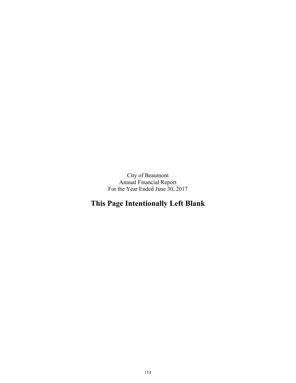# **This Page Intentionally Left Blank**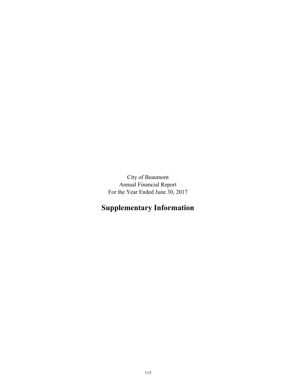# **Supplementary Information**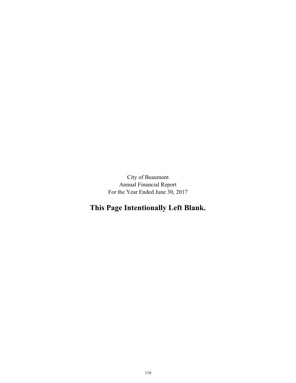# **This Page Intentionally Left Blank.**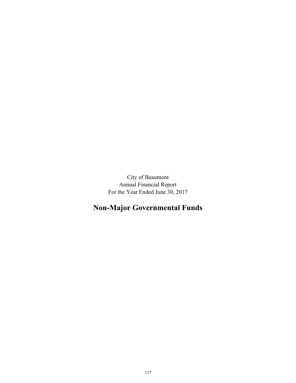# **Non-Major Governmental Funds**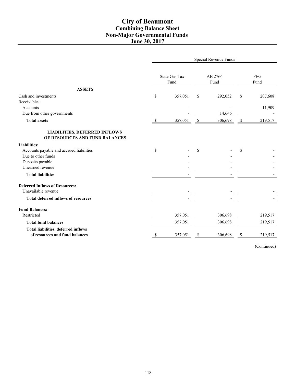## **City of Beaumont Combining Balance Sheet Non-Major Governmental Funds June 30, 2017**

|                                                                        |                              | Special Revenue Funds |                    |
|------------------------------------------------------------------------|------------------------------|-----------------------|--------------------|
|                                                                        | <b>State Gas Tax</b><br>Fund | AB 2766<br>Fund       | <b>PEG</b><br>Fund |
| <b>ASSETS</b>                                                          |                              |                       |                    |
| Cash and investments                                                   | \$<br>357,051                | \$<br>292,052         | \$<br>207,608      |
| Receivables:<br>Accounts                                               |                              |                       |                    |
| Due from other governments                                             |                              | 14,646                | 11,909             |
|                                                                        |                              |                       |                    |
| <b>Total assets</b>                                                    | 357,051                      | \$<br>306,698         | 219,517            |
| <b>LIABILITIES, DEFERRED INFLOWS</b><br>OF RESOURCES AND FUND BALANCES |                              |                       |                    |
| <b>Liabilities:</b>                                                    |                              |                       |                    |
| Accounts payable and accrued liabilities                               | \$                           | \$                    | \$                 |
| Due to other funds                                                     |                              |                       |                    |
| Deposits payable                                                       |                              |                       |                    |
| Unearned revenue                                                       |                              |                       |                    |
| <b>Total liabilities</b>                                               |                              |                       |                    |
| <b>Deferred Inflows of Resources:</b>                                  |                              |                       |                    |
| Unavailable revenue                                                    |                              |                       |                    |
| <b>Total deferred inflows of resources</b>                             |                              |                       |                    |
| <b>Fund Balances:</b>                                                  |                              |                       |                    |
| Restricted                                                             | 357,051                      | 306,698               | 219,517            |
| <b>Total fund balances</b>                                             | 357,051                      | 306,698               | 219,517            |
| Total liabilities, deferred inflows                                    |                              |                       |                    |
| of resources and fund balances                                         | 357,051                      | 306,698               | 219,517            |

(Continued)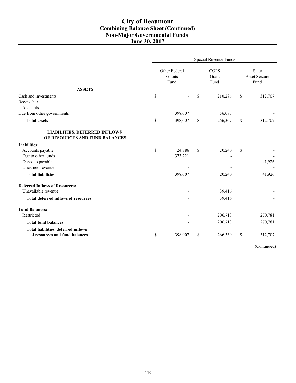## **City of Beaumont Combining Balance Sheet (Continued) Non-Major Governmental Funds June 30, 2017**

|                                                                        |                                 |      | Special Revenue Funds        |                                       |             |
|------------------------------------------------------------------------|---------------------------------|------|------------------------------|---------------------------------------|-------------|
|                                                                        | Other Federal<br>Grants<br>Fund |      | <b>COPS</b><br>Grant<br>Fund | <b>State</b><br>Asset Seizure<br>Fund |             |
| <b>ASSETS</b>                                                          |                                 |      |                              |                                       |             |
| Cash and investments<br>Receivables:                                   | \$                              | \$   | 210,286                      | \$                                    | 312,707     |
| Accounts                                                               |                                 |      |                              |                                       |             |
| Due from other governments                                             | 398,007                         |      | 56,083                       |                                       |             |
| <b>Total assets</b>                                                    | 398,007                         | $\$$ | 266,369                      | \$                                    | 312,707     |
| <b>LIABILITIES, DEFERRED INFLOWS</b><br>OF RESOURCES AND FUND BALANCES |                                 |      |                              |                                       |             |
| <b>Liabilities:</b>                                                    |                                 |      |                              |                                       |             |
| Accounts payable                                                       | \$<br>24,786                    | \$   | 20,240                       | \$                                    |             |
| Due to other funds                                                     | 373,221                         |      |                              |                                       |             |
| Deposits payable                                                       |                                 |      |                              |                                       | 41,926      |
| Unearned revenue                                                       |                                 |      |                              |                                       |             |
| <b>Total liabilities</b>                                               | 398,007                         |      | 20,240                       |                                       | 41,926      |
| <b>Deferred Inflows of Resources:</b>                                  |                                 |      |                              |                                       |             |
| Unavailable revenue                                                    |                                 |      | 39,416                       |                                       |             |
| <b>Total deferred inflows of resources</b>                             |                                 |      | 39,416                       |                                       |             |
| <b>Fund Balances:</b>                                                  |                                 |      |                              |                                       |             |
| Restricted                                                             |                                 |      | 206,713                      |                                       | 270,781     |
| <b>Total fund balances</b>                                             |                                 |      | 206,713                      |                                       | 270,781     |
| <b>Total liabilities, deferred inflows</b>                             |                                 |      |                              |                                       |             |
| of resources and fund balances                                         | 398,007                         | S    | 266,369                      |                                       | 312,707     |
|                                                                        |                                 |      |                              |                                       | (Continued) |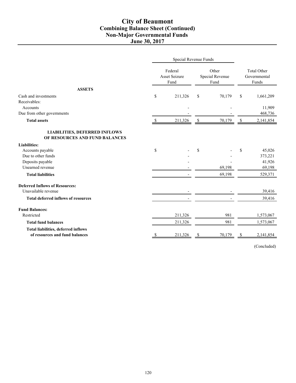## **City of Beaumont Combining Balance Sheet (Continued) Non-Major Governmental Funds June 30, 2017**

|                                                                        |    | Federal<br><b>Asset Seizure</b><br>Fund |               | Other<br>Special Revenue<br>Fund | <b>Total Other</b><br>Governmental<br>Funds |           |
|------------------------------------------------------------------------|----|-----------------------------------------|---------------|----------------------------------|---------------------------------------------|-----------|
| <b>ASSETS</b>                                                          |    |                                         |               |                                  |                                             |           |
| Cash and investments                                                   | \$ | 211,326                                 | \$            | 70,179                           | \$                                          | 1,661,209 |
| Receivables:                                                           |    |                                         |               |                                  |                                             |           |
| Accounts                                                               |    |                                         |               |                                  |                                             | 11,909    |
| Due from other governments                                             |    |                                         |               |                                  |                                             | 468,736   |
| <b>Total assets</b>                                                    |    | 211,326                                 | $\mathcal{S}$ | 70,179                           | -\$                                         | 2,141,854 |
| <b>LIABILITIES, DEFERRED INFLOWS</b><br>OF RESOURCES AND FUND BALANCES |    |                                         |               |                                  |                                             |           |
| <b>Liabilities:</b>                                                    |    |                                         |               |                                  |                                             |           |
| Accounts payable                                                       | \$ |                                         | \$            |                                  | \$                                          | 45,026    |
| Due to other funds                                                     |    |                                         |               |                                  |                                             | 373,221   |
| Deposits payable                                                       |    |                                         |               |                                  |                                             | 41,926    |
| Unearned revenue                                                       |    |                                         |               | 69,198                           |                                             | 69,198    |
| <b>Total liabilities</b>                                               |    |                                         |               | 69,198                           |                                             | 529,371   |
| <b>Deferred Inflows of Resources:</b>                                  |    |                                         |               |                                  |                                             |           |
| Unavailable revenue                                                    |    |                                         |               |                                  |                                             | 39,416    |
| <b>Total deferred inflows of resources</b>                             |    |                                         |               |                                  |                                             | 39,416    |
| <b>Fund Balances:</b>                                                  |    |                                         |               |                                  |                                             |           |
| Restricted                                                             |    | 211,326                                 |               | 981                              |                                             | 1,573,067 |
| <b>Total fund balances</b>                                             |    | 211,326                                 |               | 981                              |                                             | 1,573,067 |
| Total liabilities, deferred inflows                                    |    |                                         |               |                                  |                                             |           |
| of resources and fund balances                                         |    | 211,326                                 | S             | 70,179                           | S                                           | 2,141,854 |
|                                                                        |    |                                         |               |                                  |                                             |           |

(Concluded)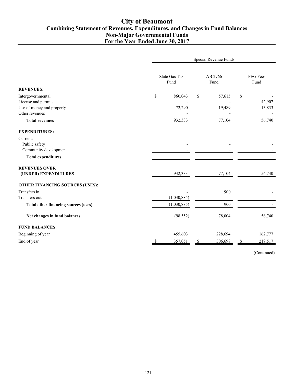# **City of Beaumont Combining Statement of Revenues, Expenditures, and Changes in Fund Balances Non-Major Governmental Funds For the Year Ended June 30, 2017**

|                                             |                          | Special Revenue Funds<br><b>State Gas Tax</b><br>AB 2766<br>PEG Fees<br>Fund<br>Fund<br>Fund<br>\$<br>860,043<br>\$<br>57,615<br>\$<br>42,907 |               |  |  |  |  |  |  |  |
|---------------------------------------------|--------------------------|-----------------------------------------------------------------------------------------------------------------------------------------------|---------------|--|--|--|--|--|--|--|
|                                             |                          |                                                                                                                                               |               |  |  |  |  |  |  |  |
| <b>REVENUES:</b>                            |                          |                                                                                                                                               |               |  |  |  |  |  |  |  |
| Intergovernmental                           |                          |                                                                                                                                               |               |  |  |  |  |  |  |  |
| License and permits                         |                          |                                                                                                                                               |               |  |  |  |  |  |  |  |
| Use of money and property<br>Other revenues | 72,290                   | 19,489                                                                                                                                        | 13,833        |  |  |  |  |  |  |  |
| <b>Total revenues</b>                       | 932,333                  | 77,104                                                                                                                                        | 56,740        |  |  |  |  |  |  |  |
| <b>EXPENDITURES:</b>                        |                          |                                                                                                                                               |               |  |  |  |  |  |  |  |
| Current:                                    |                          |                                                                                                                                               |               |  |  |  |  |  |  |  |
| Public safety                               |                          |                                                                                                                                               |               |  |  |  |  |  |  |  |
| Community development                       |                          |                                                                                                                                               |               |  |  |  |  |  |  |  |
| <b>Total expenditures</b>                   |                          |                                                                                                                                               |               |  |  |  |  |  |  |  |
| <b>REVENUES OVER</b>                        |                          |                                                                                                                                               |               |  |  |  |  |  |  |  |
| (UNDER) EXPENDITURES                        | 932,333                  | 77,104                                                                                                                                        | 56,740        |  |  |  |  |  |  |  |
| OTHER FINANCING SOURCES (USES):             |                          |                                                                                                                                               |               |  |  |  |  |  |  |  |
| Transfers in                                |                          | 900                                                                                                                                           |               |  |  |  |  |  |  |  |
| Transfers out                               | (1,030,885)              | $\overline{\phantom{a}}$                                                                                                                      |               |  |  |  |  |  |  |  |
| Total other financing sources (uses)        | (1,030,885)              | 900                                                                                                                                           |               |  |  |  |  |  |  |  |
| Net changes in fund balances                | (98, 552)                | 78,004                                                                                                                                        | 56,740        |  |  |  |  |  |  |  |
| <b>FUND BALANCES:</b>                       |                          |                                                                                                                                               |               |  |  |  |  |  |  |  |
| Beginning of year                           | 455,603                  | 228,694                                                                                                                                       | 162,777       |  |  |  |  |  |  |  |
| End of year                                 | <sup>\$</sup><br>357,051 | $\mathbb{S}$<br>306,698                                                                                                                       | \$<br>219,517 |  |  |  |  |  |  |  |
|                                             |                          |                                                                                                                                               |               |  |  |  |  |  |  |  |

(Continued)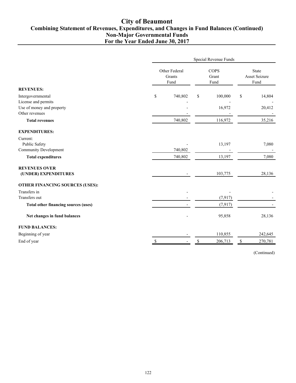## **City of Beaumont Combining Statement of Revenues, Expenditures, and Changes in Fund Balances (Continued) Non-Major Governmental Funds For the Year Ended June 30, 2017**

|                                              |                                 |         |    | Special Revenue Funds        |                                       |         |
|----------------------------------------------|---------------------------------|---------|----|------------------------------|---------------------------------------|---------|
|                                              | Other Federal<br>Grants<br>Fund |         |    | <b>COPS</b><br>Grant<br>Fund | State<br><b>Asset Seizure</b><br>Fund |         |
| <b>REVENUES:</b>                             |                                 |         |    |                              |                                       |         |
| Intergovernmental                            | \$                              | 740,802 | \$ | 100,000                      | \$                                    | 14,804  |
| License and permits                          |                                 |         |    |                              |                                       |         |
| Use of money and property<br>Other revenues  |                                 |         |    | 16,972                       |                                       | 20,412  |
| <b>Total revenues</b>                        |                                 | 740,802 |    | 116,972                      |                                       | 35,216  |
| <b>EXPENDITURES:</b>                         |                                 |         |    |                              |                                       |         |
| Current:                                     |                                 |         |    |                              |                                       |         |
| Public Safety                                |                                 |         |    | 13,197                       |                                       | 7,080   |
| <b>Community Development</b>                 | 740,802                         |         |    |                              |                                       |         |
| <b>Total expenditures</b>                    |                                 | 740,802 |    | 13,197                       |                                       | 7,080   |
| <b>REVENUES OVER</b><br>(UNDER) EXPENDITURES |                                 |         |    | 103,775                      |                                       | 28,136  |
| OTHER FINANCING SOURCES (USES):              |                                 |         |    |                              |                                       |         |
| Transfers in                                 |                                 |         |    |                              |                                       |         |
| Transfers out                                |                                 |         |    | (7, 917)                     |                                       |         |
| Total other financing sources (uses)         |                                 |         |    | (7, 917)                     |                                       |         |
| Net changes in fund balances                 |                                 |         |    | 95,858                       |                                       | 28,136  |
| <b>FUND BALANCES:</b>                        |                                 |         |    |                              |                                       |         |
| Beginning of year                            |                                 |         |    | 110,855                      |                                       | 242,645 |
| End of year                                  |                                 |         |    | 206,713                      | -S                                    | 270,781 |

(Continued)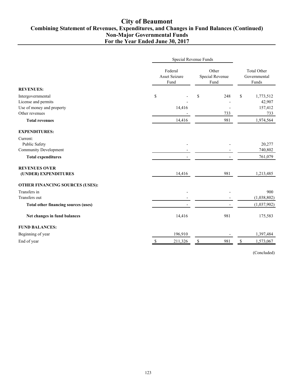# **City of Beaumont Combining Statement of Revenues, Expenditures, and Changes in Fund Balances (Continued) Non-Major Governmental Funds For the Year Ended June 30, 2017**

| Federal<br>Other<br><b>Total Other</b><br><b>Asset Seizure</b><br>Special Revenue<br>Governmental<br>Fund<br>Fund<br>Funds<br><b>REVENUES:</b><br>\$<br>\$<br>248<br>\$<br>1,773,512<br>Intergovernmental<br>License and permits<br>42,907<br>Use of money and property<br>157,412<br>14,416<br>Other revenues<br>733<br>733<br>14,416<br>981<br>1,974,564<br><b>Total revenues</b><br><b>EXPENDITURES:</b><br>Current:<br>Public Safety<br>20,277<br><b>Community Development</b><br>740,802<br><b>Total expenditures</b><br>761,079<br><b>REVENUES OVER</b><br>(UNDER) EXPENDITURES<br>981<br>14,416<br>1,213,485<br>OTHER FINANCING SOURCES (USES):<br>Transfers in<br>900<br>Transfers out<br>Total other financing sources (uses)<br>981<br>14,416<br>Net changes in fund balances<br>175,583<br><b>FUND BALANCES:</b><br>Beginning of year<br>196,910 | Special Revenue Funds |  |  |             |  |
|-------------------------------------------------------------------------------------------------------------------------------------------------------------------------------------------------------------------------------------------------------------------------------------------------------------------------------------------------------------------------------------------------------------------------------------------------------------------------------------------------------------------------------------------------------------------------------------------------------------------------------------------------------------------------------------------------------------------------------------------------------------------------------------------------------------------------------------------------------------|-----------------------|--|--|-------------|--|
|                                                                                                                                                                                                                                                                                                                                                                                                                                                                                                                                                                                                                                                                                                                                                                                                                                                             |                       |  |  |             |  |
|                                                                                                                                                                                                                                                                                                                                                                                                                                                                                                                                                                                                                                                                                                                                                                                                                                                             |                       |  |  |             |  |
|                                                                                                                                                                                                                                                                                                                                                                                                                                                                                                                                                                                                                                                                                                                                                                                                                                                             |                       |  |  |             |  |
|                                                                                                                                                                                                                                                                                                                                                                                                                                                                                                                                                                                                                                                                                                                                                                                                                                                             |                       |  |  |             |  |
|                                                                                                                                                                                                                                                                                                                                                                                                                                                                                                                                                                                                                                                                                                                                                                                                                                                             |                       |  |  |             |  |
|                                                                                                                                                                                                                                                                                                                                                                                                                                                                                                                                                                                                                                                                                                                                                                                                                                                             |                       |  |  |             |  |
|                                                                                                                                                                                                                                                                                                                                                                                                                                                                                                                                                                                                                                                                                                                                                                                                                                                             |                       |  |  |             |  |
|                                                                                                                                                                                                                                                                                                                                                                                                                                                                                                                                                                                                                                                                                                                                                                                                                                                             |                       |  |  |             |  |
|                                                                                                                                                                                                                                                                                                                                                                                                                                                                                                                                                                                                                                                                                                                                                                                                                                                             |                       |  |  |             |  |
|                                                                                                                                                                                                                                                                                                                                                                                                                                                                                                                                                                                                                                                                                                                                                                                                                                                             |                       |  |  |             |  |
|                                                                                                                                                                                                                                                                                                                                                                                                                                                                                                                                                                                                                                                                                                                                                                                                                                                             |                       |  |  |             |  |
|                                                                                                                                                                                                                                                                                                                                                                                                                                                                                                                                                                                                                                                                                                                                                                                                                                                             |                       |  |  |             |  |
|                                                                                                                                                                                                                                                                                                                                                                                                                                                                                                                                                                                                                                                                                                                                                                                                                                                             |                       |  |  |             |  |
|                                                                                                                                                                                                                                                                                                                                                                                                                                                                                                                                                                                                                                                                                                                                                                                                                                                             |                       |  |  |             |  |
|                                                                                                                                                                                                                                                                                                                                                                                                                                                                                                                                                                                                                                                                                                                                                                                                                                                             |                       |  |  |             |  |
|                                                                                                                                                                                                                                                                                                                                                                                                                                                                                                                                                                                                                                                                                                                                                                                                                                                             |                       |  |  |             |  |
|                                                                                                                                                                                                                                                                                                                                                                                                                                                                                                                                                                                                                                                                                                                                                                                                                                                             |                       |  |  | (1,038,802) |  |
|                                                                                                                                                                                                                                                                                                                                                                                                                                                                                                                                                                                                                                                                                                                                                                                                                                                             |                       |  |  | (1,037,902) |  |
|                                                                                                                                                                                                                                                                                                                                                                                                                                                                                                                                                                                                                                                                                                                                                                                                                                                             |                       |  |  |             |  |
|                                                                                                                                                                                                                                                                                                                                                                                                                                                                                                                                                                                                                                                                                                                                                                                                                                                             |                       |  |  |             |  |
|                                                                                                                                                                                                                                                                                                                                                                                                                                                                                                                                                                                                                                                                                                                                                                                                                                                             |                       |  |  | 1,397,484   |  |
| End of year<br><sup>\$</sup><br>981<br>$\mathbb{S}$<br>1,573,067<br>211,326<br>-S                                                                                                                                                                                                                                                                                                                                                                                                                                                                                                                                                                                                                                                                                                                                                                           |                       |  |  |             |  |

(Concluded)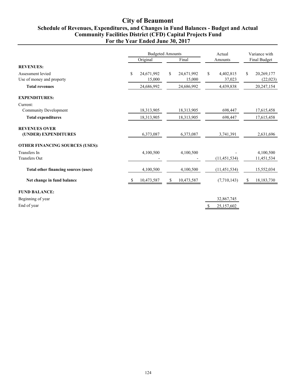# **City of Beaumont Schedule of Revenues, Expenditures, and Changes in Fund Balances - Budget and Actual Community Facilities District (CFD) Capital Projects Fund For the Year Ended June 30, 2017**

|                                      | <b>Budgeted Amounts</b> |            |    | Actual     |    | Variance with  |      |                     |
|--------------------------------------|-------------------------|------------|----|------------|----|----------------|------|---------------------|
|                                      |                         | Original   |    | Final      |    | Amounts        |      | <b>Final Budget</b> |
| <b>REVENUES:</b>                     |                         |            |    |            |    |                |      |                     |
| Assessment levied                    | <sup>\$</sup>           | 24,671,992 | \$ | 24,671,992 | \$ | 4,402,815      | \$   | 20,269,177          |
| Use of money and property            |                         | 15,000     |    | 15,000     |    | 37,023         |      | (22, 023)           |
| <b>Total revenues</b>                |                         | 24,686,992 |    | 24,686,992 |    | 4,439,838      |      | 20,247,154          |
| <b>EXPENDITURES:</b>                 |                         |            |    |            |    |                |      |                     |
| Current:                             |                         |            |    |            |    |                |      |                     |
| Community Development                |                         | 18,313,905 |    | 18,313,905 |    | 698,447        |      | 17,615,458          |
| <b>Total expenditures</b>            |                         | 18,313,905 |    | 18,313,905 |    | 698,447        |      | 17,615,458          |
| <b>REVENUES OVER</b>                 |                         |            |    |            |    |                |      |                     |
| (UNDER) EXPENDITURES                 |                         | 6,373,087  |    | 6,373,087  |    | 3,741,391      |      | 2,631,696           |
| OTHER FINANCING SOURCES (USES):      |                         |            |    |            |    |                |      |                     |
| Transfers In                         |                         | 4,100,500  |    | 4,100,500  |    |                |      | 4,100,500           |
| <b>Transfers Out</b>                 |                         |            |    |            |    | (11, 451, 534) |      | 11,451,534          |
| Total other financing sources (uses) |                         | 4,100,500  |    | 4,100,500  |    | (11, 451, 534) |      | 15,552,034          |
| Net change in fund balance           | -S                      | 10,473,587 | \$ | 10,473,587 |    | (7,710,143)    | - \$ | 18, 183, 730        |
| <b>FUND BALANCE:</b>                 |                         |            |    |            |    |                |      |                     |
| Beginning of year                    |                         |            |    |            |    | 32,867,745     |      |                     |
| End of year                          |                         |            |    |            |    | 25,157,602     |      |                     |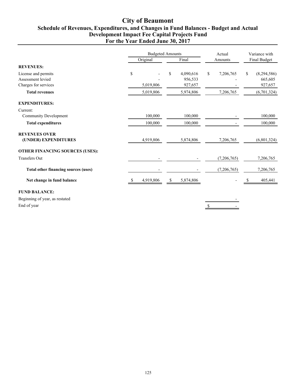# **City of Beaumont Schedule of Revenues, Expenditures, and Changes in Fund Balances - Budget and Actual Development Impact Fee Capital Projects Fund For the Year Ended June 30, 2017**

|                                          |           | <b>Budgeted Amounts</b>    | Actual          | Variance with                |  |  |
|------------------------------------------|-----------|----------------------------|-----------------|------------------------------|--|--|
|                                          | Original  | Final                      | Amounts         | <b>Final Budget</b>          |  |  |
| <b>REVENUES:</b>                         |           |                            |                 |                              |  |  |
| License and permits<br>Assessment levied | \$        | \$<br>4,090,616<br>956,533 | \$<br>7,206,765 | \$<br>(8,294,586)<br>665,605 |  |  |
| Charges for services                     | 5,019,806 | 927,657                    |                 | 927,657                      |  |  |
| <b>Total revenues</b>                    | 5,019,806 | 5,974,806                  | 7,206,765       | (6,701,324)                  |  |  |
| <b>EXPENDITURES:</b>                     |           |                            |                 |                              |  |  |
| Current:                                 |           |                            |                 |                              |  |  |
| Community Development                    | 100,000   | 100,000                    |                 | 100,000                      |  |  |
| <b>Total expenditures</b>                | 100,000   | 100,000                    |                 | 100,000                      |  |  |
| <b>REVENUES OVER</b>                     |           |                            |                 |                              |  |  |
| (UNDER) EXPENDITURES                     | 4,919,806 | 5,874,806                  | 7,206,765       | (6,801,324)                  |  |  |
| OTHER FINANCING SOURCES (USES):          |           |                            |                 |                              |  |  |
| <b>Transfers Out</b>                     |           |                            | (7,206,765)     | 7,206,765                    |  |  |
| Total other financing sources (uses)     |           |                            | (7,206,765)     | 7,206,765                    |  |  |
| Net change in fund balance               | 4,919,806 | S<br>5,874,806             |                 | 405,441<br>S                 |  |  |
| <b>FUND BALANCE:</b>                     |           |                            |                 |                              |  |  |
| Beginning of year, as restated           |           |                            |                 |                              |  |  |
| End of year                              |           |                            |                 |                              |  |  |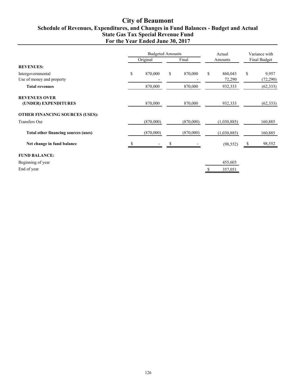# **City of Beaumont Schedule of Revenues, Expenditures, and Changes in Fund Balances - Budget and Actual State Gas Tax Special Revenue Fund For the Year Ended June 30, 2017**

|                                                | <b>Budgeted Amounts</b> |                  |           | Actual                  | Variance with |                    |
|------------------------------------------------|-------------------------|------------------|-----------|-------------------------|---------------|--------------------|
|                                                | Original                | Final<br>Amounts |           | Final Budget            |               |                    |
| <b>REVENUES:</b>                               |                         |                  |           |                         |               |                    |
| Intergovernmental<br>Use of money and property | \$<br>870,000           | \$               | 870,000   | \$<br>860,043<br>72,290 | \$            | 9,957<br>(72, 290) |
| <b>Total revenues</b>                          | 870,000                 |                  | 870,000   | 932,333                 |               | (62, 333)          |
| <b>REVENUES OVER</b><br>(UNDER) EXPENDITURES   | 870,000                 |                  | 870,000   | 932,333                 |               | (62, 333)          |
| OTHER FINANCING SOURCES (USES):                |                         |                  |           |                         |               |                    |
| <b>Transfers Out</b>                           | (870,000)               |                  | (870,000) | (1,030,885)             |               | 160,885            |
| Total other financing sources (uses)           | (870,000)               |                  | (870,000) | (1,030,885)             |               | 160,885            |
| Net change in fund balance                     |                         |                  |           | (98, 552)               | - \$          | 98,552             |
| <b>FUND BALANCE:</b>                           |                         |                  |           |                         |               |                    |
| Beginning of year                              |                         |                  |           | 455,603                 |               |                    |
| End of year                                    |                         |                  |           | 357,051                 |               |                    |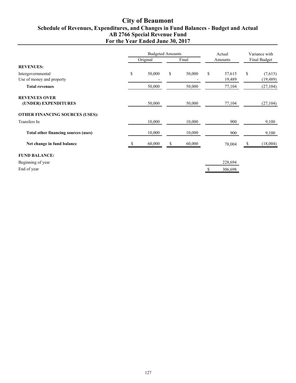# **City of Beaumont Schedule of Revenues, Expenditures, and Changes in Fund Balances - Budget and Actual AB 2766 Special Revenue Fund For the Year Ended June 30, 2017**

|                                      | <b>Budgeted Amounts</b> |              |               | Actual  | Variance with |           |  |
|--------------------------------------|-------------------------|--------------|---------------|---------|---------------|-----------|--|
|                                      | Original                | Final        |               | Amounts | Final Budget  |           |  |
| <b>REVENUES:</b>                     |                         |              |               |         |               |           |  |
| Intergovernmental                    | \$<br>50,000            | \$<br>50,000 | <sup>\$</sup> | 57,615  | \$            | (7,615)   |  |
| Use of money and property            |                         |              |               | 19,489  |               | (19, 489) |  |
| <b>Total revenues</b>                | 50,000                  | 50,000       |               | 77,104  |               | (27, 104) |  |
| <b>REVENUES OVER</b>                 |                         |              |               |         |               |           |  |
| (UNDER) EXPENDITURES                 | 50,000                  | 50,000       |               | 77,104  |               | (27, 104) |  |
| OTHER FINANCING SOURCES (USES):      |                         |              |               |         |               |           |  |
| Transfers In                         | 10,000                  | 10,000       |               | 900     |               | 9,100     |  |
| Total other financing sources (uses) | 10,000                  | 10,000       |               | 900     |               | 9,100     |  |
| Net change in fund balance           | 60,000                  | \$<br>60,000 |               | 78,004  | -S            | (18,004)  |  |
| <b>FUND BALANCE:</b>                 |                         |              |               |         |               |           |  |
| Beginning of year                    |                         |              |               | 228,694 |               |           |  |
| End of year                          |                         |              | \$            | 306,698 |               |           |  |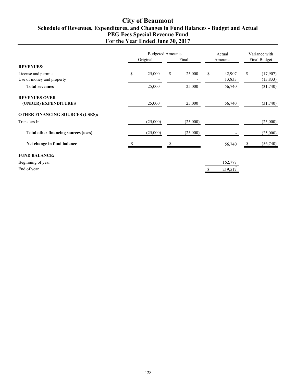# **City of Beaumont Schedule of Revenues, Expenditures, and Changes in Fund Balances - Budget and Actual PEG Fees Special Revenue Fund For the Year Ended June 30, 2017**

|                                      |          | <b>Budgeted Amounts</b> |       | Actual   |         | Variance with |              |           |
|--------------------------------------|----------|-------------------------|-------|----------|---------|---------------|--------------|-----------|
|                                      | Original |                         | Final |          | Amounts |               | Final Budget |           |
| <b>REVENUES:</b>                     |          |                         |       |          |         |               |              |           |
| License and permits                  | \$       | 25,000                  | S.    | 25,000   | \$      | 42,907        | \$           | (17,907)  |
| Use of money and property            |          |                         |       |          |         | 13,833        |              | (13, 833) |
| <b>Total revenues</b>                |          | 25,000                  |       | 25,000   |         | 56,740        |              | (31,740)  |
| <b>REVENUES OVER</b>                 |          |                         |       |          |         |               |              |           |
| (UNDER) EXPENDITURES                 |          | 25,000                  |       | 25,000   |         | 56,740        |              | (31,740)  |
| OTHER FINANCING SOURCES (USES):      |          |                         |       |          |         |               |              |           |
| Transfers In                         |          | (25,000)                |       | (25,000) |         |               |              | (25,000)  |
| Total other financing sources (uses) |          | (25,000)                |       | (25,000) |         |               |              | (25,000)  |
| Net change in fund balance           |          |                         |       |          |         | 56,740        | - \$         | (56,740)  |
| <b>FUND BALANCE:</b>                 |          |                         |       |          |         |               |              |           |
| Beginning of year                    |          |                         |       |          |         | 162,777       |              |           |
| End of year                          |          |                         |       |          |         | 219,517       |              |           |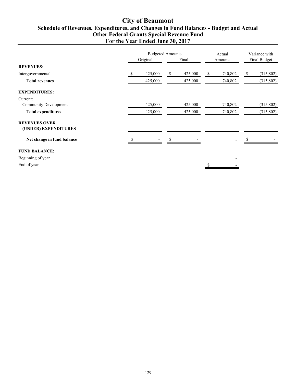# **City of Beaumont Schedule of Revenues, Expenditures, and Changes in Fund Balances - Budget and Actual Other Federal Grants Special Revenue Fund For the Year Ended June 30, 2017**

|                                              |    | <b>Budgeted Amounts</b> |    |         | Actual |         | Variance with |              |  |
|----------------------------------------------|----|-------------------------|----|---------|--------|---------|---------------|--------------|--|
|                                              |    | Original                |    | Final   |        | Amounts |               | Final Budget |  |
| <b>REVENUES:</b>                             |    |                         |    |         |        |         |               |              |  |
| Intergovernmental                            | S. | 425,000                 | \$ | 425,000 | S.     | 740,802 | \$            | (315, 802)   |  |
| <b>Total revenues</b>                        |    | 425,000                 |    | 425,000 |        | 740,802 |               | (315, 802)   |  |
| <b>EXPENDITURES:</b>                         |    |                         |    |         |        |         |               |              |  |
| Current:                                     |    |                         |    |         |        |         |               |              |  |
| Community Development                        |    | 425,000                 |    | 425,000 |        | 740,802 |               | (315, 802)   |  |
| <b>Total expenditures</b>                    |    | 425,000                 |    | 425,000 |        | 740,802 |               | (315, 802)   |  |
| <b>REVENUES OVER</b><br>(UNDER) EXPENDITURES |    |                         |    |         |        |         |               |              |  |
| Net change in fund balance                   |    |                         |    |         |        |         |               |              |  |
| <b>FUND BALANCE:</b>                         |    |                         |    |         |        |         |               |              |  |
| Beginning of year                            |    |                         |    |         |        |         |               |              |  |
| End of year                                  |    |                         |    |         |        |         |               |              |  |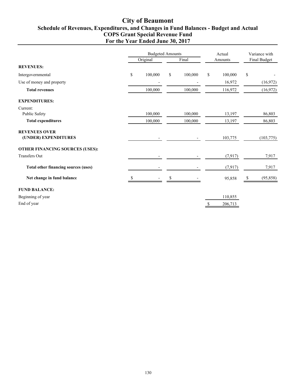# **City of Beaumont Schedule of Revenues, Expenditures, and Changes in Fund Balances - Budget and Actual COPS Grant Special Revenue Fund For the Year Ended June 30, 2017**

|                                      | <b>Budgeted Amounts</b> |          |    |         |    | Actual   |    | Variance with |  |
|--------------------------------------|-------------------------|----------|----|---------|----|----------|----|---------------|--|
|                                      |                         | Original |    | Final   |    | Amounts  |    | Final Budget  |  |
| <b>REVENUES:</b>                     |                         |          |    |         |    |          |    |               |  |
| Intergovernmental                    | \$                      | 100,000  | \$ | 100,000 | \$ | 100,000  | \$ |               |  |
| Use of money and property            |                         |          |    |         |    | 16,972   |    | (16,972)      |  |
| <b>Total revenues</b>                |                         | 100,000  |    | 100,000 |    | 116,972  |    | (16,972)      |  |
| <b>EXPENDITURES:</b>                 |                         |          |    |         |    |          |    |               |  |
| Current:                             |                         |          |    |         |    |          |    |               |  |
| Public Safety                        |                         | 100,000  |    | 100,000 |    | 13,197   |    | 86,803        |  |
| <b>Total expenditures</b>            |                         | 100,000  |    | 100,000 |    | 13,197   |    | 86,803        |  |
| <b>REVENUES OVER</b>                 |                         |          |    |         |    |          |    |               |  |
| (UNDER) EXPENDITURES                 |                         |          |    |         |    | 103,775  |    | (103, 775)    |  |
| OTHER FINANCING SOURCES (USES):      |                         |          |    |         |    |          |    |               |  |
| <b>Transfers Out</b>                 |                         |          |    |         |    | (7, 917) |    | 7,917         |  |
| Total other financing sources (uses) |                         |          |    |         |    | (7, 917) |    | 7,917         |  |
| Net change in fund balance           | -S                      |          |    |         |    | 95,858   | -S | (95, 858)     |  |
| <b>FUND BALANCE:</b>                 |                         |          |    |         |    |          |    |               |  |
| Beginning of year                    |                         |          |    |         |    | 110,855  |    |               |  |
| End of year                          |                         |          |    |         |    | 206,713  |    |               |  |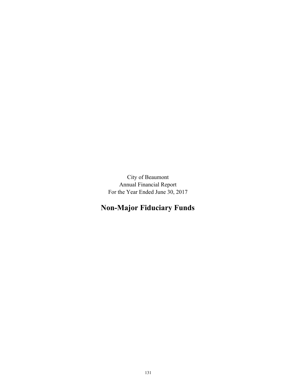# **Non-Major Fiduciary Funds**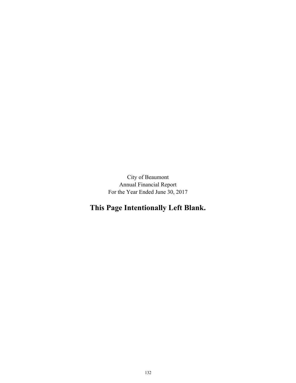# **This Page Intentionally Left Blank.**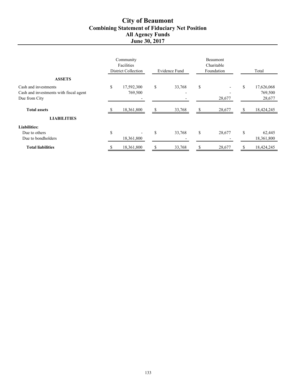## **City of Beaumont Combining Statement of Fiduciary Net Position All Agency Funds June 30, 2017**

|                                        | Community<br>Facilities<br><b>District Collection</b><br>Evidence Fund |            |    | Beaumont<br>Charitable<br>Foundation | Total        |                  |
|----------------------------------------|------------------------------------------------------------------------|------------|----|--------------------------------------|--------------|------------------|
| <b>ASSETS</b>                          |                                                                        |            |    |                                      |              |                  |
| Cash and investments                   | \$                                                                     | 17,592,300 | \$ | 33,768                               | \$           | \$<br>17,626,068 |
| Cash and investments with fiscal agent |                                                                        | 769,500    |    | $\overline{\phantom{a}}$             |              | 769,500          |
| Due from City                          |                                                                        |            |    |                                      | 28,677       | 28,677           |
| <b>Total assets</b>                    |                                                                        | 18,361,800 |    | 33,768                               | 28,677       | 18,424,245       |
| <b>LIABILITIES</b>                     |                                                                        |            |    |                                      |              |                  |
| <b>Liabilities:</b>                    |                                                                        |            |    |                                      |              |                  |
| Due to others                          | \$                                                                     |            | \$ | 33,768                               | \$<br>28,677 | \$<br>62,445     |
| Due to bondholders                     |                                                                        | 18,361,800 |    | $\overline{\phantom{a}}$             |              | 18,361,800       |
| <b>Total liabilities</b>               |                                                                        | 18,361,800 |    | 33,768                               | \$<br>28,677 | 18,424,245       |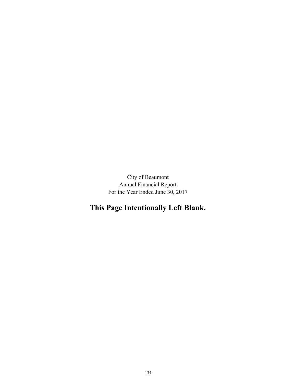# **This Page Intentionally Left Blank.**